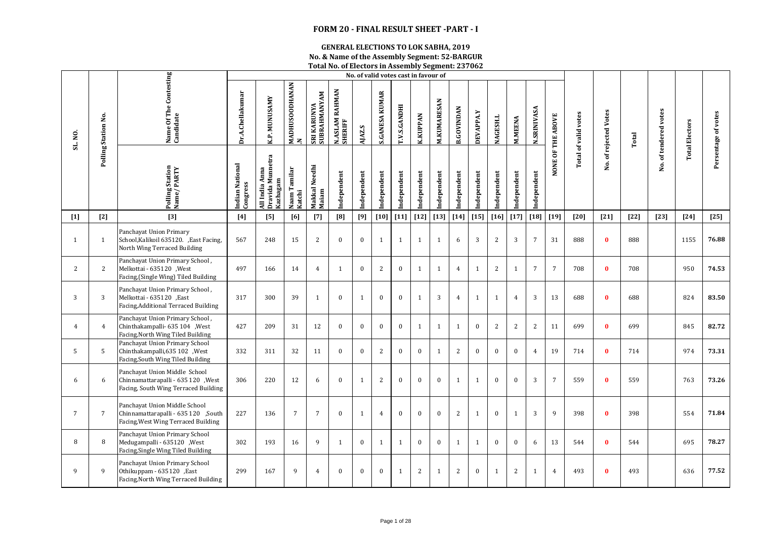## **FORM 20 - FINAL RESULT SHEET -PART - I**

## **GENERAL ELECTIONS TO LOK SABHA, 2019**

**No. & Name of the Assembly Segment: 52-BARGUR Total No. of Electors in Assembly Segment: 237062**

|                 |                     |                                                                                                             |                             |                                                |                            |                             |                           |              |                       |              | No. of valid votes cast in favour of |                    |                   |                  |                 |                |                    |                 |                             |                       |        |                       |                       |                     |
|-----------------|---------------------|-------------------------------------------------------------------------------------------------------------|-----------------------------|------------------------------------------------|----------------------------|-----------------------------|---------------------------|--------------|-----------------------|--------------|--------------------------------------|--------------------|-------------------|------------------|-----------------|----------------|--------------------|-----------------|-----------------------------|-----------------------|--------|-----------------------|-----------------------|---------------------|
| SL. NO.         | Polling Station No. | Name Of The Contesting<br>Candidate                                                                         | Dr.A.Chellakumar            | <b>K.P. MUNUSAMY</b>                           | <b>MADHUSOODHANAN</b><br>2 | SRI KARUNYA<br>SUBRAHMANYAM | N.ASLAM RAHMAN<br>SHERIFF | AJAZ.S       | <b>S.GANESA KUMAR</b> | T.V.S.GANDHI | <b>K.KUPPAN</b>                      | <b>M.KUMARESAN</b> | <b>B.GOVINDAN</b> | DEVAPPA.Y        | <b>NAGESH.L</b> | <b>M.MEENA</b> | <b>N.SRINIVASA</b> | OF THE ABOVE    | <b>Total of valid votes</b> | No. of rejected Votes | Total  | No. of tendered votes | <b>Total Electors</b> | Persentage of votes |
|                 |                     | Polling Station<br>Name/ PARTY                                                                              | Indian National<br>Congress | All India Anna<br>Dravida Munnetra<br>Kazhagam | Naam Tamilar<br>Katchi     | Makkal Needhi<br>Maiam      | Independent               | Independent  | Independent           | Independent  | Independent                          | Independent        | Independent       | Independent      | Independent     | Independent    | Independent        | NONE            |                             |                       |        |                       |                       |                     |
| $[1]$           | $[2]$               | $[3]$                                                                                                       | [4]                         | [5]                                            | [6]                        | $[7]$                       | [8]                       | [9]          | $[10]$                | $[11]$       | $[12]$                               | $[13]$             | $[14]$            | $[15]$           | $[16]$          | $[17]$         | $[18]$             | $[19]$          | [20]                        | $[21]$                | $[22]$ | $[23]$                | $[24]$                | $[25]$              |
| $\mathbf{1}$    | $\mathbf{1}$        | Panchayat Union Primary<br>School, Kalikoil 635120. , East Facing,<br>North Wing Terraced Building          | 567                         | 248                                            | 15                         | $\overline{c}$              | $\mathbf{0}$              | $\bf{0}$     | 1                     | 1            | $\mathbf{1}$                         | $\mathbf{1}$       | 6                 | 3                | $\overline{2}$  | 3              | $\overline{7}$     | 31              | 888                         | $\bf{0}$              | 888    |                       | 1155                  | 76.88               |
| 2               | 2                   | Panchayat Union Primary School,<br>Melkottai - 635120 , West<br>Facing, (Single Wing) Tiled Building        | 497                         | 166                                            | 14                         | $\overline{4}$              | $\mathbf{1}$              | $\bf{0}$     | 2                     | $\mathbf{0}$ | $\mathbf{1}$                         | $\mathbf{1}$       | $\overline{4}$    | $\mathbf{1}$     | 2               | $\mathbf{1}$   | $\overline{7}$     | $7\overline{ }$ | 708                         | $\mathbf{0}$          | 708    |                       | 950                   | 74.53               |
| 3               | 3                   | Panchayat Union Primary School,<br>Melkottai - 635120 ,East<br>Facing, Additional Terraced Building         | 317                         | 300                                            | 39                         | $\mathbf{1}$                | $\mathbf{0}$              | $\mathbf{1}$ | $\mathbf{0}$          | $\mathbf{0}$ | $\mathbf{1}$                         | 3                  | $\overline{4}$    | $\mathbf{1}$     | $\mathbf{1}$    | $\overline{4}$ | 3                  | 13              | 688                         | $\bf{0}$              | 688    |                       | 824                   | 83.50               |
| $\overline{4}$  | $\overline{4}$      | Panchayat Union Primary School,<br>Chinthakampalli- 635 104 , West<br>Facing, North Wing Tiled Building     | 427                         | 209                                            | 31                         | 12                          | $\bf{0}$                  | $\bf{0}$     | $\bf{0}$              | $\bf{0}$     | $\mathbf{1}$                         | $\mathbf{1}$       | $\mathbf{1}$      | $\bf{0}$         | 2               | 2              | 2                  | 11              | 699                         | $\mathbf{0}$          | 699    |                       | 845                   | 82.72               |
| 5               | 5                   | Panchayat Union Primary School<br>Chinthakampalli, 635 102 , West<br>Facing, South Wing Tiled Building      | 332                         | 311                                            | 32                         | 11                          | $\mathbf{0}$              | $\mathbf{0}$ | 2                     | $\Omega$     | $\mathbf{0}$                         | 1                  | 2                 | $\mathbf{0}$     | $\mathbf{0}$    | $\theta$       | $\overline{4}$     | 19              | 714                         | $\mathbf{0}$          | 714    |                       | 974                   | 73.31               |
| 6               | 6                   | Panchayat Union Middle School<br>Chinnamattarapalli - 635 120, West<br>Facing, South Wing Terraced Building | 306                         | 220                                            | 12                         | 6                           | $\mathbf{0}$              | $\mathbf{1}$ | 2                     | $\mathbf{0}$ | $\mathbf{0}$                         | $\mathbf{0}$       | 1                 | $\mathbf{1}$     | $\mathbf{0}$    | $\mathbf{0}$   | 3                  | $\overline{7}$  | 559                         | $\bf{0}$              | 559    |                       | 763                   | 73.26               |
| $7\overline{ }$ | $\overline{7}$      | Panchayat Union Middle School<br>Chinnamattarapalli - 635 120 ,South<br>Facing, West Wing Terraced Building | 227                         | 136                                            | $\overline{7}$             | $7\phantom{.0}$             | $\mathbf{0}$              | $\mathbf{1}$ | $\overline{4}$        | $\mathbf{0}$ | $\mathbf{0}$                         | $\mathbf{0}$       | 2                 | $\mathbf{1}$     | $\mathbf{0}$    | $\mathbf{1}$   | 3                  | 9               | 398                         | $\bf{0}$              | 398    |                       | 554                   | 71.84               |
| 8               | 8                   | Panchayat Union Primary School<br>Medugampalli - 635120 , West<br>Facing, Single Wing Tiled Building        | 302                         | 193                                            | 16                         | 9                           | 1                         | $\mathbf{0}$ | $\mathbf{1}$          | 1            | $\mathbf{0}$                         | $\mathbf{0}$       | $\mathbf{1}$      | $\mathbf{1}$     | $\mathbf{0}$    | $\mathbf{0}$   | 6                  | 13              | 544                         | $\mathbf{0}$          | 544    |                       | 695                   | 78.27               |
| 9               | 9                   | Panchayat Union Primary School<br>Othikuppam - 635120 , East<br>Facing, North Wing Terraced Building        | 299                         | 167                                            | 9                          | $\overline{4}$              | $\bf{0}$                  | $\bf{0}$     | $\mathbf{0}$          | 1            | 2                                    | $\mathbf{1}$       | $\overline{2}$    | $\boldsymbol{0}$ | $\mathbf{1}$    | 2              | 1                  | $\overline{4}$  | 493                         | $\bf{0}$              | 493    |                       | 636                   | 77.52               |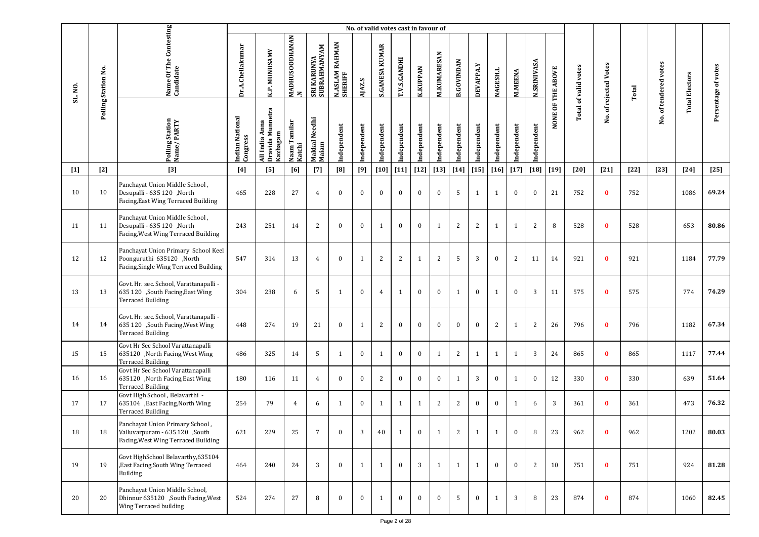|         |                     |                                                                                                          |                             |                                                |                                       |                             |                           | No. of valid votes cast in favour of |                       |              |                 |                    |                   |              |                 |                |                    |                   |                             |                       |        |                       |                       |                     |
|---------|---------------------|----------------------------------------------------------------------------------------------------------|-----------------------------|------------------------------------------------|---------------------------------------|-----------------------------|---------------------------|--------------------------------------|-----------------------|--------------|-----------------|--------------------|-------------------|--------------|-----------------|----------------|--------------------|-------------------|-----------------------------|-----------------------|--------|-----------------------|-----------------------|---------------------|
| SL. NO. | Polling Station No. | Name Of The Contesting<br>Candidate                                                                      | Dr.A.Chellakumar            | K.P. MUNUSAMY                                  | <b>MADHUSOODHANAN</b><br>$\mathbf{z}$ | SRI KARUNYA<br>SUBRAHMANYAM | N.ASLAM RAHMAN<br>SHERIFF | AJAZ.S                               | <b>S.GANESA KUMAR</b> | T.V.S.GANDHI | <b>K.KUPPAN</b> | <b>M.KUMARESAN</b> | <b>B.GOVINDAN</b> | DEVAPPA.Y    | <b>NAGESH.L</b> | <b>M.MEENA</b> | <b>N.SRINIVASA</b> | NONE OF THE ABOVE | <b>Total of valid votes</b> | No. of rejected Votes | Total  | No. of tendered votes | <b>Total Electors</b> | Persentage of votes |
|         |                     | Polling Station<br>Name / PARTY                                                                          | Indian National<br>Congress | All India Anna<br>Dravida Munnetra<br>Kazhagam | Naam Tamilar<br>Katchi                | Makkal Needhi<br>Maiam      | Independent               | Independent                          | Independent           | Independent  | Independent     | Independent        | Independent       | Independent  | Independent     | Independent    | Independent        |                   |                             |                       |        |                       |                       |                     |
| $[1]$   | $[2]$               | $[3]$                                                                                                    | [4]                         | [5]                                            | [6]                                   | $[7]$                       | [8]                       | [9]                                  | [10]                  | $[11]$       | $[12]$          | $[13]$             | $[14]$            | $[15]$       | $[16]$          | $[17]$         | $[18]$             | $[19]$            | [20]                        | $[21]$                | $[22]$ | $[23]$                | $[24]$                | $[25]$              |
| 10      | 10                  | Panchayat Union Middle School,<br>Desupalli - 635 120 ,North<br>Facing, East Wing Terraced Building      | 465                         | 228                                            | 27                                    | $\overline{4}$              | $\mathbf{0}$              | $\bf{0}$                             | $\mathbf{0}$          | $\bf{0}$     | $\bf{0}$        | $\bf{0}$           | 5                 | 1            | 1               | $\mathbf{0}$   | $\bf{0}$           | 21                | 752                         | $\bf{0}$              | 752    |                       | 1086                  | 69.24               |
| 11      | 11                  | Panchayat Union Middle School,<br>Desupalli - 635 120 ,North<br>Facing, West Wing Terraced Building      | 243                         | 251                                            | 14                                    | $\overline{2}$              | $\mathbf{0}$              | $\bf{0}$                             | 1                     | $\mathbf{0}$ | $\bf{0}$        | $\mathbf{1}$       | $\overline{c}$    | 2            | 1               | $\mathbf{1}$   | 2                  | 8                 | 528                         | $\bf{0}$              | 528    |                       | 653                   | 80.86               |
| 12      | 12                  | Panchayat Union Primary School Keel<br>North 635120, North<br>Facing, Single Wing Terraced Building      | 547                         | 314                                            | 13                                    | $\overline{4}$              | $\mathbf{0}$              | 1                                    | 2                     | 2            | 1               | 2                  | 5                 | 3            | $\mathbf{0}$    | $\overline{2}$ | 11                 | 14                | 921                         | $\bf{0}$              | 921    |                       | 1184                  | 77.79               |
| 13      | 13                  | Govt. Hr. sec. School, Varattanapalli -<br>635 120 ,South Facing, East Wing<br><b>Terraced Building</b>  | 304                         | 238                                            | 6                                     | 5                           | 1                         | $\bf{0}$                             | $\overline{4}$        | $\mathbf{1}$ | $\mathbf{0}$    | $\bf{0}$           | $\mathbf{1}$      | $\mathbf{0}$ | 1               | $\mathbf{0}$   | 3                  | 11                | 575                         | $\bf{0}$              | 575    |                       | 774                   | 74.29               |
| 14      | 14                  | Govt. Hr. sec. School, Varattanapalli -<br>635 120 ,South Facing, West Wing<br><b>Terraced Building</b>  | 448                         | 274                                            | 19                                    | 21                          | $\bf{0}$                  | 1                                    | 2                     | $\bf{0}$     | $\bf{0}$        | $\bf{0}$           | $\mathbf{0}$      | $\bf{0}$     | $\overline{2}$  | $\mathbf{1}$   | 2                  | 26                | 796                         | $\bf{0}$              | 796    |                       | 1182                  | 67.34               |
| 15      | 15                  | Govt Hr Sec School Varattanapalli<br>635120 , North Facing, West Wing<br><b>Terraced Building</b>        | 486                         | 325                                            | 14                                    | 5                           | $\mathbf{1}$              | $\mathbf{0}$                         | $\mathbf{1}$          | $\bf{0}$     | $\mathbf{0}$    | 1                  | 2                 | 1            | 1               | $\mathbf{1}$   | 3                  | 24                | 865                         | $\bf{0}$              | 865    |                       | 1117                  | 77.44               |
| 16      | 16                  | Govt Hr Sec School Varattanapalli<br>635120 , North Facing, East Wing<br><b>Terraced Building</b>        | 180                         | 116                                            | 11                                    | $\overline{4}$              | $\mathbf{0}$              | $\mathbf{0}$                         | 2                     | $\mathbf{0}$ | $\bf{0}$        | $\bf{0}$           | $\mathbf{1}$      | 3            | $\bf{0}$        | $\mathbf{1}$   | $\bf{0}$           | 12                | 330                         | $\bf{0}$              | 330    |                       | 639                   | 51.64               |
| 17      | 17                  | Govt High School, Belavarthi -<br>635104 , East Facing, North Wing<br><b>Terraced Building</b>           | 254                         | 79                                             | $\overline{4}$                        | 6                           | 1                         | $\mathbf{0}$                         | -1                    | 1            | $\mathbf{1}$    | 2                  | 2                 | $\bf{0}$     | $\bf{0}$        | $\mathbf{1}$   | 6                  | 3                 | 361                         | $\bf{0}$              | 361    |                       | 473                   | 76.32               |
| 18      | 18                  | Panchayat Union Primary School,<br>Valluvarpuram - 635 120 ,South<br>Facing, West Wing Terraced Building | 621                         | 229                                            | 25                                    | $7\overline{ }$             | $\Omega$                  | 3                                    | 40                    | $\mathbf{1}$ | $\bf{0}$        | 1                  | 2                 | $\mathbf{1}$ | $\mathbf{1}$    | $\mathbf{0}$   | 8                  | 23                | 962                         | $\bf{0}$              | 962    |                       | 1202                  | 80.03               |
| 19      | 19                  | Govt HighSchool Belavarthy, 635104<br>, East Facing, South Wing Terraced<br>Building                     | 464                         | 240                                            | 24                                    | 3                           | $\theta$                  | 1                                    | 1                     | $\mathbf{0}$ | 3               | 1                  | $\mathbf{1}$      | 1            | $\bf{0}$        | $\mathbf{0}$   | 2                  | 10                | 751                         | $\bf{0}$              | 751    |                       | 924                   | 81.28               |
| 20      | 20                  | Panchayat Union Middle School,<br>Dhinnur 635120 ,South Facing, West<br>Wing Terraced building           | 524                         | 274                                            | 27                                    | 8                           | $\mathbf{0}$              | $\bf{0}$                             | 1                     | $\mathbf{0}$ | $\bf{0}$        | $\bf{0}$           | 5                 | $\bf{0}$     | 1               | 3              | 8                  | 23                | 874                         | $\bf{0}$              | 874    |                       | 1060                  | 82.45               |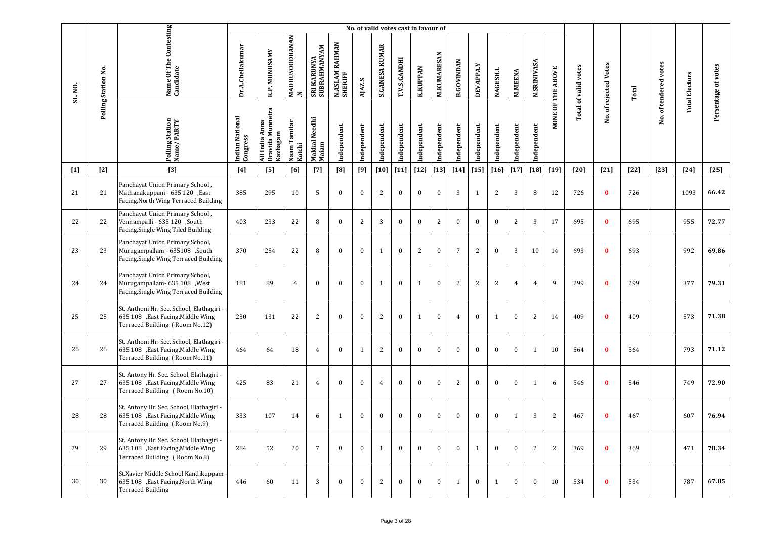|         |                     |                                                                                                                  |                             |                                                |                                |                             |                                       | No. of valid votes cast in favour of |                       |              |                 |                    |                   |                  |                 |                |                    |                   |                             |                   |        |                       |                       |                     |
|---------|---------------------|------------------------------------------------------------------------------------------------------------------|-----------------------------|------------------------------------------------|--------------------------------|-----------------------------|---------------------------------------|--------------------------------------|-----------------------|--------------|-----------------|--------------------|-------------------|------------------|-----------------|----------------|--------------------|-------------------|-----------------------------|-------------------|--------|-----------------------|-----------------------|---------------------|
| SL. NO. | Polling Station No. | Name Of The Contesting<br>Candidate                                                                              | Dr.A.Chellakumar            | K.P. MUNUSAMY                                  | MADHUSOODHANAN<br>$\mathbf{z}$ | SRI KARUNYA<br>SUBRAHMANYAM | <b>RAHMAN</b><br>N.ASLAM I<br>SHERIFF | AJAZ.S                               | <b>S.GANESA KUMAR</b> | T.V.S.GANDHI | <b>K.KUPPAN</b> | <b>M.KUMARESAN</b> | <b>B.GOVINDAN</b> | <b>DEVAPPA.Y</b> | <b>NAGESH.L</b> | <b>M.MEENA</b> | <b>N.SRINIVASA</b> | NONE OF THE ABOVE | <b>Total of valid votes</b> | of rejected Votes | Total  | No. of tendered votes | <b>Total Electors</b> | Persentage of votes |
|         |                     | Polling Station<br>Name/PARTY                                                                                    | Indian National<br>Congress | Dravida Munnetra<br>All India Anna<br>Kazhagam | Naam Tamilar<br>Katchi         | Makkal Needhi<br>Maiam      | Independent                           | Independent                          | Independent           | Independent  | Independent     | Independent        | Independent       | Independent      | Independent     | Independent    | Independent        |                   |                             | χó.               |        |                       |                       |                     |
| $[1]$   | $[2]$               | $[3]$                                                                                                            | [4]                         | [5]                                            | [6]                            | $[7]$                       | [8]                                   | [9]                                  | $[10]$                | $[11]$       | $[12]$          | $[13]$             | $[14]$            | $[15]$           | $[16]$          | $[17]$         | $\left[18\right]$  | $[19]$            | $[20]$                      | $[21]$            | $[22]$ | $[23]$                | $[24]$                | $[25]$              |
| 21      | 21                  | Panchayat Union Primary School,<br>Mathanakuppam - 635 120 , East<br>Facing, North Wing Terraced Building        | 385                         | 295                                            | 10                             | 5                           | $\bf{0}$                              | $\bf{0}$                             | $\overline{c}$        | $\bf{0}$     | $\bf{0}$        | $\bf{0}$           | 3                 | 1                | 2               | 3              | 8                  | 12                | 726                         | $\bf{0}$          | 726    |                       | 1093                  | 66.42               |
| 22      | 22                  | Panchayat Union Primary School,<br>Vennampalli - 635 120 ,South<br>Facing, Single Wing Tiled Building            | 403                         | 233                                            | 22                             | 8                           | $\mathbf{0}$                          | 2                                    | 3                     | $\bf{0}$     | $\bf{0}$        | 2                  | $\mathbf{0}$      | $\mathbf{0}$     | $\mathbf{0}$    | 2              | 3                  | 17                | 695                         | $\bf{0}$          | 695    |                       | 955                   | 72.77               |
| 23      | 23                  | Panchayat Union Primary School,<br>Murugampallam - 635108 ,South<br>Facing, Single Wing Terraced Building        | 370                         | 254                                            | 22                             | 8                           | $\mathbf{0}$                          | $\bf{0}$                             | $\mathbf{1}$          | $\bf{0}$     | 2               | $\bf{0}$           | $\overline{7}$    | $\overline{c}$   | $\mathbf{0}$    | 3              | 10                 | 14                | 693                         | $\bf{0}$          | 693    |                       | 992                   | 69.86               |
| 24      | 24                  | Panchayat Union Primary School,<br>Murugampallam- 635 108 , West<br>Facing, Single Wing Terraced Building        | 181                         | 89                                             | $\overline{4}$                 | $\bf{0}$                    | $\mathbf{0}$                          | $\bf{0}$                             | 1                     | $\bf{0}$     | $\mathbf{1}$    | $\bf{0}$           | 2                 | $\overline{c}$   | 2               | 4              | 4                  | 9                 | 299                         | $\bf{0}$          | 299    |                       | 377                   | 79.31               |
| 25      | 25                  | St. Anthoni Hr. Sec. School, Elathagiri -<br>635 108 ,East Facing, Middle Wing<br>Terraced Building (Room No.12) | 230                         | 131                                            | 22                             | 2                           | $\mathbf{0}$                          | $\mathbf{0}$                         | 2                     | $\bf{0}$     | $\mathbf{1}$    | $\bf{0}$           | $\overline{4}$    | $\bf{0}$         | $\mathbf{1}$    | $\mathbf{0}$   | 2                  | 14                | 409                         | $\bf{0}$          | 409    |                       | 573                   | 71.38               |
| 26      | 26                  | St. Anthoni Hr. Sec. School, Elathagiri -<br>635 108 ,East Facing, Middle Wing<br>Terraced Building (Room No.11) | 464                         | 64                                             | 18                             | $\overline{4}$              | $\mathbf{0}$                          | 1                                    | 2                     | $\bf{0}$     | $\bf{0}$        | $\bf{0}$           | $\mathbf{0}$      | $\bf{0}$         | $\mathbf{0}$    | $\mathbf{0}$   | 1                  | 10                | 564                         | $\mathbf{0}$      | 564    |                       | 793                   | 71.12               |
| 27      | 27                  | St. Antony Hr. Sec. School, Elathagiri -<br>635 108 , East Facing, Middle Wing<br>Terraced Building (Room No.10) | 425                         | 83                                             | 21                             | $\overline{4}$              | $\mathbf{0}$                          | $\mathbf{0}$                         | $\overline{4}$        | $\mathbf{0}$ | $\bf{0}$        | $\mathbf{0}$       | 2                 | $\bf{0}$         | $\mathbf{0}$    | $\mathbf{0}$   | 1                  | 6                 | 546                         | $\bf{0}$          | 546    |                       | 749                   | 72.90               |
| 28      | 28                  | St. Antony Hr. Sec. School, Elathagiri -<br>635 108 ,East Facing, Middle Wing<br>Terraced Building (Room No.9)   | 333                         | 107                                            | 14                             | 6                           | $\mathbf{1}$                          | $\bf{0}$                             | $\bf{0}$              | $\bf{0}$     | $\bf{0}$        | $\bf{0}$           | $\bf{0}$          | $\bf{0}$         | $\mathbf{0}$    | 1              | 3                  | $\overline{2}$    | 467                         | $\bf{0}$          | 467    |                       | 607                   | 76.94               |
| 29      | 29                  | St. Antony Hr. Sec. School, Elathagiri -<br>635 108 ,East Facing, Middle Wing<br>Terraced Building (Room No.8)   | 284                         | 52                                             | 20                             | $7\overline{ }$             | $\mathbf{0}$                          | $\mathbf{0}$                         | 1                     | $\mathbf{0}$ | $\mathbf{0}$    | $\mathbf{0}$       | $\bf{0}$          | 1                | $\mathbf{0}$    | $\mathbf{0}$   | 2                  | 2                 | 369                         | $\bf{0}$          | 369    |                       | 471                   | 78.34               |
| 30      | 30                  | St.Xavier Middle School Kandikuppam -<br>635 108 , East Facing, North Wing<br><b>Terraced Building</b>           | 446                         | 60                                             | 11                             | 3                           | $\mathbf{0}$                          | $\bf{0}$                             | 2                     | $\mathbf{0}$ | $\bf{0}$        | $\bf{0}$           | $\mathbf{1}$      | $\bf{0}$         | $\mathbf{1}$    | $\mathbf{0}$   | $\mathbf{0}$       | 10                | 534                         | $\bf{0}$          | 534    |                       | 787                   | 67.85               |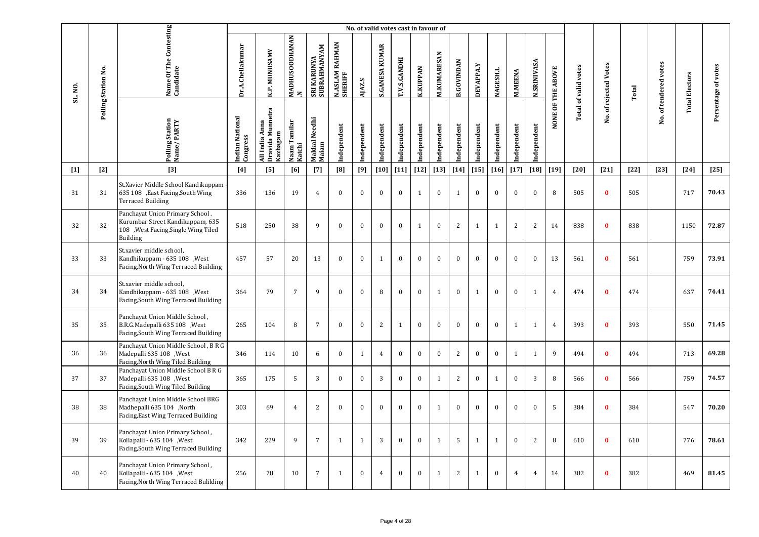|         |                     |                                                                                                                         |                             |                                                |                          |                             |                                       | No. of valid votes cast in favour of |                       |                     |                 |                    |                   |              |              |                |                    |                   |                             |                       |        |                       |                       |                     |
|---------|---------------------|-------------------------------------------------------------------------------------------------------------------------|-----------------------------|------------------------------------------------|--------------------------|-----------------------------|---------------------------------------|--------------------------------------|-----------------------|---------------------|-----------------|--------------------|-------------------|--------------|--------------|----------------|--------------------|-------------------|-----------------------------|-----------------------|--------|-----------------------|-----------------------|---------------------|
| SL. NO. | Polling Station No. | Name Of The Contesting<br>Candidate                                                                                     | Dr.A.Chellakumar            | K.P. MUNUSAMY                                  | MADHUSOODHANAN<br>$\geq$ | SRI KARUNYA<br>SUBRAHMANYAM | <b>RAHMAN</b><br>N.ASLAM I<br>SHERIFF | AJAZ.S                               | <b>S.GANESA KUMAR</b> | <b>T.V.S.GANDHI</b> | <b>K.KUPPAN</b> | <b>M.KUMARESAN</b> | <b>B.GOVINDAN</b> | DEVAPPA.Y    | NAGESH.L     | <b>M.MEENA</b> | <b>N.SRINIVASA</b> | NONE OF THE ABOVE | <b>Total of valid votes</b> | No. of rejected Votes | Total  | No. of tendered votes | <b>Total Electors</b> | Persentage of votes |
|         |                     | Polling Station<br>Name/PARTY                                                                                           | Indian National<br>Congress | Dravida Munnetra<br>All India Anna<br>Kazhagam | Naam Tamilar<br>Katchi   | Makkal Needhi<br>Maiam      | Independent                           | ndependent                           | ndependent            | Independent         | Independent     | Independent        | Independent       | Independent  | Independent  | ndependent     | Independent        |                   |                             |                       |        |                       |                       |                     |
| $[1]$   | $[2]$               | $[3]$                                                                                                                   | $[4]$                       | [5]                                            | [6]                      | $[7]$                       | [8]                                   | [9]                                  | $[10]$                | $[11]$              | $[12]$          | $[13]$             | $[14]$            | $[15]$       | $[16]$       | $[17]$         | $[18]$             | $[19]$            | $[20]$                      | $[21]$                | $[22]$ | $[23]$                | $[24]$                | $[25]$              |
| 31      | 31                  | St.Xavier Middle School Kandikuppam<br>635 108 , East Facing, South Wing<br><b>Terraced Building</b>                    | 336                         | 136                                            | 19                       | $\overline{4}$              | $\mathbf{0}$                          | $\mathbf{0}$                         | $\mathbf{0}$          | $\mathbf{0}$        | $\mathbf{1}$    | $\mathbf{0}$       | 1                 | $\mathbf{0}$ | $\mathbf{0}$ | $\mathbf{0}$   | $\mathbf{0}$       | 8                 | 505                         | $\bf{0}$              | 505    |                       | 717                   | 70.43               |
| 32      | 32                  | Panchayat Union Primary School.<br>Kurumbar Street Kandikuppam, 635<br>108 , West Facing, Single Wing Tiled<br>Building | 518                         | 250                                            | 38                       | 9                           | $\theta$                              | $\bf{0}$                             | $\bf{0}$              | $\bf{0}$            | $\mathbf{1}$    | $\bf{0}$           | 2                 | $\mathbf{1}$ | $\mathbf{1}$ | $\sqrt{2}$     | $\overline{c}$     | 14                | 838                         | $\mathbf{0}$          | 838    |                       | 1150                  | 72.87               |
| 33      | 33                  | St.xavier middle school,<br>Kandhikuppam - 635 108, West<br>Facing, North Wing Terraced Building                        | 457                         | 57                                             | 20                       | 13                          | $\mathbf{0}$                          | $\bf{0}$                             | $\mathbf{1}$          | $\bf{0}$            | $\bf{0}$        | $\bf{0}$           | $\boldsymbol{0}$  | $\bf{0}$     | $\mathbf{0}$ | $\bf{0}$       | $\bf{0}$           | 13                | 561                         | $\bf{0}$              | 561    |                       | 759                   | 73.91               |
| 34      | 34                  | St.xavier middle school,<br>Kandhikuppam - 635 108 , West<br>Facing, South Wing Terraced Building                       | 364                         | 79                                             | $\overline{7}$           | 9                           | $\theta$                              | $\mathbf{0}$                         | 8                     | $\mathbf{0}$        | $\mathbf{0}$    | $\mathbf{1}$       | $\mathbf{0}$      | $\mathbf{1}$ | $\mathbf{0}$ | $\mathbf{0}$   | 1                  | $\overline{4}$    | 474                         | $\mathbf{0}$          | 474    |                       | 637                   | 74.41               |
| 35      | 35                  | Panchayat Union Middle School,<br>B.R.G.Madepalli 635 108 , West<br>Facing, South Wing Terraced Building                | 265                         | 104                                            | 8                        | $\overline{7}$              | $\mathbf{0}$                          | $\mathbf{0}$                         | $\overline{c}$        | $\mathbf{1}$        | $\bf{0}$        | $\mathbf{0}$       | $\mathbf{0}$      | $\mathbf{0}$ | $\mathbf{0}$ | $\mathbf{1}$   | $\mathbf{1}$       | $\overline{4}$    | 393                         | $\mathbf{0}$          | 393    |                       | 550                   | 71.45               |
| 36      | 36                  | Panchayat Union Middle School, B R G<br>Madepalli 635 108 , West<br>Facing, North Wing Tiled Building                   | 346                         | 114                                            | 10                       | 6                           | $\mathbf{0}$                          | $\mathbf{1}$                         | $\overline{4}$        | $\bf{0}$            | $\bf{0}$        | $\mathbf{0}$       | $\overline{2}$    | $\bf{0}$     | $\mathbf{0}$ | $\mathbf{1}$   | $\mathbf{1}$       | 9                 | 494                         | $\bf{0}$              | 494    |                       | 713                   | 69.28               |
| 37      | 37                  | Panchayat Union Middle School B R G<br>Madepalli 635 108 , West<br>Facing, South Wing Tiled Building                    | 365                         | 175                                            | 5                        | 3                           | $\mathbf{0}$                          | $\mathbf{0}$                         | 3                     | $\bf{0}$            | $\bf{0}$        | 1                  | 2                 | $\mathbf{0}$ | $\mathbf{1}$ | $\mathbf{0}$   | 3                  | 8                 | 566                         | $\bf{0}$              | 566    |                       | 759                   | 74.57               |
| 38      | 38                  | Panchayat Union Middle School BRG<br>Madhepalli 635 104 ,North<br>Facing, East Wing Terraced Building                   | 303                         | 69                                             | $\overline{4}$           | $\overline{2}$              | $\theta$                              | $\bf{0}$                             | $\boldsymbol{0}$      | $\bf{0}$            | $\bf{0}$        | $\mathbf{1}$       | $\mathbf{0}$      | $\bf{0}$     | $\mathbf{0}$ | $\bf{0}$       | $\bf{0}$           | 5                 | 384                         | $\mathbf{0}$          | 384    |                       | 547                   | 70.20               |
| 39      | 39                  | Panchayat Union Primary School,<br>Kollapalli - 635 104 , West<br>Facing, South Wing Terraced Building                  | 342                         | 229                                            | 9                        | $7\overline{ }$             | $\mathbf{1}$                          | $\mathbf{1}$                         | 3                     | $\mathbf{0}$        | $\bf{0}$        | 1                  | 5                 | 1            | $\mathbf{1}$ | $\mathbf{0}$   | 2                  | 8                 | 610                         | $\bf{0}$              | 610    |                       | 776                   | 78.61               |
| 40      | 40                  | Panchayat Union Primary School,<br>Kollapalli - 635 104 , West<br>Facing, North Wing Terraced Bulilding                 | 256                         | 78                                             | 10                       | $\overline{7}$              | $\mathbf{1}$                          | $\bf{0}$                             | $\overline{4}$        | $\mathbf{0}$        | $\bf{0}$        | $\mathbf{1}$       | $\overline{c}$    | 1            | $\mathbf{0}$ | $\overline{4}$ | $\overline{4}$     | 14                | 382                         | $\bf{0}$              | 382    |                       | 469                   | 81.45               |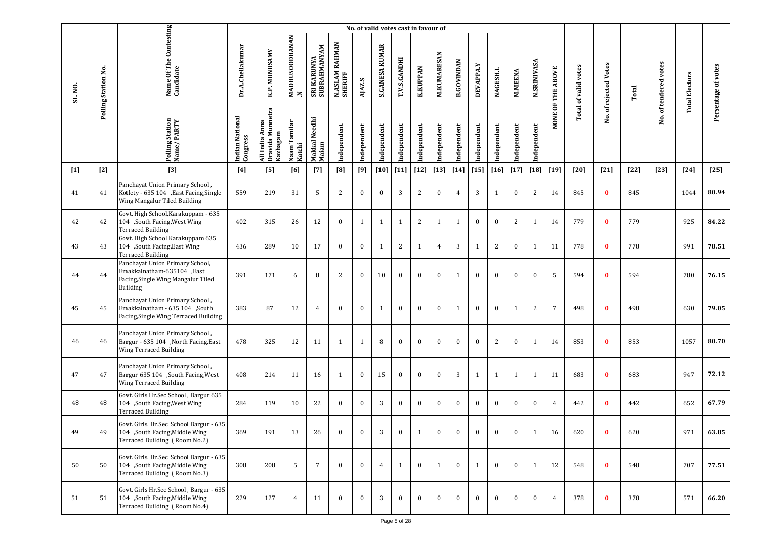|         |                     |                                                                                                                 |                             |                                                   |                        |                             |                           |              | No. of valid votes cast in favour of |              |                 |                    |                   |              |                 |                |                    |                   |                             |                       |        |                       |                       |                     |
|---------|---------------------|-----------------------------------------------------------------------------------------------------------------|-----------------------------|---------------------------------------------------|------------------------|-----------------------------|---------------------------|--------------|--------------------------------------|--------------|-----------------|--------------------|-------------------|--------------|-----------------|----------------|--------------------|-------------------|-----------------------------|-----------------------|--------|-----------------------|-----------------------|---------------------|
| SL. NO. | Polling Station No. | Name Of The Contesting<br>Candidate                                                                             | Dr.A.Chellakumar            | K.P. MUNUSAMY                                     | MADHUSOODHANAN<br> N   | SRI KARUNYA<br>SUBRAHMANYAM | N.ASLAM RAHMAN<br>SHERIFF | AJAZ.S       | <b>S.GANESA KUMAR</b>                | T.V.S.GANDHI | <b>K.KUPPAN</b> | <b>M.KUMARESAN</b> | <b>B.GOVINDAN</b> | DEVAPPA.Y    | <b>NAGESH.L</b> | <b>M.MEENA</b> | <b>N.SRINIVASA</b> | NONE OF THE ABOVE | <b>Total of valid votes</b> | No. of rejected Votes | Total  | No. of tendered votes | <b>Total Electors</b> | Persentage of votes |
|         |                     | Polling Station<br>Name / PARTY                                                                                 | Indian National<br>Congress | Dravida Munnetra<br>Kazhagam<br>Anna<br>All India | Naam Tamilar<br>Katchi | Makkal Needhi<br>Maiam      | Independent               | Independent  | Independent                          | Independent  | Independent     | Independent        | Independent       | Independent  | Independent     | Independent    | Independent        |                   |                             |                       |        |                       |                       |                     |
| $[1]$   | $[2]$               | $[3]$                                                                                                           | [4]                         | [5]                                               | [6]                    | $[7]$                       | [8]                       | [9]          | $[10]$                               | $[11]$       | $[12]$          | $[13]$             | $[14]$            | $[15]$       | $[16]$          | $[17]$         | $[18]$             | $[19]$            | [20]                        | $[21]$                | $[22]$ | $[23]$                | $[24]$                | $[25]$              |
| 41      | 41                  | Panchayat Union Primary School,<br>Kotlety - 635 104 , East Facing, Single<br>Wing Mangalur Tiled Building      | 559                         | 219                                               | 31                     | 5                           | 2                         | $\bf{0}$     | $\mathbf{0}$                         | 3            | 2               | $\bf{0}$           | $\overline{4}$    | 3            | 1               | $\mathbf{0}$   | 2                  | 14                | 845                         | $\bf{0}$              | 845    |                       | 1044                  | 80.94               |
| 42      | 42                  | Govt. High School, Karakuppam - 635<br>104 ,South Facing, West Wing<br><b>Terraced Building</b>                 | 402                         | 315                                               | 26                     | 12                          | $\mathbf{0}$              | 1            | $\mathbf{1}$                         | 1            | 2               | 1                  | 1                 | $\mathbf{0}$ | $\mathbf{0}$    | 2              | 1                  | 14                | 779                         | $\bf{0}$              | 779    |                       | 925                   | 84.22               |
| 43      | 43                  | Govt. High School Karakuppam 635<br>104 ,South Facing, East Wing<br><b>Terraced Building</b>                    | 436                         | 289                                               | 10                     | 17                          | $\mathbf{0}$              | $\bf{0}$     | -1                                   | 2            | $\mathbf{1}$    | $\overline{4}$     | 3                 | 1            | 2               | $\mathbf{0}$   | 1                  | 11                | 778                         | $\bf{0}$              | 778    |                       | 991                   | 78.51               |
| 44      | 44                  | Panchayat Union Primary School,<br>Emakkalnatham-635104 ,East<br>Facing, Single Wing Mangalur Tiled<br>Building | 391                         | 171                                               | 6                      | 8                           | 2                         | $\mathbf{0}$ | 10                                   | $\mathbf{0}$ | $\mathbf{0}$    | $\mathbf{0}$       | $\mathbf{1}$      | $\mathbf{0}$ | $\mathbf{0}$    | $\mathbf{0}$   | $\mathbf{0}$       | 5                 | 594                         | $\bf{0}$              | 594    |                       | 780                   | 76.15               |
| 45      | 45                  | Panchayat Union Primary School,<br>Emakkalnatham - 635 104 ,South<br>Facing, Single Wing Terraced Building      | 383                         | 87                                                | 12                     | $\overline{4}$              | $\Omega$                  | $\mathbf{0}$ | $\mathbf{1}$                         | $\theta$     | $\mathbf{0}$    | $\mathbf{0}$       | $\mathbf{1}$      | $\mathbf{0}$ | $\mathbf{0}$    | $\mathbf{1}$   | 2                  | $7\overline{ }$   | 498                         | $\bf{0}$              | 498    |                       | 630                   | 79.05               |
| 46      | 46                  | Panchayat Union Primary School,<br>Bargur - 635 104 , North Facing, East<br>Wing Terraced Building              | 478                         | 325                                               | 12                     | 11                          | 1                         | 1            | 8                                    | $\mathbf{0}$ | $\mathbf{0}$    | $\mathbf{0}$       | $\theta$          | $\mathbf{0}$ | 2               | $\mathbf{0}$   | 1                  | 14                | 853                         | $\bf{0}$              | 853    |                       | 1057                  | 80.70               |
| 47      | 47                  | Panchayat Union Primary School,<br>Bargur 635 104 ,South Facing, West<br>Wing Terraced Building                 | 408                         | 214                                               | 11                     | 16                          | 1                         | $\bf{0}$     | 15                                   | $\mathbf{0}$ | $\mathbf{0}$    | $\mathbf{0}$       | 3                 | 1            | 1               | 1              | 1                  | 11                | 683                         | $\bf{0}$              | 683    |                       | 947                   | 72.12               |
| 48      | 48                  | Govt. Girls Hr.Sec School, Bargur 635<br>104 ,South Facing, West Wing<br><b>Terraced Building</b>               | 284                         | 119                                               | 10                     | 22                          | $\mathbf{0}$              | $\mathbf{0}$ | 3                                    | $\bf{0}$     | $\bf{0}$        | $\bf{0}$           | $\mathbf{0}$      | $\mathbf{0}$ | $\bf{0}$        | $\mathbf{0}$   | $\bf{0}$           | 4                 | 442                         | $\mathbf{0}$          | 442    |                       | 652                   | 67.79               |
| 49      | 49                  | Govt. Girls. Hr.Sec. School Bargur - 635<br>104 ,South Facing, Middle Wing<br>Terraced Building (Room No.2)     | 369                         | 191                                               | 13                     | 26                          | $\Omega$                  | $\mathbf{0}$ | 3                                    | $\bf{0}$     | $\mathbf{1}$    | $\bf{0}$           | $\bf{0}$          | $\mathbf{0}$ | $\bf{0}$        | $\mathbf{0}$   | $\mathbf{1}$       | 16                | 620                         | $\bf{0}$              | 620    |                       | 971                   | 63.85               |
| 50      | 50                  | Govt. Girls. Hr.Sec. School Bargur - 635<br>104 ,South Facing, Middle Wing<br>Terraced Building (Room No.3)     | 308                         | 208                                               | 5                      | 7                           | $\Omega$                  | $\mathbf{0}$ | $\overline{4}$                       | $\mathbf{1}$ | $\mathbf{0}$    | 1                  | $\mathbf{0}$      | 1            | $\bf{0}$        | $\mathbf{0}$   | $\mathbf{1}$       | 12                | 548                         | $\bf{0}$              | 548    |                       | 707                   | 77.51               |
| 51      | 51                  | Govt. Girls Hr.Sec School, Bargur - 635<br>104 ,South Facing, Middle Wing<br>Terraced Building (Room No.4)      | 229                         | 127                                               | $\overline{4}$         | 11                          | $\mathbf{0}$              | $\bf{0}$     | 3                                    | $\bf{0}$     | $\bf{0}$        | $\bf{0}$           | $\mathbf{0}$      | $\bf{0}$     | $\bf{0}$        | $\bf{0}$       | $\bf{0}$           | $\overline{4}$    | 378                         | $\bf{0}$              | 378    |                       | 571                   | 66.20               |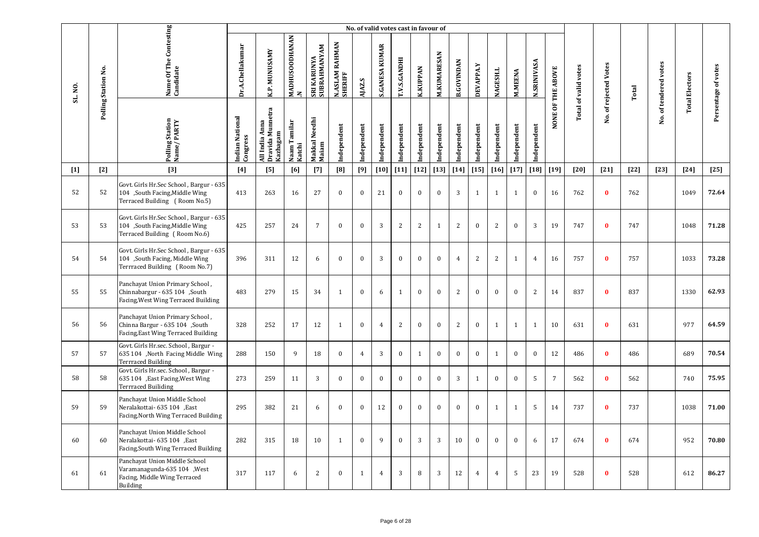|         |                     |                                                                                                             |                             |                                                |                                       |                                    |                           | No. of valid votes cast in favour of |                       |              |                 |                    |                   |                  |                 |                |                    |                   |                             |                       |        |                       |                       |                     |
|---------|---------------------|-------------------------------------------------------------------------------------------------------------|-----------------------------|------------------------------------------------|---------------------------------------|------------------------------------|---------------------------|--------------------------------------|-----------------------|--------------|-----------------|--------------------|-------------------|------------------|-----------------|----------------|--------------------|-------------------|-----------------------------|-----------------------|--------|-----------------------|-----------------------|---------------------|
| SL. NO. | Polling Station No. | Name Of The Contesting<br>Candidate                                                                         | Dr.A.Chellakumar            | <b>K.P. MUNUSAMY</b>                           | <b>MADHUSOODHANAN</b><br>$\mathbf{z}$ | SUBRAHMANYAM<br><b>SRI KARUNYA</b> | N.ASLAM RAHMAN<br>SHERIFF | AJAZ.S                               | <b>S.GANESA KUMAR</b> | T.V.S.GANDHI | <b>K.KUPPAN</b> | <b>M.KUMARESAN</b> | <b>B.GOVINDAN</b> | <b>DEVAPPA.Y</b> | <b>NAGESH.L</b> | <b>M.MEENA</b> | <b>N.SRINIVASA</b> | NONE OF THE ABOVE | <b>Total of valid votes</b> | No. of rejected Votes | Total  | No. of tendered votes | <b>Total Electors</b> | Persentage of votes |
|         |                     | <b>Polling Station</b><br>Name/PARTY                                                                        | Indian National<br>Congress | Dravida Munnetra<br>All India Anna<br>Kazhagam | Naam Tamilar<br>Katchi                | Makkal Needhi<br>Maiam             | Independent               | Independent                          | ndependent            | Independent  | Independent     | Independent        | Independent       | Independent      | Independent     | Independent    | Independent        |                   |                             |                       |        |                       |                       |                     |
| $[1]$   | $[2]$               | $[3]$                                                                                                       | $[4]$                       | [5]                                            | [6]                                   | $[7]$                              | [8]                       | [9]                                  | $[10]$                | $[11]$       | $[12]$          | $[13]$             | $[14]$            | $[15]$           | $[16]$          | $[17]$         | $[18]$             | $[19]$            | [20]                        | $[21]$                | $[22]$ | $[23]$                | $[24]$                | $[25]$              |
| 52      | 52                  | Govt. Girls Hr.Sec School, Bargur - 635<br>104 ,South Facing, Middle Wing<br>Terraced Building (Room No.5)  | 413                         | 263                                            | 16                                    | 27                                 | $\theta$                  | $\Omega$                             | 21                    | $\Omega$     | $\bf{0}$        | $\theta$           | 3                 | 1                | 1               | 1              | $\bf{0}$           | 16                | 762                         | $\mathbf{0}$          | 762    |                       | 1049                  | 72.64               |
| 53      | 53                  | Govt. Girls Hr.Sec School, Bargur - 635<br>104 ,South Facing, Middle Wing<br>Terraced Building (Room No.6)  | 425                         | 257                                            | 24                                    | $\overline{7}$                     | $\mathbf{0}$              | $\mathbf{0}$                         | 3                     | 2            | $\overline{c}$  | $\mathbf{1}$       | 2                 | $\bf{0}$         | 2               | $\mathbf{0}$   | 3                  | 19                | 747                         | $\bf{0}$              | 747    |                       | 1048                  | 71.28               |
| 54      | 54                  | Govt. Girls Hr.Sec School, Bargur - 635<br>104 ,South Facing, Middle Wing<br>Terrraced Building (Room No.7) | 396                         | 311                                            | 12                                    | 6                                  | $\mathbf{0}$              | $\mathbf{0}$                         | 3                     | $\bf{0}$     | $\bf{0}$        | $\mathbf{0}$       | $\overline{4}$    | 2                | 2               | $\mathbf{1}$   | $\overline{4}$     | 16                | 757                         | $\bf{0}$              | 757    |                       | 1033                  | 73.28               |
| 55      | 55                  | Panchayat Union Primary School,<br>Chinnabargur - 635 104 ,South<br>Facing, West Wing Terraced Building     | 483                         | 279                                            | 15                                    | 34                                 | $\mathbf{1}$              | $\mathbf{0}$                         | 6                     | $\mathbf{1}$ | $\mathbf{0}$    | $\mathbf{0}$       | 2                 | $\bf{0}$         | $\mathbf{0}$    | $\mathbf{0}$   | 2                  | 14                | 837                         | $\bf{0}$              | 837    |                       | 1330                  | 62.93               |
| 56      | 56                  | Panchayat Union Primary School,<br>Chinna Bargur - 635 104 ,South<br>Facing, East Wing Terraced Building    | 328                         | 252                                            | 17                                    | 12                                 | $\mathbf{1}$              | $\bf{0}$                             | $\overline{4}$        | 2            | $\bf{0}$        | $\bf{0}$           | 2                 | $\bf{0}$         | $\mathbf{1}$    | $\mathbf{1}$   | $\mathbf{1}$       | 10                | 631                         | $\bf{0}$              | 631    |                       | 977                   | 64.59               |
| 57      | 57                  | Govt. Girls Hr.sec. School, Bargur -<br>635 104 ,North Facing Middle Wing<br><b>Terrraced Building</b>      | 288                         | 150                                            | 9                                     | 18                                 | $\mathbf{0}$              | $\overline{4}$                       | 3                     | $\mathbf{0}$ | $\mathbf{1}$    | $\bf{0}$           | $\mathbf{0}$      | $\bf{0}$         | $\mathbf{1}$    | $\bf{0}$       | $\bf{0}$           | 12                | 486                         | $\mathbf{0}$          | 486    |                       | 689                   | 70.54               |
| 58      | 58                  | Govt. Girls Hr.sec. School, Bargur -<br>635 104 , East Facing, West Wing<br><b>Terrraced Builiding</b>      | 273                         | 259                                            | 11                                    | 3                                  | $\mathbf{0}$              | $\bf{0}$                             | $\mathbf{0}$          | $\mathbf{0}$ | $\mathbf{0}$    | $\mathbf{0}$       | $\overline{3}$    | $\mathbf{1}$     | $\mathbf{0}$    | $\mathbf{0}$   | 5                  | $\overline{7}$    | 562                         | $\mathbf{0}$          | 562    |                       | 740                   | 75.95               |
| 59      | 59                  | Panchayat Union Middle School<br>Neralakottai- 635 104 ,East<br>Facing, North Wing Terraced Building        | 295                         | 382                                            | 21                                    | 6                                  | $\mathbf{0}$              | $\mathbf{0}$                         | 12                    | $\mathbf{0}$ | $\bf{0}$        | $\mathbf{0}$       | $\mathbf{0}$      | $\mathbf{0}$     | 1               | $\mathbf{1}$   | 5                  | 14                | 737                         | $\bf{0}$              | 737    |                       | 1038                  | 71.00               |
| 60      | 60                  | Panchayat Union Middle School<br>Neralakottai- 635 104 , East<br>Facing, South Wing Terraced Building       | 282                         | 315                                            | 18                                    | 10                                 | $\mathbf{1}$              | $\mathbf{0}$                         | 9                     | $\mathbf{0}$ | 3               | 3                  | 10                | $\bf{0}$         | $\mathbf{0}$    | $\mathbf{0}$   | 6                  | 17                | 674                         | $\bf{0}$              | 674    |                       | 952                   | 70.80               |
| 61      | 61                  | Panchayat Union Middle School<br>Varamanagunda-635 104, West<br>Facing, Middle Wing Terraced<br>Building    | 317                         | 117                                            | 6                                     | 2                                  | $\mathbf{0}$              | $\mathbf{1}$                         | $\overline{4}$        | 3            | 8               | 3                  | 12                | $\overline{4}$   | $\overline{4}$  | 5              | 23                 | 19                | 528                         | $\bf{0}$              | 528    |                       | 612                   | 86.27               |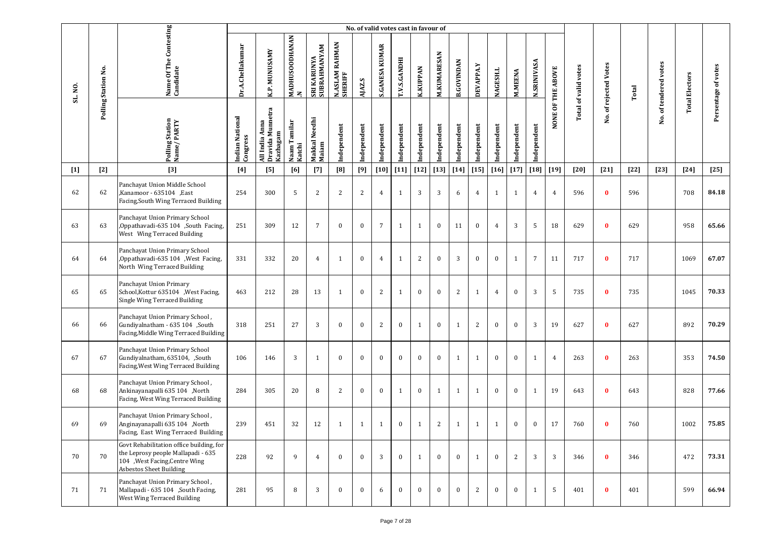|         |                     |                                                                                                                                                    |                             |                                                   |                                       |                             |                                | No. of valid votes cast in favour of |                       |                     |                 |                    |                   |                  |                 |                |                    |                   |                             |                       |        |                       |                       |                     |
|---------|---------------------|----------------------------------------------------------------------------------------------------------------------------------------------------|-----------------------------|---------------------------------------------------|---------------------------------------|-----------------------------|--------------------------------|--------------------------------------|-----------------------|---------------------|-----------------|--------------------|-------------------|------------------|-----------------|----------------|--------------------|-------------------|-----------------------------|-----------------------|--------|-----------------------|-----------------------|---------------------|
| SL. NO. | Polling Station No. | Name Of The Contesting<br>Candidate                                                                                                                | Dr.A.Chellakumar            | K.P. MUNUSAMY                                     | <b>MADHUSOODHANAN</b><br>$\mathbf{z}$ | SRI KARUNYA<br>SUBRAHMANYAM | RAHMAN<br>N.ASLAM I<br>SHERIFF | AJAZ.S                               | <b>S.GANESA KUMAR</b> | <b>T.V.S.GANDHI</b> | <b>K.KUPPAN</b> | <b>M.KUMARESAN</b> | <b>B.GOVINDAN</b> | <b>DEVAPPA.Y</b> | <b>NAGESH.L</b> | <b>M.MEENA</b> | <b>N.SRINIVASA</b> | NONE OF THE ABOVE | <b>Total of valid votes</b> | No. of rejected Votes | Total  | No. of tendered votes | <b>Total Electors</b> | Persentage of votes |
|         |                     | Polling Station<br>Name/PARTY                                                                                                                      | Indian National<br>Congress | Dravida Munnetra<br>Anna<br>Kazhagam<br>All India | Naam Tamilar<br>Katchi                | Makkal Needhi<br>Maiam      | Independent                    | Independent                          | Independent           | Independent         | Independent     | Independent        | Independent       | Independent      | Independent     | Independent    | Independent        |                   |                             |                       |        |                       |                       |                     |
| $[1]$   | $[2]$               | $[3]$                                                                                                                                              | $[4]$                       | [5]                                               | [6]                                   | $[7]$                       | [8]                            | [9]                                  | $[10]$                | $[11]$              | $[12]$          | $[13]$             | $[14]$            | $[15]$           | $[16]$          | $[17]$         | $\left[18\right]$  | $[19]$            | $[20]$                      | $[21]$                | $[22]$ | $[23]$                | $[24]$                | $[25]$              |
| 62      | 62                  | Panchayat Union Middle School<br>,Kanamoor - 635104, East<br>Facing, South Wing Terraced Building                                                  | 254                         | 300                                               | 5                                     | $\overline{2}$              | 2                              | $\overline{2}$                       | $\overline{4}$        | 1                   | 3               | 3                  | 6                 | 4                | 1               | $\mathbf{1}$   | $\overline{4}$     | 4                 | 596                         | $\bf{0}$              | 596    |                       | 708                   | 84.18               |
| 63      | 63                  | Panchayat Union Primary School<br>,Oppathavadi-635 104 ,South Facing,<br>West Wing Terraced Building                                               | 251                         | 309                                               | 12                                    | 7                           | $\mathbf{0}$                   | $\bf{0}$                             | 7                     | 1                   | $\mathbf{1}$    | $\bf{0}$           | 11                | $\bf{0}$         | $\overline{4}$  | 3              | 5                  | 18                | 629                         | $\bf{0}$              | 629    |                       | 958                   | 65.66               |
| 64      | 64                  | Panchayat Union Primary School<br>,Oppathavadi-635 104, West Facing,<br>North Wing Terraced Building                                               | 331                         | 332                                               | 20                                    | $\overline{4}$              | 1                              | $\bf{0}$                             | $\overline{4}$        | 1                   | 2               | $\bf{0}$           | 3                 | $\bf{0}$         | $\bf{0}$        | $\mathbf{1}$   | $\overline{7}$     | 11                | 717                         | $\bf{0}$              | 717    |                       | 1069                  | 67.07               |
| 65      | 65                  | Panchayat Union Primary<br>School, Kottur 635104 , West Facing,<br>Single Wing Terraced Building                                                   | 463                         | 212                                               | 28                                    | 13                          | $\mathbf{1}$                   | $\bf{0}$                             | 2                     | 1                   | $\bf{0}$        | $\bf{0}$           | 2                 | 1                | $\overline{4}$  | $\bf{0}$       | 3                  | 5                 | 735                         | $\bf{0}$              | 735    |                       | 1045                  | 70.33               |
| 66      | 66                  | Panchayat Union Primary School,<br>Gundiyalnatham - 635 104 ,South<br>Facing, Middle Wing Terraced Building                                        | 318                         | 251                                               | 27                                    | 3                           | $\mathbf{0}$                   | $\bf{0}$                             | 2                     | $\bf{0}$            | 1               | $\bf{0}$           | $\mathbf{1}$      | 2                | $\bf{0}$        | $\bf{0}$       | 3                  | 19                | 627                         | $\bf{0}$              | 627    |                       | 892                   | 70.29               |
| 67      | 67                  | Panchayat Union Primary School<br>Gundiyalnatham, 635104, ,South<br>Facing, West Wing Terraced Building                                            | 106                         | 146                                               | 3                                     | 1                           | $\bf{0}$                       | $\bf{0}$                             | $\bf{0}$              | $\mathbf{0}$        | $\bf{0}$        | $\bf{0}$           | $\mathbf{1}$      | 1                | $\bf{0}$        | $\bf{0}$       | 1                  | 4                 | 263                         | $\bf{0}$              | 263    |                       | 353                   | 74.50               |
| 68      | 68                  | Panchayat Union Primary School,<br>Ankinayanapalli 635 104 ,North<br>Facing, West Wing Terraced Building                                           | 284                         | 305                                               | 20                                    | 8                           | 2                              | $\bf{0}$                             | $\mathbf{0}$          | 1                   | $\bf{0}$        | 1                  | $\mathbf{1}$      | $\mathbf{1}$     | $\bf{0}$        | $\bf{0}$       | 1                  | 19                | 643                         | $\bf{0}$              | 643    |                       | 828                   | 77.66               |
| 69      | 69                  | , Panchayat Union Primary School<br>Anginayanapalli 635 104 ,North<br>Facing, East Wing Terraced Building                                          | 239                         | 451                                               | 32                                    | 12                          | 1                              | 1                                    | $\mathbf{1}$          | $\boldsymbol{0}$    | $\mathbf{1}$    | $\overline{2}$     | $\mathbf{1}$      | 1                | 1               | $\bf{0}$       | $\bf{0}$           | 17                | 760                         | $\bf{0}$              | 760    |                       | 1002                  | 75.85               |
| 70      | 70                  | Govt Rehabilitation office building, for<br>the Leprosy people Mallapadi - 635<br>104 , West Facing, Centre Wing<br><b>Asbestos Sheet Building</b> | 228                         | 92                                                | 9                                     | $\overline{4}$              | $\mathbf{0}$                   | $\mathbf{0}$                         | 3                     | $\bf{0}$            | 1               | $\bf{0}$           | $\bf{0}$          | $\mathbf{1}$     | $\bf{0}$        | 2              | 3                  | 3                 | 346                         | $\bf{0}$              | 346    |                       | 472                   | 73.31               |
| 71      | 71                  | Panchayat Union Primary School,<br>Mallapadi - 635 104 ,South Facing,<br>West Wing Terraced Building                                               | 281                         | 95                                                | 8                                     | 3                           | $\mathbf{0}$                   | $\mathbf{0}$                         | 6                     | $\mathbf{0}$        | $\mathbf{0}$    | $\bf{0}$           | $\bf{0}$          | 2                | $\bf{0}$        | $\bf{0}$       | $\mathbf{1}$       | 5                 | 401                         | $\bf{0}$              | 401    |                       | 599                   | 66.94               |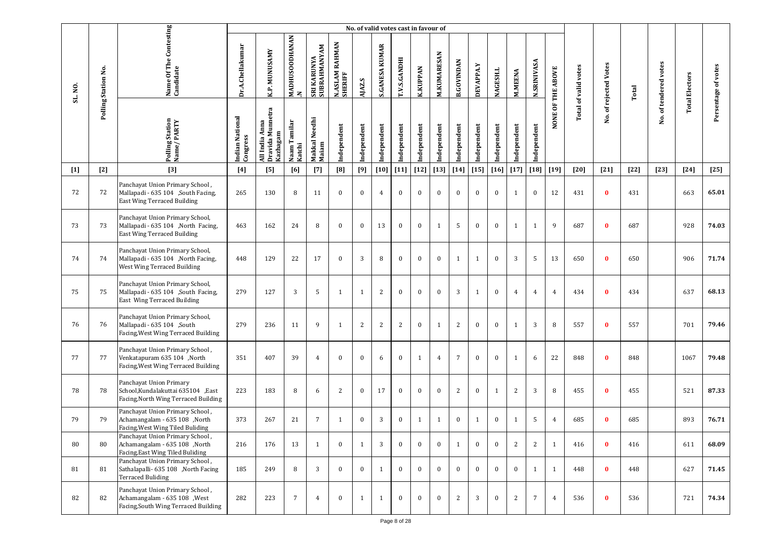|         |                     |                                                                                                          |                             |                                                      |                            |                             |                           | No. of valid votes cast in favour of |                       |                |                 |                    |                   |              |              |                |                    |                   |                             |                       |        |                       |                       |                     |
|---------|---------------------|----------------------------------------------------------------------------------------------------------|-----------------------------|------------------------------------------------------|----------------------------|-----------------------------|---------------------------|--------------------------------------|-----------------------|----------------|-----------------|--------------------|-------------------|--------------|--------------|----------------|--------------------|-------------------|-----------------------------|-----------------------|--------|-----------------------|-----------------------|---------------------|
| SL. NO. | Polling Station No. | Name Of The Contesting<br>Candidate                                                                      | Dr.A.Chellakumar            | K.P. MUNUSAMY                                        | <b>MADHUSOODHANAN</b><br>N | SRI KARUNYA<br>SUBRAHMANYAM | N.ASLAM RAHMAN<br>SHERIFF | AJAZ.S                               | <b>S.GANESA KUMAR</b> | T.V.S.GANDHI   | <b>K.KUPPAN</b> | <b>M.KUMARESAN</b> | <b>B.GOVINDAN</b> | DEVAPPA.Y    | NAGESH.L     | M.MEENA        | <b>N.SRINIVASA</b> | NONE OF THE ABOVE | <b>Total of valid votes</b> | No. of rejected Votes | Total  | No. of tendered votes | <b>Total Electors</b> | Persentage of votes |
|         |                     | Polling Station<br>Name/PARTY                                                                            | Indian National<br>Congress | Munnetra<br>Anna<br>Kazhagam<br>All India<br>Dravida | Naam Tamilar<br>Katchi     | Makkal Needhi<br>Maiam      | Independent               | Independent                          | Independent           | Independent    | Independent     | Independent        | Independent       | Independent  | Independent  | Independent    | Independent        |                   |                             |                       |        |                       |                       |                     |
| $[1]$   | $[2]$               | $[3]$                                                                                                    | [4]                         | [5]                                                  | [6]                        | $[7]$                       | [8]                       | $[9]$                                | $[10]$                | $[11]$         | $[12]$          | $[13]$             | $[14]$            | $[15]$       | $[16]$       | $[17]$         | $[18]$             | $[19]$            | [20]                        | $[21]$                | $[22]$ | $[23]$                | $[24]$                | $[25]$              |
| 72      | 72                  | Panchayat Union Primary School,<br>Mallapadi - 635 104 ,South Facing,<br>East Wing Terraced Building     | 265                         | 130                                                  | 8                          | 11                          | $\bf{0}$                  | $\bf{0}$                             | $\overline{4}$        | $\mathbf{0}$   | $\bf{0}$        | $\bf{0}$           | $\bf{0}$          | $\bf{0}$     | $\bf{0}$     | 1              | $\bf{0}$           | 12                | 431                         | $\bf{0}$              | 431    |                       | 663                   | 65.01               |
| 73      | 73                  | Panchayat Union Primary School,<br>Mallapadi - 635 104 ,North Facing,<br>East Wing Terraced Building     | 463                         | 162                                                  | 24                         | 8                           | $\bf{0}$                  | $\bf{0}$                             | 13                    | $\mathbf{0}$   | $\bf{0}$        | $\mathbf{1}$       | 5                 | $\bf{0}$     | $\bf{0}$     | 1              | 1                  | 9                 | 687                         | $\bf{0}$              | 687    |                       | 928                   | 74.03               |
| 74      | 74                  | Panchayat Union Primary School,<br>Mallapadi - 635 104 , North Facing,<br>West Wing Terraced Building    | 448                         | 129                                                  | 22                         | 17                          | $\bf{0}$                  | 3                                    | 8                     | $\bf{0}$       | $\bf{0}$        | $\bf{0}$           | 1                 | $\mathbf{1}$ | $\bf{0}$     | 3              | 5                  | 13                | 650                         | $\bf{0}$              | 650    |                       | 906                   | 71.74               |
| 75      | 75                  | Panchayat Union Primary School,<br>Mallapadi - 635 104 ,South Facing,<br>East Wing Terraced Building     | 279                         | 127                                                  | 3                          | 5                           | 1                         | 1                                    | 2                     | $\bf{0}$       | $\bf{0}$        | $\bf{0}$           | 3                 | 1            | $\bf{0}$     | $\overline{4}$ | 4                  | 4                 | 434                         | $\bf{0}$              | 434    |                       | 637                   | 68.13               |
| 76      | 76                  | Panchayat Union Primary School,<br>Mallapadi - 635 104 ,South<br>Facing, West Wing Terraced Building     | 279                         | 236                                                  | 11                         | 9                           | $\mathbf{1}$              | 2                                    | 2                     | $\overline{c}$ | $\bf{0}$        | $\mathbf{1}$       | $\sqrt{2}$        | $\bf{0}$     | $\bf{0}$     | 1              | 3                  | 8                 | 557                         | $\bf{0}$              | 557    |                       | 701                   | 79.46               |
| 77      | 77                  | Panchayat Union Primary School,<br>Venkatapuram 635 104 ,North<br>Facing, West Wing Terraced Building    | 351                         | 407                                                  | 39                         | $\overline{4}$              | $\bf{0}$                  | $\bf{0}$                             | 6                     | $\bf{0}$       | 1               | $\overline{4}$     | $\overline{7}$    | $\bf{0}$     | $\bf{0}$     | 1              | 6                  | 22                | 848                         | $\bf{0}$              | 848    |                       | 1067                  | 79.48               |
| 78      | 78                  | Panchayat Union Primary<br>School, Kundalakuttai 635104 , East<br>Facing, North Wing Terraced Building   | 223                         | 183                                                  | $\, 8$                     | 6                           | 2                         | $\bf{0}$                             | 17                    | $\mathbf{0}$   | $\bf{0}$        | $\bf{0}$           | 2                 | $\bf{0}$     | 1            | $\overline{2}$ | 3                  | 8                 | 455                         | $\bf{0}$              | 455    |                       | 521                   | 87.33               |
| 79      | 79                  | Panchayat Union Primary School,<br>Achamangalam - 635 108 ,North<br>Facing, West Wing Tiled Buliding     | 373                         | 267                                                  | 21                         | $\overline{7}$              | 1                         | $\bf{0}$                             | 3                     | $\bf{0}$       | 1               | $\mathbf{1}$       | $\boldsymbol{0}$  | $\mathbf{1}$ | $\bf{0}$     | 1              | 5                  | 4                 | 685                         | $\mathbf{0}$          | 685    |                       | 893                   | 76.71               |
| 80      | 80                  | Panchayat Union Primary School,<br>Achamangalam - 635 108 ,North<br>Facing, East Wing Tiled Buliding     | 216                         | 176                                                  | 13                         | 1                           | $\mathbf{0}$              | $\mathbf{1}$                         | 3                     | $\mathbf{0}$   | $\bf{0}$        | $\mathbf{0}$       | $\mathbf{1}$      | $\mathbf{0}$ | $\mathbf{0}$ | 2              | 2                  | 1                 | 416                         | $\bf{0}$              | 416    |                       | 611                   | 68.09               |
| 81      | 81                  | Panchayat Union Primary School,<br>Sathalapalli- 635 108 ,North Facing<br><b>Terraced Buliding</b>       | 185                         | 249                                                  | 8                          | 3                           | $\mathbf{0}$              | $\mathbf{0}$                         | 1                     | $\mathbf{0}$   | $\mathbf{0}$    | $\mathbf{0}$       | $\bf{0}$          | $\mathbf{0}$ | $\mathbf{0}$ | $\bf{0}$       | 1                  | $\mathbf{1}$      | 448                         | $\mathbf{0}$          | 448    |                       | 627                   | 71.45               |
| 82      | 82                  | Panchayat Union Primary School,<br>Achamangalam - 635 108 , West<br>Facing, South Wing Terraced Building | 282                         | 223                                                  | $\overline{7}$             | $\overline{4}$              | $\mathbf{0}$              | $\mathbf{1}$                         | 1                     | $\mathbf{0}$   | $\mathbf{0}$    | $\bf{0}$           | 2                 | 3            | $\mathbf{0}$ | 2              | $\overline{7}$     | $\overline{4}$    | 536                         | $\bf{0}$              | 536    |                       | 721                   | 74.34               |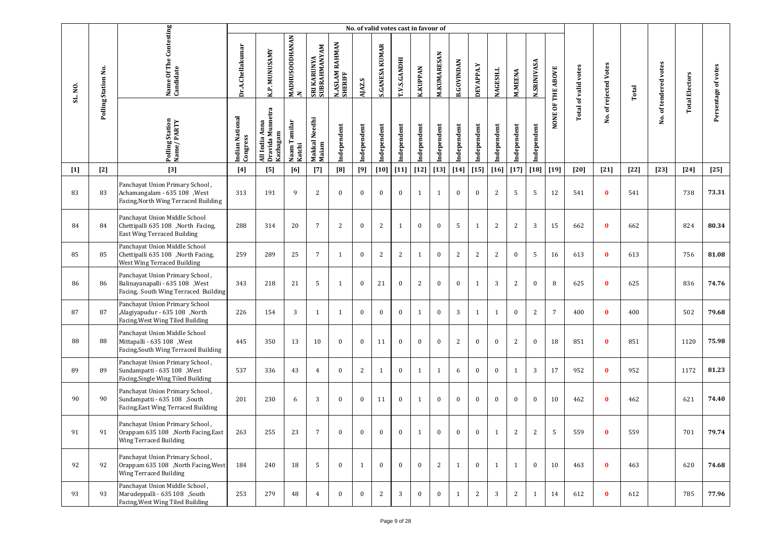|         |                     |                                                                                                             |                             |                                                   |                                       |                             |                           |              | No. of valid votes cast in favour of |              |                 |              |                   |                  |              |                |                    |                   |                             |                   |        |                       |                       |                     |
|---------|---------------------|-------------------------------------------------------------------------------------------------------------|-----------------------------|---------------------------------------------------|---------------------------------------|-----------------------------|---------------------------|--------------|--------------------------------------|--------------|-----------------|--------------|-------------------|------------------|--------------|----------------|--------------------|-------------------|-----------------------------|-------------------|--------|-----------------------|-----------------------|---------------------|
| SL. NO. | Polling Station No. | Name Of The Contesting<br>Candidate                                                                         | Dr.A.Chellakumar            | K.P. MUNUSAMY                                     | <b>MADHUSOODHANAN</b><br>$\mathbf{z}$ | SRI KARUNYA<br>SUBRAHMANYAM | N.ASLAM RAHMAN<br>SHERIFF | AJAZ.S       | <b>S.GANESA KUMAR</b>                | T.V.S.GANDHI | <b>K.KUPPAN</b> | M.KUMARESAN  | <b>B.GOVINDAN</b> | <b>DEVAPPA.Y</b> | NAGESH.L     | <b>M.MEENA</b> | <b>N.SRINIVASA</b> | NONE OF THE ABOVE | <b>Total of valid votes</b> | of rejected Votes | Total  | No. of tendered votes | <b>Total Electors</b> | Persentage of votes |
|         |                     | Polling Station<br>Name/PARTY                                                                               | Indian National<br>Congress | Dravida Munnetra<br>Kazhagam<br>Anna<br>All India | Naam Tamilar<br>Katchi                | Makkal Needhi<br>Maiam      | Independent               | Independent  | Independent                          | Independent  | Independent     | Independent  | Independent       | Independent      | Independent  | Independent    | Independent        |                   |                             | Νo.               |        |                       |                       |                     |
| $[1]$   | $[2]$               | $[3]$                                                                                                       | $[4]$                       | [5]                                               | [6]                                   | $[7]$                       | [8]                       | [9]          | $[10]$                               | $[11]$       | $[12]$          | $[13]$       | $[14]$            | $[15]$           | $[16]$       | $[17]$         | $[18]$             | $[19]$            | $[20]$                      | $[21]$            | $[22]$ | $[23]$                | $[24]$                | $[25]$              |
| 83      | 83                  | Panchayat Union Primary School,<br>Achamangalam - 635 108 , West<br>Facing, North Wing Terraced Building    | 313                         | 191                                               | 9                                     | 2                           | $\mathbf{0}$              | $\bf{0}$     | $\mathbf{0}$                         | $\mathbf{0}$ | 1               | $\mathbf{1}$ | $\mathbf{0}$      | $\bf{0}$         | 2            | 5              | 5                  | 12                | 541                         | $\bf{0}$          | 541    |                       | 738                   | 73.31               |
| 84      | 84                  | Panchayat Union Middle School<br>Chettipalli 635 108 ,North Facing,<br><b>East Wing Terraced Building</b>   | 288                         | 314                                               | 20                                    | $\overline{7}$              | 2                         | $\bf{0}$     | 2                                    | 1            | $\bf{0}$        | $\bf{0}$     | 5                 | 1                | 2            | 2              | 3                  | 15                | 662                         | $\bf{0}$          | 662    |                       | 824                   | 80.34               |
| 85      | 85                  | Panchayat Union Middle School<br>Chettipalli 635 108 ,North Facing,<br>West Wing Terraced Building          | 259                         | 289                                               | 25                                    | $7\overline{ }$             | $\mathbf{1}$              | $\mathbf{0}$ | 2                                    | 2            | $\mathbf{1}$    | $\bf{0}$     | $\overline{c}$    | 2                | 2            | $\mathbf{0}$   | 5                  | 16                | 613                         | $\bf{0}$          | 613    |                       | 756                   | 81.08               |
| 86      | 86                  | Panchayat Union Primary School,<br>Balinayanapalli - 635 108 , West<br>Facing, South Wing Terraced Building | 343                         | 218                                               | 21                                    | 5                           | 1                         | $\mathbf{0}$ | 21                                   | $\bf{0}$     | 2               | $\bf{0}$     | $\bf{0}$          | 1                | 3            | $\overline{2}$ | $\bf{0}$           | 8                 | 625                         | $\bf{0}$          | 625    |                       | 836                   | 74.76               |
| 87      | 87                  | Panchayat Union Primary School<br>,Alagiyapudur - 635 108, North<br>Facing, West Wing Tiled Building        | 226                         | 154                                               | 3                                     | $\mathbf{1}$                | 1                         | $\mathbf{0}$ | $\mathbf{0}$                         | $\mathbf{0}$ | $\mathbf{1}$    | $\bf{0}$     | 3                 | 1                | 1            | $\mathbf{0}$   | $\mathbf{2}$       | $\overline{7}$    | 400                         | $\bf{0}$          | 400    |                       | 502                   | 79.68               |
| 88      | 88                  | Panchayat Union Middle School<br>Mittapalli - 635 108 , West<br>Facing, South Wing Terraced Building        | 445                         | 350                                               | 13                                    | 10                          | $\mathbf{0}$              | $\mathbf{0}$ | 11                                   | $\mathbf{0}$ | $\mathbf{0}$    | $\bf{0}$     | $\sqrt{2}$        | $\mathbf{0}$     | $\bf{0}$     | 2              | $\bf{0}$           | 18                | 851                         | $\bf{0}$          | 851    |                       | 1120                  | 75.98               |
| 89      | 89                  | Panchayat Union Primary School,<br>Sundampatti - 635 108 , West<br>Facing, Single Wing Tiled Building       | 537                         | 336                                               | 43                                    | $\overline{4}$              | $\mathbf{0}$              | 2            | $\mathbf{1}$                         | $\bf{0}$     | $\mathbf{1}$    | 1            | 6                 | $\mathbf{0}$     | $\bf{0}$     | $\mathbf{1}$   | 3                  | 17                | 952                         | $\bf{0}$          | 952    |                       | 1172                  | 81.23               |
| 90      | 90                  | Panchayat Union Primary School,<br>Sundampatti - 635 108 ,South<br>Facing, East Wing Terraced Building      | 201                         | 230                                               | 6                                     | 3                           | $\bf{0}$                  | $\bf{0}$     | 11                                   | $\bf{0}$     | 1               | $\bf{0}$     | $\bf{0}$          | $\bf{0}$         | $\bf{0}$     | $\mathbf{0}$   | $\bf{0}$           | 10                | 462                         | $\bf{0}$          | 462    |                       | 621                   | 74.40               |
| 91      | 91                  | Panchayat Union Primary School,<br>Orappam 635 108 ,North Facing,East<br>Wing Terraced Building             | 263                         | 255                                               | 23                                    | $7\overline{ }$             | $\Omega$                  | $\bf{0}$     | $\mathbf{0}$                         | $\bf{0}$     | 1               | $\bf{0}$     | $\bf{0}$          | $\bf{0}$         | 1            | 2              | 2                  | 5                 | 559                         | $\mathbf{0}$      | 559    |                       | 701                   | 79.74               |
| 92      | 92                  | Panchayat Union Primary School,<br>Orappam 635 108 ,North Facing, West<br><b>Wing Terraced Building</b>     | 184                         | 240                                               | 18                                    | 5                           | $\theta$                  | 1            | $\mathbf{0}$                         | $\mathbf{0}$ | $\mathbf{0}$    | 2            | $\mathbf{1}$      | $\mathbf{0}$     | $\mathbf{1}$ | $\mathbf{1}$   | $\bf{0}$           | 10                | 463                         | $\bf{0}$          | 463    |                       | 620                   | 74.68               |
| 93      | 93                  | Panchayat Union Middle School,<br>Marudeppalli - 635 108 ,South<br>Facing, West Wing Tiled Building         | 253                         | 279                                               | 48                                    | $\overline{4}$              | $\mathbf{0}$              | $\mathbf{0}$ | 2                                    | 3            | $\bf{0}$        | $\bf{0}$     | $\mathbf{1}$      | 2                | 3            | $\mathbf{2}$   | 1                  | 14                | 612                         | $\bf{0}$          | 612    |                       | 785                   | 77.96               |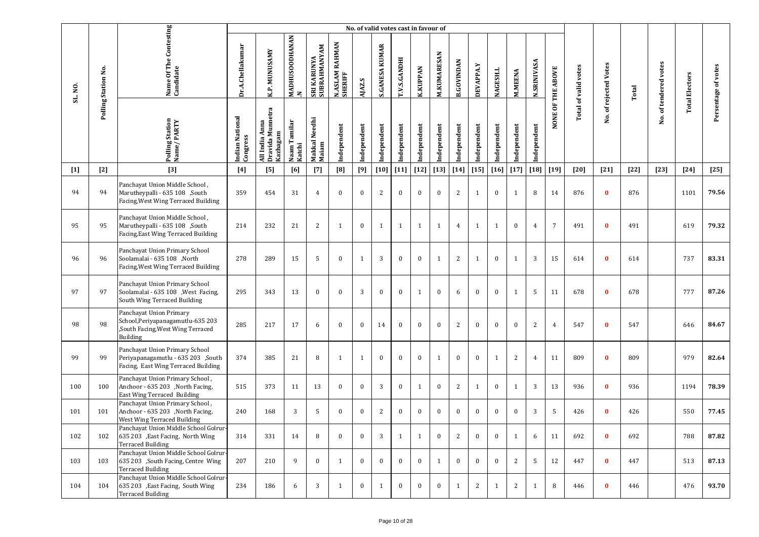|         |                     |                                                                                                               |                             |                                                |                         |                             |                                     |              | No. of valid votes cast in favour of |              |                 |                    |                   |             |                 |                |                    |                   |                      |                       |        |                       |                       |                     |
|---------|---------------------|---------------------------------------------------------------------------------------------------------------|-----------------------------|------------------------------------------------|-------------------------|-----------------------------|-------------------------------------|--------------|--------------------------------------|--------------|-----------------|--------------------|-------------------|-------------|-----------------|----------------|--------------------|-------------------|----------------------|-----------------------|--------|-----------------------|-----------------------|---------------------|
| SL. NO. | Polling Station No. | Name Of The Contesting<br>Candidate                                                                           | Dr.A.Chellakumar            | K.P. MUNUSAMY                                  | MADHUSOODHANAN<br>.N    | SRI KARUNYA<br>SUBRAHMANYAM | <b>RAHMAN</b><br>N.ASLAM<br>SHERIFF | AJAZ.S       | <b>S.GANESA KUMAR</b>                | T.V.S.GANDHI | <b>K.KUPPAN</b> | <b>M.KUMARESAN</b> | <b>B.GOVINDAN</b> | DEVAPPA.Y   | <b>NAGESH.L</b> | <b>M.MEENA</b> | <b>N.SRINIVASA</b> | NONE OF THE ABOVE | Total of valid votes | No. of rejected Votes | Total  | No. of tendered votes | <b>Total Electors</b> | Persentage of votes |
|         |                     | Polling Station<br>Name/PARTY                                                                                 | Indian National<br>Congress | Dravida Munnetra<br>All India Anna<br>Kazhagam | Naam Tamilar<br> Katchi | Makkal Needhi<br>Maiam      | Independent                         | Independent  | Independent                          | Independent  | Independent     | Independent        | Independent       | Independent | Independent     | Independent    | Independent        |                   |                      |                       |        |                       |                       |                     |
| $[1]$   | $[2]$               | $[3]$                                                                                                         | $[4]$                       | [5]                                            | [6]                     | $[7]$                       | [8]                                 | $[9]$        | $[10]$                               | $[11]$       | $[12]$          | $[13]$             | $[14]$            | $[15]$      | $[16]$          | $[17]$         | $[18]$             | $[19]$            | $[20]$               | $[21]$                | $[22]$ | $[23]$                | $[24]$                | $[25]$              |
| 94      | 94                  | Panchayat Union Middle School,<br>Marutheypalli - 635 108 ,South<br>Facing, West Wing Terraced Building       | 359                         | 454                                            | 31                      | $\overline{4}$              | $\bf{0}$                            | $\bf{0}$     | 2                                    | $\bf{0}$     | $\bf{0}$        | $\bf{0}$           | 2                 | 1           | $\mathbf{0}$    | $\mathbf{1}$   | 8                  | 14                | 876                  | $\bf{0}$              | 876    |                       | 1101                  | 79.56               |
| 95      | 95                  | Panchayat Union Middle School,<br>Marutheypalli - 635 108 ,South<br>Facing, East Wing Terraced Building       | 214                         | 232                                            | 21                      | 2                           | $\mathbf{1}$                        | $\bf{0}$     | $\mathbf{1}$                         | 1            | $\mathbf{1}$    | $\mathbf{1}$       | $\overline{4}$    | 1           | 1               | $\bf{0}$       | $\overline{4}$     | 7                 | 491                  | $\bf{0}$              | 491    |                       | 619                   | 79.32               |
| 96      | 96                  | Panchayat Union Primary School<br>Soolamalai - 635 108 ,North<br>Facing, West Wing Terraced Building          | 278                         | 289                                            | 15                      | -5                          | $\mathbf{0}$                        | $\mathbf{1}$ | 3                                    | $\bf{0}$     | $\bf{0}$        | $\mathbf{1}$       | 2                 | 1           | $\bf{0}$        | 1              | 3                  | 15                | 614                  | $\bf{0}$              | 614    |                       | 737                   | 83.31               |
| 97      | 97                  | Panchayat Union Primary School<br>Soolamalai - 635 108 , West Facing,<br>South Wing Terraced Building         | 295                         | 343                                            | 13                      | $\bf{0}$                    | $\bf{0}$                            | 3            | $\bf{0}$                             | $\bf{0}$     | $\mathbf{1}$    | $\bf{0}$           | 6                 | $\bf{0}$    | $\mathbf{0}$    | 1              | 5                  | 11                | 678                  | $\bf{0}$              | 678    |                       | 777                   | 87.26               |
| 98      | 98                  | Panchayat Union Primary<br>School, Periyapanagamutlu-635 203<br>,South Facing, West Wing Terraced<br>Building | 285                         | 217                                            | 17                      | 6                           | $\mathbf{0}$                        | $\bf{0}$     | 14                                   | $\bf{0}$     | $\bf{0}$        | $\bf{0}$           | 2                 | $\bf{0}$    | $\bf{0}$        | $\bf{0}$       | 2                  | $\overline{4}$    | 547                  | $\bf{0}$              | 547    |                       | 646                   | 84.67               |
| 99      | 99                  | Panchayat Union Primary School<br>Periyapanagamutlu - 635 203 ,South<br>Facing, East Wing Terraced Building   | 374                         | 385                                            | 21                      | 8                           | $\mathbf{1}$                        | $\mathbf{1}$ | $\bf{0}$                             | $\mathbf{0}$ | $\bf{0}$        | $\mathbf{1}$       | $\bf{0}$          | $\bf{0}$    | $\mathbf{1}$    | $\overline{c}$ | $\overline{4}$     | 11                | 809                  | $\bf{0}$              | 809    |                       | 979                   | 82.64               |
| 100     | 100                 | Panchayat Union Primary School,<br>Anchoor - 635 203 , North Facing,<br>East Wing Terraced Building           | 515                         | 373                                            | 11                      | 13                          | $\bf{0}$                            | $\bf{0}$     | 3                                    | $\bf{0}$     | $\mathbf{1}$    | $\bf{0}$           | $\overline{2}$    | 1           | $\mathbf{0}$    | $\mathbf{1}$   | 3                  | 13                | 936                  | $\bf{0}$              | 936    |                       | 1194                  | 78.39               |
| 101     | 101                 | Panchayat Union Primary School,<br>Anchoor - 635 203 , North Facing,<br>West Wing Terraced Building           | 240                         | 168                                            | 3                       | -5                          | $\bf{0}$                            | $\bf{0}$     | 2                                    | $\bf{0}$     | $\bf{0}$        | $\bf{0}$           | $\bf{0}$          | $\bf{0}$    | $\bf{0}$        | $\bf{0}$       | 3                  | 5                 | 426                  | $\bf{0}$              | 426    |                       | 550                   | 77.45               |
| 102     | 102                 | Panchayat Union Middle School Golrur-<br>635 203 , East Facing, North Wing<br><b>Terraced Building</b>        | 314                         | 331                                            | 14                      | 8                           | $\mathbf{0}$                        | $\bf{0}$     | 3                                    | 1            | 1               | $\bf{0}$           | 2                 | $\bf{0}$    | $\bf{0}$        | 1              | 6                  | 11                | 692                  | $\bf{0}$              | 692    |                       | 788                   | 87.82               |
| 103     | 103                 | Panchayat Union Middle School Golrur-<br>635 203 ,South Facing, Centre Wing<br><b>Terraced Building</b>       | 207                         | 210                                            | 9                       | $\bf{0}$                    | $\mathbf{1}$                        | $\bf{0}$     | $\mathbf{0}$                         | $\mathbf{0}$ | $\mathbf{0}$    | 1                  | $\bf{0}$          | $\bf{0}$    | $\mathbf{0}$    | $\overline{2}$ | 5                  | 12                | 447                  | $\bf{0}$              | 447    |                       | 513                   | 87.13               |
| 104     | 104                 | Panchayat Union Middle School Golrur-<br>635 203 , East Facing, South Wing<br><b>Terraced Building</b>        | 234                         | 186                                            | 6                       | 3                           | $\mathbf{1}$                        | $\bf{0}$     | 1                                    | $\mathbf{0}$ | $\mathbf{0}$    | $\bf{0}$           | 1                 | 2           | 1               | $\mathbf{2}$   | 1                  | 8                 | 446                  | $\bf{0}$              | 446    |                       | 476                   | 93.70               |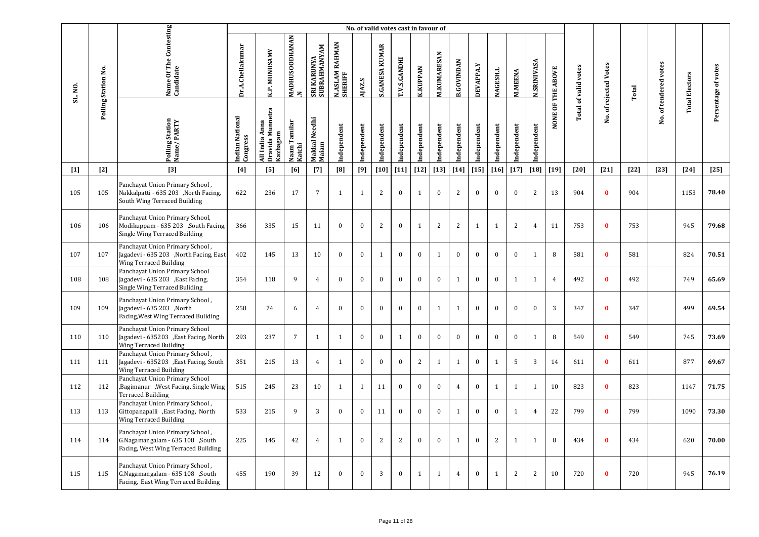|         |                     |                                                                                                             |                             |                                                |                          |                             |                                       | No. of valid votes cast in favour of |                       |                     |                 |                    |                   |              |              |                |                    |                   |                             |                       |        |                       |                       |                     |
|---------|---------------------|-------------------------------------------------------------------------------------------------------------|-----------------------------|------------------------------------------------|--------------------------|-----------------------------|---------------------------------------|--------------------------------------|-----------------------|---------------------|-----------------|--------------------|-------------------|--------------|--------------|----------------|--------------------|-------------------|-----------------------------|-----------------------|--------|-----------------------|-----------------------|---------------------|
| SL. NO. | Polling Station No. | Name Of The Contesting<br>Candidate                                                                         | Dr.A.Chellakumar            | K.P. MUNUSAMY                                  | MADHUSOODHANAN<br>$\geq$ | SRI KARUNYA<br>SUBRAHMANYAM | <b>RAHMAN</b><br>N.ASLAM I<br>SHERIFF | AJAZ.S                               | <b>S.GANESA KUMAR</b> | <b>T.V.S.GANDHI</b> | <b>K.KUPPAN</b> | <b>M.KUMARESAN</b> | <b>B.GOVINDAN</b> | DEVAPPA.Y    | NAGESH.L     | <b>M.MEENA</b> | <b>N.SRINIVASA</b> | NONE OF THE ABOVE | <b>Total of valid votes</b> | No. of rejected Votes | Total  | No. of tendered votes | <b>Total Electors</b> | Persentage of votes |
|         |                     | Polling Station<br>Name/PARTY                                                                               | Indian National<br>Congress | Dravida Munnetra<br>All India Anna<br>Kazhagam | Naam Tamilar<br>Katchi   | Makkal Needhi<br>Maiam      | Independent                           | ndependent                           | ndependent            | Independent         | Independent     | Independent        | Independent       | Independent  | Independent  | ndependent     | Independent        |                   |                             |                       |        |                       |                       |                     |
| $[1]$   | $[2]$               | $[3]$                                                                                                       | $[4]$                       | [5]                                            | [6]                      | $[7]$                       | [8]                                   | [9]                                  | $[10]$                | $[11]$              | $[12]$          | $[13]$             | $[14]$            | $[15]$       | $[16]$       | $[17]$         | $[18]$             | $[19]$            | $[20]$                      | $[21]$                | $[22]$ | $[23]$                | $[24]$                | $[25]$              |
| 105     | 105                 | Panchayat Union Primary School,<br>Nakkalpatti - 635 203 , North Facing,<br>South Wing Terraced Building    | 622                         | 236                                            | 17                       | $7\overline{ }$             | $\mathbf{1}$                          | 1                                    | 2                     | $\mathbf{0}$        | $\mathbf{1}$    | $\mathbf{0}$       | $\overline{2}$    | $\mathbf{0}$ | $\mathbf{0}$ | $\mathbf{0}$   | 2                  | 13                | 904                         | $\bf{0}$              | 904    |                       | 1153                  | 78.40               |
| 106     | 106                 | Panchayat Union Primary School,<br>Modikuppam - 635 203 , South Facing,<br>Single Wing Terraced Building    | 366                         | 335                                            | 15                       | 11                          | $\bf{0}$                              | $\bf{0}$                             | 2                     | $\bf{0}$            | $\mathbf{1}$    | 2                  | 2                 | $\mathbf{1}$ | $\mathbf{1}$ | $\sqrt{2}$     | $\overline{4}$     | 11                | 753                         | $\mathbf{0}$          | 753    |                       | 945                   | 79.68               |
| 107     | 107                 | Panchayat Union Primary School,<br>Jagadevi - 635 203 , North Facing, East<br><b>Wing Terraced Building</b> | 402                         | 145                                            | 13                       | 10                          | $\mathbf{0}$                          | $\mathbf{0}$                         | $\mathbf{1}$          | $\mathbf{0}$        | $\mathbf{0}$    | 1                  | $\mathbf{0}$      | $\mathbf{0}$ | $\mathbf{0}$ | $\mathbf{0}$   | $\mathbf{1}$       | 8                 | 581                         | $\bf{0}$              | 581    |                       | 824                   | 70.51               |
| 108     | 108                 | Panchayat Union Primary School<br>Jagadevi - 635 203 , East Facing,<br>Single Wing Terraced Buliding        | 354                         | 118                                            | 9                        | $\overline{4}$              | $\mathbf{0}$                          | $\mathbf{0}$                         | $\mathbf{0}$          | $\mathbf{0}$        | $\mathbf{0}$    | $\mathbf{0}$       | $\mathbf{1}$      | $\mathbf{0}$ | $\mathbf{0}$ | $\mathbf{1}$   | 1                  | $\overline{4}$    | 492                         | $\mathbf{0}$          | 492    |                       | 749                   | 65.69               |
| 109     | 109                 | Panchayat Union Primary School,<br>Jagadevi - 635 203 , North<br>Facing, West Wing Terraced Buliding        | 258                         | 74                                             | 6                        | $\overline{4}$              | $\mathbf{0}$                          | $\bf{0}$                             | $\bf{0}$              | $\mathbf{0}$        | $\mathbf{0}$    | 1                  | $\mathbf{1}$      | $\bf{0}$     | $\mathbf{0}$ | $\bf{0}$       | $\bf{0}$           | 3                 | 347                         | $\bf{0}$              | 347    |                       | 499                   | 69.54               |
| 110     | 110                 | Panchayat Union Primary School<br>Jagadevi - 635203 , East Facing, North<br>Wing Terraced Building          | 293                         | 237                                            | $\overline{7}$           | $\mathbf{1}$                | $\overline{1}$                        | $\mathbf{0}$                         | $\mathbf{0}$          | $\mathbf{1}$        | $\mathbf{0}$    | $\mathbf{0}$       | $\mathbf{0}$      | $\mathbf{0}$ | $\mathbf{0}$ | $\mathbf{0}$   | $\mathbf{1}$       | 8                 | 549                         | $\mathbf{0}$          | 549    |                       | 745                   | 73.69               |
| 111     | 111                 | Panchayat Union Primary School,<br>Jagadevi - 635203 , East Facing, South<br>Wing Terraced Building         | 351                         | 215                                            | 13                       | $\overline{4}$              | $\mathbf{1}$                          | $\mathbf{0}$                         | $\mathbf{0}$          | $\mathbf{0}$        | 2               | 1                  | $\mathbf{1}$      | $\bf{0}$     | 1            | 5              | 3                  | 14                | 611                         | $\bf{0}$              | 611    |                       | 877                   | 69.67               |
| 112     | 112                 | Panchayat Union Primary School<br>,Bagimanur, West Facing, Single Wing<br><b>Terraced Building</b>          | 515                         | 245                                            | 23                       | 10                          | $\mathbf{1}$                          | 1                                    | 11                    | $\mathbf{0}$        | $\mathbf{0}$    | $\bf{0}$           | $\overline{4}$    | $\mathbf{0}$ | 1            | $\mathbf{1}$   | 1                  | 10                | 823                         | $\bf{0}$              | 823    |                       | 1147                  | 71.75               |
| 113     | 113                 | Panchayat Union Primary School,<br>Gittopanapalli , East Facing, North<br>Wing Terraced Building            | 533                         | 215                                            | 9                        | 3                           | $\mathbf{0}$                          | $\mathbf{0}$                         | 11                    | $\mathbf{0}$        | $\mathbf{0}$    | $\mathbf{0}$       | 1                 | $\bf{0}$     | $\mathbf{0}$ | 1              | $\overline{4}$     | 22                | 799                         | $\bf{0}$              | 799    |                       | 1090                  | 73.30               |
| 114     | 114                 | Panchayat Union Primary School,<br>G.Nagamangalam - 635 108 ,South<br>Facing, West Wing Terraced Building   | 225                         | 145                                            | 42                       | $\overline{4}$              | $\mathbf{1}$                          | $\mathbf{0}$                         | 2                     | 2                   | $\bf{0}$        | $\mathbf{0}$       | $\mathbf{1}$      | $\bf{0}$     | 2            | 1              | 1                  | 8                 | 434                         | $\bf{0}$              | 434    |                       | 620                   | 70.00               |
| 115     | 115                 | Panchayat Union Primary School,<br>G.Nagamangalam - 635 108 ,South<br>Facing, East Wing Terraced Building   | 455                         | 190                                            | 39                       | 12                          | $\mathbf{0}$                          | $\mathbf{0}$                         | 3                     | $\mathbf{0}$        | $\mathbf{1}$    | $\mathbf{1}$       | $\overline{4}$    | $\bf{0}$     | $\mathbf{1}$ | $\mathbf{2}$   | 2                  | 10                | 720                         | $\mathbf{0}$          | 720    |                       | 945                   | 76.19               |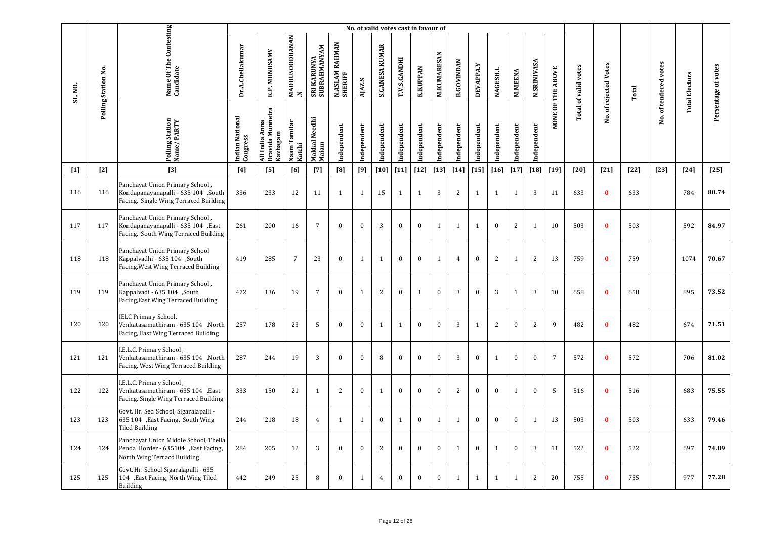|         |                     |                                                                                                                 |                             |                                                |                                       |                                    |                           | No. of valid votes cast in favour of |                       |              |                  |                    |                   |                  |                 |                |                    |                   |                             |                       |        |                       |                       |                     |
|---------|---------------------|-----------------------------------------------------------------------------------------------------------------|-----------------------------|------------------------------------------------|---------------------------------------|------------------------------------|---------------------------|--------------------------------------|-----------------------|--------------|------------------|--------------------|-------------------|------------------|-----------------|----------------|--------------------|-------------------|-----------------------------|-----------------------|--------|-----------------------|-----------------------|---------------------|
| SL. NO. | Polling Station No. | Name Of The Contesting<br>Candidate                                                                             | Dr.A.Chellakumar            | K.P. MUNUSAMY                                  | <b>MADHUSOODHANAN</b><br>$\mathbf{z}$ | SUBRAHMANYAM<br><b>SRI KARUNYA</b> | N.ASLAM RAHMAN<br>SHERIFF | AJAZ.S                               | <b>S.GANESA KUMAR</b> | T.V.S.GANDHI | <b>K.KUPPAN</b>  | <b>M.KUMARESAN</b> | <b>B.GOVINDAN</b> | <b>DEVAPPA.Y</b> | <b>NAGESH.L</b> | <b>M.MEENA</b> | <b>N.SRINIVASA</b> | NONE OF THE ABOVE | <b>Total of valid votes</b> | No. of rejected Votes | Total  | No. of tendered votes | <b>Total Electors</b> | Persentage of votes |
|         |                     | <b>Polling Station</b><br>Name/PARTY                                                                            | Indian National<br>Congress | Dravida Munnetra<br>All India Anna<br>Kazhagam | Naam Tamilar<br>Katchi                | Makkal Needhi<br>Maiam             | Independent               | Independent                          | ndependent            | Independent  | Independent      | Independent        | Independent       | Independent      | Independent     | Independent    | Independent        |                   |                             |                       |        |                       |                       |                     |
| $[1]$   | $[2]$               | $[3]$                                                                                                           | $[4]$                       | [5]                                            | [6]                                   | $[7]$                              | [8]                       | [9]                                  | $[10]$                | $[11]$       | $[12]$           | $[13]$             | $[14]$            | $[15]$           | $[16]$          | $[17]$         | $[18]$             | $[19]$            | [20]                        | $[21]$                | $[22]$ | $[23]$                | $[24]$                | $[25]$              |
| 116     | 116                 | Panchayat Union Primary School,<br>Kondapanayanapalli - 635 104 ,South<br>Facing, Single Wing Terraced Building | 336                         | 233                                            | 12                                    | 11                                 | $\mathbf{1}$              | $\mathbf{1}$                         | 15                    | 1            | $\mathbf{1}$     | 3                  | 2                 | $\mathbf{1}$     | 1               | $\mathbf{1}$   | 3                  | 11                | 633                         | $\mathbf{0}$          | 633    |                       | 784                   | 80.74               |
| 117     | 117                 | Panchayat Union Primary School,<br>Kondapanayanapalli - 635 104, East<br>Facing, South Wing Terraced Building   | 261                         | 200                                            | 16                                    | $\overline{7}$                     | $\mathbf{0}$              | $\mathbf{0}$                         | 3                     | $\mathbf{0}$ | $\bf{0}$         | $\mathbf{1}$       | $\mathbf{1}$      | $\mathbf{1}$     | $\mathbf{0}$    | $\mathbf{2}$   | $\mathbf{1}$       | 10                | 503                         | $\mathbf{0}$          | 503    |                       | 592                   | 84.97               |
| 118     | 118                 | Panchayat Union Primary School<br>Kappalvadhi - 635 104 ,South<br>Facing, West Wing Terraced Building           | 419                         | 285                                            | $\overline{7}$                        | 23                                 | $\mathbf{0}$              | $\mathbf{1}$                         | $\mathbf{1}$          | $\bf{0}$     | $\bf{0}$         | $\mathbf{1}$       | $\overline{4}$    | $\mathbf{0}$     | 2               | $\mathbf{1}$   | $\overline{c}$     | 13                | 759                         | $\bf{0}$              | 759    |                       | 1074                  | 70.67               |
| 119     | 119                 | Panchayat Union Primary School,<br>Kappalvadi - 635 104 ,South<br>Facing, East Wing Terraced Building           | 472                         | 136                                            | 19                                    | $\overline{7}$                     | $\mathbf{0}$              | $\mathbf{1}$                         | 2                     | $\mathbf{0}$ | $\mathbf{1}$     | $\mathbf{0}$       | 3                 | $\mathbf{0}$     | 3               | $\mathbf{1}$   | 3                  | 10                | 658                         | $\bf{0}$              | 658    |                       | 895                   | 73.52               |
| 120     | 120                 | <b>IELC Primary School,</b><br>Venkatasamuthiram - 635 104 , North<br>Facing, East Wing Terraced Building       | 257                         | 178                                            | 23                                    | 5                                  | $\mathbf{0}$              | $\bf{0}$                             | $\mathbf{1}$          | $\mathbf{1}$ | $\bf{0}$         | $\bf{0}$           | 3                 | $\mathbf{1}$     | 2               | $\mathbf{0}$   | 2                  | 9                 | 482                         | $\bf{0}$              | 482    |                       | 674                   | 71.51               |
| 121     | 121                 | I.E.L.C. Primary School,<br>Venkatasamuthiram - 635 104 ,North<br>Facing, West Wing Terraced Building           | 287                         | 244                                            | 19                                    | 3                                  | $\mathbf{0}$              | $\mathbf{0}$                         | 8                     | $\mathbf{0}$ | $\mathbf{0}$     | $\mathbf{0}$       | 3                 | $\mathbf{0}$     | $\mathbf{1}$    | $\mathbf{0}$   | $\mathbf{0}$       | $\overline{7}$    | 572                         | $\bf{0}$              | 572    |                       | 706                   | 81.02               |
| 122     | 122                 | I.E.L.C. Primary School,<br>Venkatasamuthiram - 635 104 , East<br>Facing, Single Wing Terraced Building         | 333                         | 150                                            | 21                                    | $\mathbf{1}$                       | 2                         | $\bf{0}$                             | $\mathbf{1}$          | $\bf{0}$     | $\mathbf{0}$     | $\bf{0}$           | 2                 | $\mathbf{0}$     | $\bf{0}$        | $\mathbf{1}$   | $\bf{0}$           | 5                 | 516                         | $\bf{0}$              | 516    |                       | 683                   | 75.55               |
| 123     | 123                 | Govt. Hr. Sec. School, Sigaralapalli -<br>635 104 , East Facing, South Wing<br>Tiled Building                   | 244                         | 218                                            | 18                                    | $\overline{4}$                     | $\mathbf{1}$              | $\mathbf{1}$                         | $\mathbf{0}$          | $\mathbf{1}$ | $\boldsymbol{0}$ | $\mathbf{1}$       | $\mathbf{1}$      | $\mathbf{0}$     | $\mathbf{0}$    | $\mathbf{0}$   | $\mathbf{1}$       | 13                | 503                         | $\mathbf{0}$          | 503    |                       | 633                   | 79.46               |
| 124     | 124                 | Panchayat Union Middle School, Thella<br>Penda Border - 635104 , East Facing,<br>North Wing Terracd Building    | 284                         | 205                                            | 12                                    | 3                                  | $\mathbf{0}$              | $\bf{0}$                             | 2                     | $\mathbf{0}$ | $\bf{0}$         | $\bf{0}$           | $\mathbf{1}$      | $\boldsymbol{0}$ | $\mathbf{1}$    | $\mathbf{0}$   | 3                  | 11                | 522                         | $\bf{0}$              | 522    |                       | 697                   | 74.89               |
| 125     | 125                 | Govt. Hr. School Sigaralapalli - 635<br>104 , East Facing, North Wing Tiled<br><b>Building</b>                  | 442                         | 249                                            | 25                                    | 8                                  | $\mathbf{0}$              | 1                                    | $\overline{4}$        | $\bf{0}$     | $\bf{0}$         | $\bf{0}$           | $\mathbf{1}$      | 1                | 1               | 1              | 2                  | 20                | 755                         | $\bf{0}$              | 755    |                       | 977                   | 77.28               |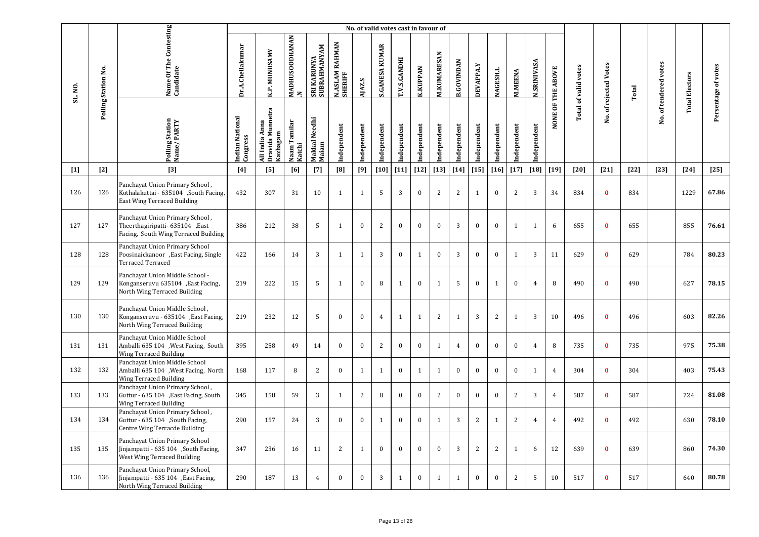|         |                     |                                                                                                                |                             |                                                |                                 |                             |                           | No. of valid votes cast in favour of |                       |                |                  |                    |                   |              |                |                |                    |                   |                             |                       |        |                       |                       |                     |
|---------|---------------------|----------------------------------------------------------------------------------------------------------------|-----------------------------|------------------------------------------------|---------------------------------|-----------------------------|---------------------------|--------------------------------------|-----------------------|----------------|------------------|--------------------|-------------------|--------------|----------------|----------------|--------------------|-------------------|-----------------------------|-----------------------|--------|-----------------------|-----------------------|---------------------|
| SL. NO. | Polling Station No. | Name Of The Contesting<br>Candidate                                                                            | Dr.A.Chellakumar            | K.P. MUNUSAMY                                  | <b>MADHUSOODHANAN</b><br>$\geq$ | SRI KARUNYA<br>SUBRAHMANYAM | N.ASLAM RAHMAN<br>SHERIFF | AJAZ.S                               | <b>S.GANESA KUMAR</b> | T.V.S.GANDHI   | <b>K.KUPPAN</b>  | <b>M.KUMARESAN</b> | <b>B.GOVINDAN</b> | DEVAPPA.Y    | NAGESH.L       | <b>M.MEENA</b> | <b>N.SRINIVASA</b> | NONE OF THE ABOVE | <b>Total of valid votes</b> | No. of rejected Votes | Total  | No. of tendered votes | <b>Total Electors</b> | Persentage of votes |
|         |                     | <b>Polling Station</b><br>Name/PARTY                                                                           | Indian National<br>Congress | Dravida Munnetra<br>All India Anna<br>Kazhagam | Naam Tamilar<br>Katchi          | Makkal Needhi<br>Maiam      | Independent               | Independent                          | ndependent            | Independent    | Independent      | Independent        | Independent       | Independent  | Independent    | Independent    | Independent        |                   |                             |                       |        |                       |                       |                     |
| $[1]$   | $[2]$               | $[3]$                                                                                                          | [4]                         | [5]                                            | [6]                             | $[7]$                       | [8]                       | [9]                                  | $[10]$                | $[11]$         | $[12]$           | $[13]$             | $[14]$            | $[15]$       | $[16]$         | $[17]$         | $[18]$             | $[19]$            | $[20]$                      | $[21]$                | $[22]$ | $[23]$                | $[24]$                | $[25]$              |
| 126     | 126                 | Panchayat Union Primary School,<br>Kothalakuttai - 635104 ,South Facing,<br><b>East Wing Terraced Building</b> | 432                         | 307                                            | 31                              | 10                          | $\overline{1}$            | $\mathbf{1}$                         | 5                     | $\overline{3}$ | $\mathbf{0}$     | 2                  | $\overline{2}$    | $\mathbf{1}$ | $\mathbf{0}$   | $\overline{2}$ | 3                  | 34                | 834                         | $\bf{0}$              | 834    |                       | 1229                  | 67.86               |
| 127     | 127                 | Panchayat Union Primary School,<br>Theerthagiripatti- 635104 , East<br>Facing, South Wing Terraced Building    | 386                         | 212                                            | 38                              | 5                           | $\mathbf{1}$              | $\bf{0}$                             | $\sqrt{2}$            | $\bf{0}$       | $\bf{0}$         | $\bf{0}$           | 3                 | $\bf{0}$     | $\mathbf{0}$   | $\mathbf{1}$   | 1                  | 6                 | 655                         | $\bf{0}$              | 655    |                       | 855                   | 76.61               |
| 128     | 128                 | Panchayat Union Primary School<br>Poosinaickanoor , East Facing, Single<br>Terraced Terraced                   | 422                         | 166                                            | 14                              | 3                           | $\mathbf{1}$              | $\mathbf{1}$                         | 3                     | $\mathbf{0}$   | $\mathbf{1}$     | $\bf{0}$           | $\overline{3}$    | $\bf{0}$     | $\mathbf{0}$   | $\mathbf{1}$   | 3                  | 11                | 629                         | $\mathbf{0}$          | 629    |                       | 784                   | 80.23               |
| 129     | 129                 | Panchayat Union Middle School -<br>Konganseruvu 635104 , East Facing,<br>North Wing Terraced Building          | 219                         | 222                                            | 15                              | 5                           | $\mathbf{1}$              | $\mathbf{0}$                         | 8                     | $\mathbf{1}$   | $\mathbf{0}$     | $\mathbf{1}$       | 5                 | $\mathbf{0}$ | 1              | $\mathbf{0}$   | $\overline{4}$     | 8                 | 490                         | $\bf{0}$              | 490    |                       | 627                   | 78.15               |
| 130     | 130                 | Panchayat Union Middle School,<br>Konganseruvu - 635104 , East Facing,<br>North Wing Terraced Building         | 219                         | 232                                            | 12                              | 5                           | $\theta$                  | $\bf{0}$                             | $\overline{4}$        | $\mathbf{1}$   | $\mathbf{1}$     | 2                  | $\mathbf{1}$      | 3            | 2              | $\mathbf{1}$   | 3                  | 10                | 496                         | $\mathbf{0}$          | 496    |                       | 603                   | 82.26               |
| 131     | 131                 | Panchayat Union Middle School<br>Amballi 635 104 , West Facing, South<br><b>Wing Terraced Building</b>         | 395                         | 258                                            | 49                              | 14                          | $\mathbf{0}$              | $\mathbf{0}$                         | 2                     | $\bf{0}$       | $\mathbf{0}$     | $\mathbf{1}$       | $\overline{4}$    | $\mathbf{0}$ | $\mathbf{0}$   | $\mathbf{0}$   | $\overline{4}$     | 8                 | 735                         | $\bf{0}$              | 735    |                       | 975                   | 75.38               |
| 132     | 132                 | Panchayat Union Middle School<br>Amballi 635 104 , West Facing, North<br>Wing Terraced Building                | 168                         | 117                                            | 8                               | 2                           | $\mathbf{0}$              | $\mathbf{1}$                         | $\mathbf{1}$          | $\bf{0}$       | $\mathbf{1}$     | $\mathbf{1}$       | $\mathbf{0}$      | $\mathbf{0}$ | $\mathbf{0}$   | $\mathbf{0}$   | $\mathbf{1}$       | $\overline{4}$    | 304                         | $\mathbf{0}$          | 304    |                       | 403                   | 75.43               |
| 133     | 133                 | Panchayat Union Primary School,<br>Guttur - 635 104 , East Facing, South<br><b>Wing Terraced Building</b>      | 345                         | 158                                            | 59                              | $\overline{3}$              | $\mathbf{1}$              | 2                                    | 8                     | $\mathbf{0}$   | $\boldsymbol{0}$ | 2                  | $\mathbf{0}$      | $\mathbf{0}$ | $\mathbf{0}$   | $\sqrt{2}$     | 3                  | $\overline{4}$    | 587                         | $\mathbf{0}$          | 587    |                       | 724                   | 81.08               |
| 134     | 134                 | Panchayat Union Primary School,<br>Guttur - 635 104 , South Facing,<br>Centre Wing Terracde Building           | 290                         | 157                                            | 24                              | 3                           | $\mathbf{0}$              | $\mathbf{0}$                         | $\mathbf{1}$          | $\mathbf{0}$   | $\mathbf{0}$     | $\mathbf{1}$       | 3                 | 2            | 1              | $\overline{2}$ | $\overline{4}$     | $\overline{4}$    | 492                         | $\mathbf{0}$          | 492    |                       | 630                   | 78.10               |
| 135     | 135                 | Panchayat Union Primary School<br>Jinjampatti - 635 104 , South Facing,<br>West Wing Terraced Building         | 347                         | 236                                            | 16                              | 11                          | $\overline{c}$            | $\mathbf{1}$                         | $\bf{0}$              | $\bf{0}$       | $\bf{0}$         | $\bf{0}$           | 3                 | $\mathbf{2}$ | $\overline{c}$ | $\mathbf{1}$   | 6                  | 12                | 639                         | $\bf{0}$              | 639    |                       | 860                   | 74.30               |
| 136     | 136                 | Panchayat Union Primary School,<br>Jinjampatti - 635 104 , East Facing,<br>North Wing Terraced Building        | 290                         | 187                                            | 13                              | $\overline{4}$              | $\mathbf{0}$              | $\mathbf{0}$                         | 3                     | 1              | $\mathbf{0}$     | 1                  | $\mathbf{1}$      | $\mathbf{0}$ | $\mathbf{0}$   | $\overline{2}$ | 5                  | 10                | 517                         | $\bf{0}$              | 517    |                       | 640                   | 80.78               |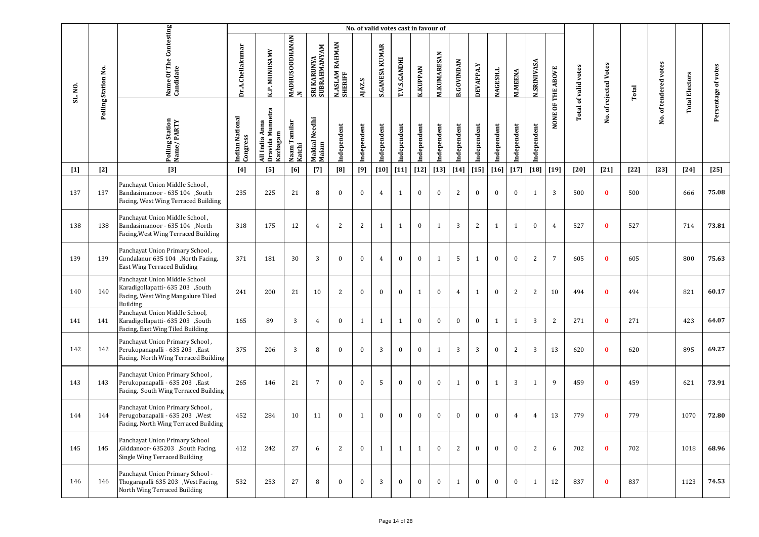|         |                     |                                                                                                                    |                             |                                                |                                |                             |                                     |              | No. of valid votes cast in favour of |              |                 |              |                   |              |                 |                |                    |                   |                      |                   |        |                       |                       |                     |
|---------|---------------------|--------------------------------------------------------------------------------------------------------------------|-----------------------------|------------------------------------------------|--------------------------------|-----------------------------|-------------------------------------|--------------|--------------------------------------|--------------|-----------------|--------------|-------------------|--------------|-----------------|----------------|--------------------|-------------------|----------------------|-------------------|--------|-----------------------|-----------------------|---------------------|
| SL. NO. | Polling Station No. | Name Of The Contesting<br>Candidate                                                                                | Dr.A.Chellakumar            | <b>K.P. MUNUSAMY</b>                           | MADHUSOODHANAN<br>$\mathbf{z}$ | SRI KARUNYA<br>SUBRAHMANYAM | <b>RAHMAN</b><br>N.ASLAM<br>SHERIFF | AJAZ.S       | <b>S.GANESA KUMAR</b>                | T.V.S.GANDHI | <b>K.KUPPAN</b> | M.KUMARESAN  | <b>B.GOVINDAN</b> | DEVAPPA.Y    | <b>NAGESH.L</b> | <b>M.MEENA</b> | <b>N.SRINIVASA</b> | NONE OF THE ABOVE | Total of valid votes | of rejected Votes | Total  | No. of tendered votes | <b>Total Electors</b> | Persentage of votes |
|         |                     | Polling Station<br>Name/PARTY                                                                                      | Indian National<br>Congress | Dravida Munnetra<br>All India Anna<br>Kazhagam | Naam Tamilar<br>Katchi         | Makkal Needhi<br>Maiam      | Independent                         | Independent  | Independent                          | Independent  | Independent     | Independent  | Independent       | Independent  | Independent     | Independent    | Independent        |                   |                      | Χo.               |        |                       |                       |                     |
| $[1]$   | $[2]$               | $[3]$                                                                                                              | $[4]$                       | [5]                                            | [6]                            | $[7]$                       | [8]                                 | [9]          | $[10]$                               | $[11]$       | $[12]$          | $[13]$       | $[14]$            | $[15]$       | $[16]$          | $[17]$         | $[18]$             | $[19]$            | $[20]$               | $[21]$            | $[22]$ | $[23]$                | $[24]$                | $[25]$              |
| 137     | 137                 | Panchayat Union Middle School,<br>Bandasimanoor - 635 104 ,South<br>Facing, West Wing Terraced Building            | 235                         | 225                                            | 21                             | 8                           | $\mathbf{0}$                        | $\bf{0}$     | $\overline{4}$                       | 1            | $\bf{0}$        | $\bf{0}$     | 2                 | $\bf{0}$     | $\mathbf{0}$    | $\mathbf{0}$   | 1                  | 3                 | 500                  | $\bf{0}$          | 500    |                       | 666                   | 75.08               |
| 138     | 138                 | Panchayat Union Middle School,<br>Bandasimanoor - 635 104 , North<br>Facing, West Wing Terraced Building           | 318                         | 175                                            | 12                             | $\overline{4}$              | 2                                   | 2            | $\mathbf{1}$                         | 1            | $\bf{0}$        | $\mathbf{1}$ | 3                 | 2            | 1               | 1              | $\boldsymbol{0}$   | $\overline{4}$    | 527                  | $\bf{0}$          | 527    |                       | 714                   | 73.81               |
| 139     | 139                 | Panchayat Union Primary School,<br>Gundalanur 635 104 ,North Facing,<br><b>East Wing Terraced Buliding</b>         | 371                         | 181                                            | 30                             | 3                           | $\mathbf{0}$                        | $\bf{0}$     | $\overline{4}$                       | $\bf{0}$     | $\bf{0}$        | $\mathbf{1}$ | 5                 | 1            | $\bf{0}$        | $\bf{0}$       | 2                  | $7\overline{ }$   | 605                  | $\bf{0}$          | 605    |                       | 800                   | 75.63               |
| 140     | 140                 | Panchayat Union Middle School<br>Karadigollapatti- 635 203 ,South<br>Facing, West Wing Mangalure Tiled<br>Building | 241                         | 200                                            | 21                             | 10                          | 2                                   | $\bf{0}$     | $\mathbf{0}$                         | $\bf{0}$     | $\mathbf{1}$    | $\bf{0}$     | $\overline{4}$    | 1            | $\mathbf{0}$    | $\mathbf{2}$   | 2                  | 10                | 494                  | $\bf{0}$          | 494    |                       | 821                   | 60.17               |
| 141     | 141                 | Panchayat Union Middle School,<br>Karadigollapatti- 635 203 ,South<br>Facing, East Wing Tiled Building             | 165                         | 89                                             | 3                              | $\overline{4}$              | $\bf{0}$                            | 1            | $\mathbf{1}$                         | 1            | $\bf{0}$        | $\bf{0}$     | $\mathbf{0}$      | $\mathbf{0}$ | 1               | 1              | 3                  | 2                 | 271                  | $\bf{0}$          | 271    |                       | 423                   | 64.07               |
| 142     | 142                 | Panchayat Union Primary School,<br>Perukopanapalli - 635 203 , East<br>Facing, North Wing Terraced Building        | 375                         | 206                                            | 3                              | 8                           | $\mathbf{0}$                        | $\mathbf{0}$ | 3                                    | $\mathbf{0}$ | $\bf{0}$        | $\mathbf{1}$ | 3                 | 3            | $\mathbf{0}$    | $\overline{c}$ | 3                  | 13                | 620                  | $\mathbf{0}$      | 620    |                       | 895                   | 69.27               |
| 143     | 143                 | Panchayat Union Primary School,<br>Perukopanapalli - 635 203 , East<br>Facing, South Wing Terraced Building        | 265                         | 146                                            | 21                             | $\overline{7}$              | $\mathbf{0}$                        | $\bf{0}$     | 5                                    | $\mathbf{0}$ | $\bf{0}$        | $\bf{0}$     | 1                 | $\bf{0}$     | 1               | 3              | 1                  | 9                 | 459                  | $\bf{0}$          | 459    |                       | 621                   | 73.91               |
| 144     | 144                 | Panchayat Union Primary School,<br>Perugobanapalli - 635 203 , West<br>Facing, North Wing Terraced Building        | 452                         | 284                                            | 10                             | 11                          | $\mathbf{0}$                        | 1            | $\mathbf{0}$                         | $\bf{0}$     | $\bf{0}$        | $\mathbf{0}$ | $\mathbf{0}$      | $\bf{0}$     | $\mathbf{0}$    | 4              | 4                  | 13                | 779                  | $\bf{0}$          | 779    |                       | 1070                  | 72.80               |
| 145     | 145                 | Panchayat Union Primary School<br>,Giddanoor- 635203 ,South Facing,<br>Single Wing Terraced Building               | 412                         | 242                                            | 27                             | 6                           | 2                                   | $\bf{0}$     | 1                                    | 1            | 1               | $\bf{0}$     | $\overline{2}$    | $\bf{0}$     | $\mathbf{0}$    | $\bf{0}$       | 2                  | 6                 | 702                  | $\bf{0}$          | 702    |                       | 1018                  | 68.96               |
| 146     | 146                 | Panchayat Union Primary School -<br>Thogarapalli 635 203 , West Facing,<br>North Wing Terraced Building            | 532                         | 253                                            | 27                             | 8                           | $\mathbf{0}$                        | $\bf{0}$     | 3                                    | $\bf{0}$     | $\bf{0}$        | $\bf{0}$     | $\mathbf{1}$      | $\bf{0}$     | $\mathbf{0}$    | $\mathbf{0}$   | 1                  | 12                | 837                  | $\bf{0}$          | 837    |                       | 1123                  | 74.53               |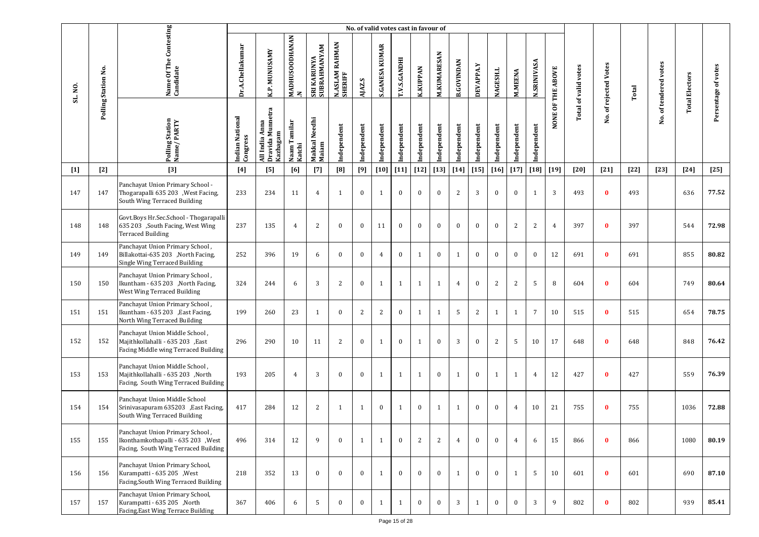|         |                     |                                                                                                                |                             |                                                   |                                |                             |                           |              | No. of valid votes cast in favour of |              |                 |                    |                   |              |                |                |                    |                   |                             |                       |        |                       |                       |                     |
|---------|---------------------|----------------------------------------------------------------------------------------------------------------|-----------------------------|---------------------------------------------------|--------------------------------|-----------------------------|---------------------------|--------------|--------------------------------------|--------------|-----------------|--------------------|-------------------|--------------|----------------|----------------|--------------------|-------------------|-----------------------------|-----------------------|--------|-----------------------|-----------------------|---------------------|
| SL. NO. | Polling Station No. | Name Of The Contesting<br>Candidate                                                                            | Dr.A.Chellakumar            | K.P. MUNUSAMY                                     | MADHUSOODHANAN<br>$\mathbf{z}$ | SRI KARUNYA<br>SUBRAHMANYAM | N.ASLAM RAHMAN<br>SHERIFF | AJAZ.S       | <b>S.GANESA KUMAR</b>                | T.V.S.GANDHI | <b>K.KUPPAN</b> | <b>M.KUMARESAN</b> | <b>B.GOVINDAN</b> | DEVAPPA.Y    | NAGESH.L       | <b>M.MEENA</b> | <b>N.SRINIVASA</b> | NONE OF THE ABOVE | <b>Total of valid votes</b> | No. of rejected Votes | Total  | No. of tendered votes | <b>Total Electors</b> | Persentage of votes |
|         |                     | Polling Station<br>Name/PARTY                                                                                  | Indian National<br>Congress | Dravida Munnetra<br>Anna<br>Kazhagam<br>All India | Naam Tamilar<br>Katchi         | Makkal Needhi<br>Maiam      | Independent               | Independent  | Independent                          | Independent  | Independent     | Independent        | Independent       | Independent  | Independent    | ndependent     | Independent        |                   |                             |                       |        |                       |                       |                     |
| $[1]$   | $[2]$               | $[3]$                                                                                                          | $[4]$                       | [5]                                               | [6]                            | $[7]$                       | [8]                       | [9]          | $[10]$                               | $[11]$       | $[12]$          | $[13]$             | $[14]$            | $[15]$       | $[16]$         | $[17]$         | $\left[18\right]$  | $[19]$            | [20]                        | $[21]$                | $[22]$ | $[23]$                | $[24]$                | $[25]$              |
| 147     | 147                 | Panchayat Union Primary School -<br>Thogarapalli 635 203 , West Facing,<br>South Wing Terraced Building        | 233                         | 234                                               | 11                             | $\overline{4}$              | $\mathbf{1}$              | $\bf{0}$     | $\mathbf{1}$                         | $\bf{0}$     | $\bf{0}$        | $\bf{0}$           | 2                 | 3            | $\bf{0}$       | $\mathbf{0}$   | 1                  | 3                 | 493                         | $\bf{0}$              | 493    |                       | 636                   | 77.52               |
| 148     | 148                 | Govt.Boys Hr.Sec.School - Thogarapalli<br>635 203 ,South Facing, West Wing<br><b>Terraced Building</b>         | 237                         | 135                                               | $\overline{4}$                 | 2                           | $\mathbf{0}$              | $\mathbf{0}$ | 11                                   | $\bf{0}$     | $\bf{0}$        | $\bf{0}$           | $\mathbf{0}$      | $\bf{0}$     | $\mathbf{0}$   | 2              | 2                  | $\overline{4}$    | 397                         | $\bf{0}$              | 397    |                       | 544                   | 72.98               |
| 149     | 149                 | Panchayat Union Primary School,<br>Billakottai-635 203 ,North Facing,<br>Single Wing Terraced Building         | 252                         | 396                                               | 19                             | 6                           | $\mathbf{0}$              | $\mathbf{0}$ | $\overline{4}$                       | $\bf{0}$     | $\mathbf{1}$    | $\bf{0}$           | 1                 | $\bf{0}$     | $\mathbf{0}$   | $\mathbf{0}$   | $\bf{0}$           | 12                | 691                         | $\bf{0}$              | 691    |                       | 855                   | 80.82               |
| 150     | 150                 | Panchayat Union Primary School,<br>Ikuntham - 635 203 , North Facing,<br>West Wing Terraced Building           | 324                         | 244                                               | 6                              | 3                           | 2                         | $\mathbf{0}$ | 1                                    | 1            | 1               | $\mathbf{1}$       | $\overline{4}$    | $\bf{0}$     | $\overline{2}$ | $\overline{2}$ | 5                  | 8                 | 604                         | $\bf{0}$              | 604    |                       | 749                   | 80.64               |
| 151     | 151                 | Panchayat Union Primary School,<br>Ikuntham - 635 203 , East Facing,<br>North Wing Terraced Building           | 199                         | 260                                               | 23                             | 1                           | $\bf{0}$                  | 2            | 2                                    | $\bf{0}$     | $\mathbf{1}$    | 1                  | 5                 | 2            | $\mathbf{1}$   | $\mathbf{1}$   | $\overline{7}$     | 10                | 515                         | $\bf{0}$              | 515    |                       | 654                   | 78.75               |
| 152     | 152                 | Panchayat Union Middle School,<br>Majithkollahalli - 635 203 , East<br>Facing Middle wing Terraced Building    | 296                         | 290                                               | 10                             | 11                          | 2                         | $\mathbf{0}$ | $\mathbf{1}$                         | $\bf{0}$     | 1               | $\mathbf{0}$       | 3                 | $\mathbf{0}$ | 2              | 5              | 10                 | 17                | 648                         | $\bf{0}$              | 648    |                       | 848                   | 76.42               |
| 153     | 153                 | Panchayat Union Middle School,<br>Majithkollahalli - 635 203 ,North<br>Facing, South Wing Terraced Building    | 193                         | 205                                               | $\overline{4}$                 | 3                           | $\mathbf{0}$              | $\mathbf{0}$ | 1                                    | 1            | 1               | $\bf{0}$           | 1                 | $\bf{0}$     | 1              | $\mathbf{1}$   | $\overline{4}$     | 12                | 427                         | $\bf{0}$              | 427    |                       | 559                   | 76.39               |
| 154     | 154                 | Panchayat Union Middle School<br>Srinivasapuram 635203 , East Facing,<br>South Wing Terraced Building          | 417                         | 284                                               | 12                             | 2                           | 1                         | $\mathbf{1}$ | $\bf{0}$                             | 1            | $\bf{0}$        | 1                  | $\mathbf{1}$      | $\bf{0}$     | $\mathbf{0}$   | 4              | 10                 | 21                | 755                         | $\bf{0}$              | 755    |                       | 1036                  | 72.88               |
| 155     | 155                 | Panchayat Union Primary School,<br>Ikonthamkothapalli - 635 203 , West<br>Facing, South Wing Terraced Building | 496                         | 314                                               | 12                             | 9                           | $\bf{0}$                  | 1            | $\mathbf{1}$                         | $\bf{0}$     | 2               | 2                  | $\overline{4}$    | $\bf{0}$     | $\bf{0}$       | $\overline{4}$ | 6                  | 15                | 866                         | $\bf{0}$              | 866    |                       | 1080                  | 80.19               |
| 156     | 156                 | Panchayat Union Primary School,<br>Kurampatti - 635 205 , West<br>Facing, South Wing Terraced Building         | 218                         | 352                                               | 13                             | $\mathbf{0}$                | $\bf{0}$                  | $\mathbf{0}$ | 1                                    | $\bf{0}$     | $\bf{0}$        | $\bf{0}$           | $\mathbf{1}$      | $\bf{0}$     | $\bf{0}$       | $\mathbf{1}$   | 5                  | 10                | 601                         | $\mathbf{0}$          | 601    |                       | 690                   | 87.10               |
| 157     | 157                 | Panchayat Union Primary School,<br>Kurampatti - 635 205 ,North<br>Facing, East Wing Terrace Building           | 367                         | 406                                               | 6                              | 5                           | $\bf{0}$                  | $\bf{0}$     | 1                                    | $\mathbf{1}$ | $\bf{0}$        | $\bf{0}$           | 3                 | 1            | $\bf{0}$       | $\bf{0}$       | 3                  | 9                 | 802                         | $\bf{0}$              | 802    |                       | 939                   | 85.41               |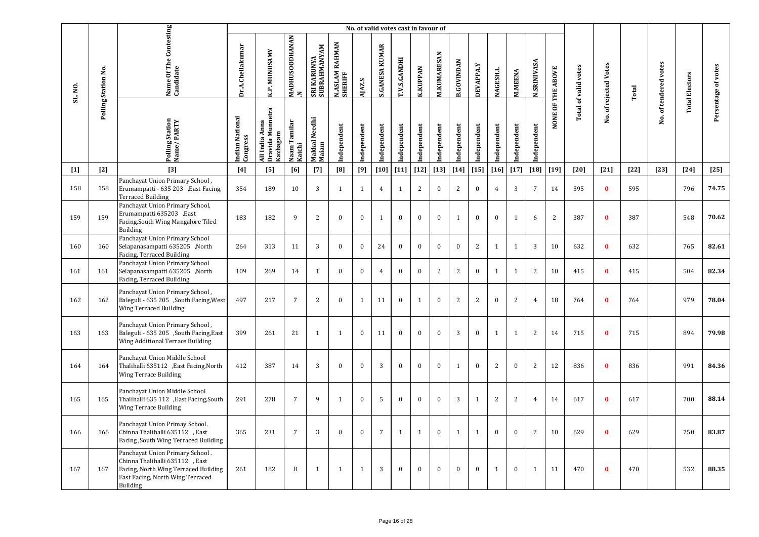|         |                     |                                                                                                                                                           |                             |                                                |                          |                             |                           | No. of valid votes cast in favour of |                       |                     |                 |                    |                   |                |                 |                |                    |                   |                             |                       |        |                       |                       |                     |
|---------|---------------------|-----------------------------------------------------------------------------------------------------------------------------------------------------------|-----------------------------|------------------------------------------------|--------------------------|-----------------------------|---------------------------|--------------------------------------|-----------------------|---------------------|-----------------|--------------------|-------------------|----------------|-----------------|----------------|--------------------|-------------------|-----------------------------|-----------------------|--------|-----------------------|-----------------------|---------------------|
| SL. NO. | Polling Station No. | Name Of The Contesting<br>Candidate                                                                                                                       | Dr.A.Chellakumar            | K.P. MUNUSAMY                                  | MADHUSOODHANAN<br>$\geq$ | SRI KARUNYA<br>SUBRAHMANYAM | N.ASLAM RAHMAN<br>SHERIFF | AJAZ.S                               | <b>S.GANESA KUMAR</b> | <b>T.V.S.GANDHI</b> | <b>K.KUPPAN</b> | <b>M.KUMARESAN</b> | <b>B.GOVINDAN</b> | DEVAPPA.Y      | <b>NAGESH.L</b> | <b>M.MEENA</b> | <b>N.SRINIVASA</b> | NONE OF THE ABOVE | <b>Total of valid votes</b> | No. of rejected Votes | Total  | No. of tendered votes | <b>Total Electors</b> | Persentage of votes |
|         |                     | Polling Station<br>Name/PARTY                                                                                                                             | Indian National<br>Congress | Dravida Munnetra<br>All India Anna<br>Kazhagam | Naam Tamilar<br>Katchi   | Makkal Needhi<br>Maiam      | Independent               | ndependent                           | ndependent            | Independent         | Independent     | Independent        | Independent       | Independent    | ndependent      | ndependent     | Independent        |                   |                             |                       |        |                       |                       |                     |
| $[1]$   | $[2]$               | $[3]$                                                                                                                                                     | [4]                         | [5]                                            | [6]                      | $[7]$                       | [8]                       | [9]                                  | $[10]$                | $[11]$              | $[12]$          | $[13]$             | $[14]$            | $[15]$         | $[16]$          | $[17]$         | $[18]$             | $[19]$            | $[20]$                      | $[21]$                | $[22]$ | $[23]$                | $[24]$                | $[25]$              |
| 158     | 158                 | Panchayat Union Primary School,<br>Erumampatti - 635 203 , East Facing,<br><b>Terraced Building</b>                                                       | 354                         | 189                                            | 10                       | $\overline{3}$              | $\mathbf{1}$              | $\mathbf{1}$                         | $\overline{4}$        | $\mathbf{1}$        | $\mathbf{2}$    | $\bf{0}$           | $\mathbf{2}$      | $\bf{0}$       | $\overline{4}$  | 3              | $\overline{7}$     | 14                | 595                         | $\mathbf{0}$          | 595    |                       | 796                   | 74.75               |
| 159     | 159                 | Panchayat Union Primary School,<br>Erumampatti 635203, East<br>Facing, South Wing Mangalore Tiled<br>Building                                             | 183                         | 182                                            | 9                        | 2                           | $\mathbf{0}$              | $\mathbf{0}$                         | $\mathbf{1}$          | $\mathbf{0}$        | $\mathbf{0}$    | $\mathbf{0}$       | $\mathbf{1}$      | $\mathbf{0}$   | $\mathbf{0}$    | $\mathbf{1}$   | 6                  | $\overline{2}$    | 387                         | $\bf{0}$              | 387    |                       | 548                   | 70.62               |
| 160     | 160                 | Panchayat Union Primary School<br>Selapanasampatti 635205 ,North<br>Facing, Terraced Building                                                             | 264                         | 313                                            | 11                       | 3                           | $\mathbf{0}$              | $\bf{0}$                             | 24                    | $\bf{0}$            | $\mathbf{0}$    | $\bf{0}$           | $\mathbf{0}$      | $\overline{2}$ | $\mathbf{1}$    | $\mathbf{1}$   | 3                  | 10                | 632                         | $\bf{0}$              | 632    |                       | 765                   | 82.61               |
| 161     | 161                 | Panchayat Union Primary School<br>Selapanasampatti 635205 ,North<br>Facing, Terraced Building                                                             | 109                         | 269                                            | 14                       | $\mathbf{1}$                | $\mathbf{0}$              | $\bf{0}$                             | $\overline{4}$        | $\bf{0}$            | $\mathbf{0}$    | 2                  | $\overline{2}$    | $\bf{0}$       | $\mathbf{1}$    | $\mathbf{1}$   | $\overline{2}$     | 10                | 415                         | $\bf{0}$              | 415    |                       | 504                   | 82.34               |
| 162     | 162                 | Panchayat Union Primary School,<br>Baleguli - 635 205 , South Facing, West<br><b>Wing Terraced Building</b>                                               | 497                         | 217                                            | $\overline{7}$           | 2                           | $\mathbf{0}$              | $\mathbf{1}$                         | 11                    | $\bf{0}$            | $\mathbf{1}$    | $\mathbf{0}$       | 2                 | $\overline{2}$ | $\mathbf{0}$    | 2              | $\overline{4}$     | 18                | 764                         | $\bf{0}$              | 764    |                       | 979                   | 78.04               |
| 163     | 163                 | Panchayat Union Primary School,<br>Baleguli - 635 205 ,South Facing, East<br>Wing Additional Terrace Building                                             | 399                         | 261                                            | 21                       | $\mathbf{1}$                | $\mathbf{1}$              | $\bf{0}$                             | 11                    | $\bf{0}$            | $\bf{0}$        | $\bf{0}$           | 3                 | $\bf{0}$       | $\mathbf{1}$    | $\mathbf{1}$   | 2                  | 14                | 715                         | $\bf{0}$              | 715    |                       | 894                   | 79.98               |
| 164     | 164                 | Panchayat Union Middle School<br>Thalihalli 635112 , East Facing, North<br><b>Wing Terrace Building</b>                                                   | 412                         | 387                                            | 14                       | 3                           | $\mathbf{0}$              | $\mathbf{0}$                         | 3                     | $\mathbf{0}$        | $\mathbf{0}$    | $\mathbf{0}$       | $\mathbf{1}$      | $\mathbf{0}$   | 2               | $\mathbf{0}$   | 2                  | 12                | 836                         | $\bf{0}$              | 836    |                       | 991                   | 84.36               |
| 165     | 165                 | Panchayat Union Middle School<br>Thalihalli 635 112 , East Facing, South<br><b>Wing Terrace Building</b>                                                  | 291                         | 278                                            | $\overline{7}$           | 9                           | $\mathbf{1}$              | $\mathbf{0}$                         | 5                     | $\mathbf{0}$        | $\mathbf{0}$    | $\mathbf{0}$       | 3                 | $\mathbf{1}$   | 2               | $\overline{2}$ | $\overline{4}$     | 14                | 617                         | $\bf{0}$              | 617    |                       | 700                   | 88.14               |
| 166     | 166                 | Panchayat Union Primay School.<br>Chinna Thalihalli 635112, East<br>Facing, South Wing Terraced Building                                                  | 365                         | 231                                            | $\overline{7}$           | 3                           | $\bf{0}$                  | $\bf{0}$                             | $\overline{7}$        | $\mathbf{1}$        | $\mathbf{1}$    | $\bf{0}$           | $\mathbf{1}$      | $\mathbf{1}$   | $\bf{0}$        | $\bf{0}$       | $\overline{c}$     | 10                | 629                         | $\bf{0}$              | 629    |                       | 750                   | 83.87               |
| 167     | 167                 | Panchayat Union Primary School.<br>Chinna Thalihalli 635112, East<br>Facing, North Wing Terraced Building<br>East Facing, North Wing Terraced<br>Building | 261                         | 182                                            | 8                        | 1                           | $\mathbf{1}$              | $\mathbf{1}$                         | 3                     | $\mathbf{0}$        | $\mathbf{0}$    | $\mathbf{0}$       | $\mathbf{0}$      | $\mathbf{0}$   | 1               | $\mathbf{0}$   | 1                  | 11                | 470                         | $\bf{0}$              | 470    |                       | 532                   | 88.35               |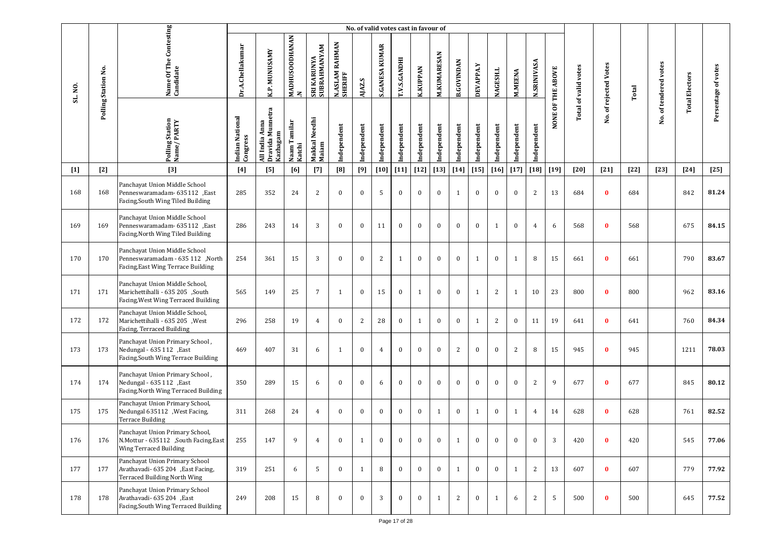|         |                     |                                                                                                           |                             |                                                  |                                       |                             |                           | No. of valid votes cast in favour of |                       |                     |                 |                    |                   |                  |                 |                |                    |                   |                             |                       |        |                       |                       |                     |
|---------|---------------------|-----------------------------------------------------------------------------------------------------------|-----------------------------|--------------------------------------------------|---------------------------------------|-----------------------------|---------------------------|--------------------------------------|-----------------------|---------------------|-----------------|--------------------|-------------------|------------------|-----------------|----------------|--------------------|-------------------|-----------------------------|-----------------------|--------|-----------------------|-----------------------|---------------------|
| SL. NO. | Polling Station No. | Name Of The Contesting<br>Candidate                                                                       | Dr.A.Chellakumar            | K.P. MUNUSAMY                                    | <b>MADHUSOODHANAN</b><br>$\mathbf{z}$ | SRI KARUNYA<br>SUBRAHMANYAM | N.ASLAM RAHMAN<br>SHERIFF | AJAZ.S                               | <b>S.GANESA KUMAR</b> | <b>T.V.S.GANDHI</b> | <b>K.KUPPAN</b> | <b>M.KUMARESAN</b> | <b>B.GOVINDAN</b> | <b>DEVAPPA.Y</b> | <b>NAGESH.L</b> | <b>M.MEENA</b> | <b>N.SRINIVASA</b> | NONE OF THE ABOVE | <b>Total of valid votes</b> | No. of rejected Votes | Total  | No. of tendered votes | <b>Total Electors</b> | Persentage of votes |
|         |                     | Polling Station<br>Name / PARTY                                                                           | Indian National<br>Congress | Dravida Mumetra<br>Kazhagam<br>Anna<br>All India | Naam Tamilar<br>Katchi                | Makkal Needhi<br>Maiam      | Independent               | Independent                          | Independent           | Independent         | Independent     | Independent        | Independent       | Independent      | Independent     | Independent    | Independent        |                   |                             |                       |        |                       |                       |                     |
| $[1]$   | $[2]$               | $[3]$                                                                                                     | [4]                         | [5]                                              | [6]                                   | $[7]$                       | [8]                       | [9]                                  | [10]                  | $[11]$              | $[12]$          | $[13]$             | $[14]$            | $[15]$           | $[16]$          | $[17]$         | $[18]$             | $[19]$            | [20]                        | $[21]$                | $[22]$ | $[23]$                | $[24]$                | $[25]$              |
| 168     | 168                 | Panchayat Union Middle School<br>Penneswaramadam- 635112, East<br>Facing, South Wing Tiled Building       | 285                         | 352                                              | 24                                    | 2                           | $\mathbf{0}$              | $\bf{0}$                             | 5                     | $\bf{0}$            | $\bf{0}$        | $\bf{0}$           | 1                 | $\bf{0}$         | $\bf{0}$        | $\bf{0}$       | 2                  | 13                | 684                         | $\bf{0}$              | 684    |                       | 842                   | 81.24               |
| 169     | 169                 | Panchayat Union Middle School<br>Penneswaramadam- 635112, East<br>Facing, North Wing Tiled Building       | 286                         | 243                                              | 14                                    | 3                           | $\bf{0}$                  | $\bf{0}$                             | 11                    | $\mathbf{0}$        | $\bf{0}$        | $\bf{0}$           | $\bf{0}$          | $\bf{0}$         | 1               | $\bf{0}$       | $\overline{4}$     | 6                 | 568                         | $\bf{0}$              | 568    |                       | 675                   | 84.15               |
| 170     | 170                 | Panchayat Union Middle School<br>North, Penneswaramadam - 635 112<br>Facing, East Wing Terrace Building   | 254                         | 361                                              | 15                                    | 3                           | $\mathbf{0}$              | $\bf{0}$                             | 2                     | 1                   | $\bf{0}$        | $\bf{0}$           | $\bf{0}$          | 1                | $\bf{0}$        | $\mathbf{1}$   | 8                  | 15                | 661                         | $\bf{0}$              | 661    |                       | 790                   | 83.67               |
| 171     | 171                 | Panchayat Union Middle School,<br>Marichettihalli - 635 205 ,South<br>Facing, West Wing Terraced Building | 565                         | 149                                              | 25                                    | 7                           | 1                         | $\bf{0}$                             | 15                    | $\mathbf{0}$        | 1               | $\bf{0}$           | $\bf{0}$          | $\mathbf{1}$     | 2               | $\mathbf{1}$   | 10                 | 23                | 800                         | $\bf{0}$              | 800    |                       | 962                   | 83.16               |
| 172     | 172                 | Panchayat Union Middle School,<br>Marichettihalli - 635 205 , West<br>Facing, Terraced Building           | 296                         | 258                                              | 19                                    | $\overline{4}$              | $\mathbf{0}$              | 2                                    | 28                    | $\bf{0}$            | $\mathbf{1}$    | $\bf{0}$           | $\bf{0}$          | 1                | 2               | $\mathbf{0}$   | 11                 | 19                | 641                         | $\bf{0}$              | 641    |                       | 760                   | 84.34               |
| 173     | 173                 | Panchayat Union Primary School,<br>Nedungal - 635 112 , East<br>Facing, South Wing Terrace Building       | 469                         | 407                                              | 31                                    | 6                           | -1                        | $\bf{0}$                             | $\overline{4}$        | $\bf{0}$            | $\bf{0}$        | $\bf{0}$           | $\overline{c}$    | $\bf{0}$         | $\bf{0}$        | 2              | 8                  | 15                | 945                         | $\bf{0}$              | 945    |                       | 1211                  | 78.03               |
| 174     | 174                 | Panchayat Union Primary School,<br>Nedungal - 635 112 , East<br>Facing, North Wing Terraced Building      | 350                         | 289                                              | 15                                    | 6                           | $\mathbf{0}$              | $\mathbf{0}$                         | 6                     | $\mathbf{0}$        | $\mathbf{0}$    | $\mathbf{0}$       | $\mathbf{0}$      | $\mathbf{0}$     | $\mathbf{0}$    | $\mathbf{0}$   | 2                  | 9                 | 677                         | $\bf{0}$              | 677    |                       | 845                   | 80.12               |
| 175     | 175                 | Panchayat Union Primary School,<br>Nedungal 635112 , West Facing,<br><b>Terrace Building</b>              | 311                         | 268                                              | 24                                    | 4                           | $\mathbf{0}$              | $\bf{0}$                             | $\mathbf{0}$          | $\bf{0}$            | $\bf{0}$        | 1                  | $\bf{0}$          | 1                | $\bf{0}$        | 1              | $\overline{4}$     | 14                | 628                         | $\bf{0}$              | 628    |                       | 761                   | 82.52               |
| 176     | 176                 | Panchayat Union Primary School,<br>N.Mottur - 635112 ,South Facing, East<br>Wing Terraced Building        | 255                         | 147                                              | 9                                     | $\overline{4}$              | $\mathbf{0}$              | $\mathbf{1}$                         | $\mathbf{0}$          | $\mathbf{0}$        | $\bf{0}$        | $\bf{0}$           | $\mathbf{1}$      | $\bf{0}$         | $\bf{0}$        | $\bf{0}$       | $\bf{0}$           | 3                 | 420                         | $\bf{0}$              | 420    |                       | 545                   | 77.06               |
| 177     | 177                 | Panchayat Union Primary School<br>Avathavadi- 635 204 , East Facing,<br>Terraced Building North Wing      | 319                         | 251                                              | 6                                     | 5                           | $\mathbf{0}$              | 1                                    | 8                     | $\mathbf{0}$        | $\mathbf{0}$    | $\bf{0}$           | 1                 | $\bf{0}$         | $\mathbf{0}$    | 1              | 2                  | 13                | 607                         | $\bf{0}$              | 607    |                       | 779                   | 77.92               |
| 178     | 178                 | Panchayat Union Primary School<br>Avathavadi- 635 204 , East<br>Facing, South Wing Terraced Building      | 249                         | 208                                              | 15                                    | 8                           | $\mathbf{0}$              | $\mathbf{0}$                         | 3                     | $\mathbf{0}$        | $\bf{0}$        | 1                  | 2                 | $\bf{0}$         | 1               | 6              | 2                  | 5                 | 500                         | $\bf{0}$              | 500    |                       | 645                   | 77.52               |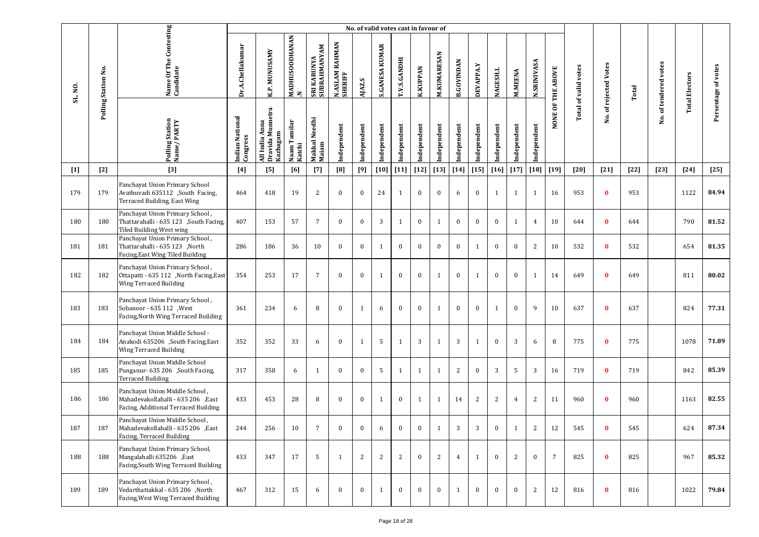|         |                     |                                                                                                              |                             |                                                |                                |                             |                                       |              | No. of valid votes cast in favour of |                |                 |                    |                   |              |                 |                |                    |                   |                             |                   |        |                       |                       |                     |
|---------|---------------------|--------------------------------------------------------------------------------------------------------------|-----------------------------|------------------------------------------------|--------------------------------|-----------------------------|---------------------------------------|--------------|--------------------------------------|----------------|-----------------|--------------------|-------------------|--------------|-----------------|----------------|--------------------|-------------------|-----------------------------|-------------------|--------|-----------------------|-----------------------|---------------------|
| SL. NO. | Polling Station No. | Name Of The Contesting<br>Candidate                                                                          | Dr.A.Chellakumar            | K.P. MUNUSAMY                                  | MADHUSOODHANAN<br>$\mathbf{z}$ | SRI KARUNYA<br>SUBRAHMANYAM | <b>RAHMAN</b><br>N.ASLAM I<br>SHERIFF | AJAZ.S       | <b>S.GANESA KUMAR</b>                | T.V.S.GANDHI   | <b>K.KUPPAN</b> | <b>M.KUMARESAN</b> | <b>B.GOVINDAN</b> | DEVAPPA.Y    | <b>NAGESH.L</b> | <b>M.MEENA</b> | <b>N.SRINIVASA</b> | NONE OF THE ABOVE | <b>Total of valid votes</b> | of rejected Votes | Total  | No. of tendered votes | <b>Total Electors</b> | Persentage of votes |
|         |                     | Polling Station<br>Name/PARTY                                                                                | Indian National<br>Congress | Dravida Munnetra<br>All India Anna<br>Kazhagam | Naam Tamilar<br>Katchi         | Makkal Needhi<br>Maiam      | Independent                           | Independent  | Independent                          | Independent    | Independent     | Independent        | Independent       | Independent  | Independent     | Independent    | Independent        |                   |                             | Νo.               |        |                       |                       |                     |
| $[1]$   | $[2]$               | $[3]$                                                                                                        | $[4]$                       | [5]                                            | [6]                            | $[7]$                       | [8]                                   | [9]          | $[10]$                               | $[11]$         | $[12]$          | $[13]$             | $[14]$            | $[15]$       | $[16]$          | $[17]$         | $\left[18\right]$  | $[19]$            | $[20]$                      | $[21]$            | $[22]$ | $[23]$                | $[24]$                | $[25]$              |
| 179     | 179                 | Panchayat Union Primary School<br>Avathuvadi 635112 ,South Facing,<br>Terraced Building, East Wing           | 464                         | 418                                            | 19                             | 2                           | $\bf{0}$                              | $\bf{0}$     | 24                                   | 1              | $\bf{0}$        | $\bf{0}$           | 6                 | $\bf{0}$     | 1               | $\mathbf{1}$   | 1                  | 16                | 953                         | $\bf{0}$          | 953    |                       | 1122                  | 84.94               |
| 180     | 180                 | Panchayat Union Primary School,<br>Thattarahalli - 635 123 , South Facing,<br>Tiled Building West wing       | 407                         | 153                                            | 57                             | $7\overline{ }$             | $\mathbf{0}$                          | $\mathbf{0}$ | 3                                    | 1              | $\bf{0}$        | 1                  | $\mathbf{0}$      | $\mathbf{0}$ | $\mathbf{0}$    | $\mathbf{1}$   | $\overline{4}$     | 10                | 644                         | $\bf{0}$          | 644    |                       | 790                   | 81.52               |
| 181     | 181                 | Panchayat Union Primary School,<br>Thattarahalli - 635 123 ,North<br>Facing, East Wing Tiled Building        | 286                         | 186                                            | 36                             | 10                          | $\mathbf{0}$                          | $\mathbf{0}$ | $\mathbf{1}$                         | $\bf{0}$       | $\mathbf{0}$    | $\bf{0}$           | $\bf{0}$          | 1            | $\Omega$        | $\mathbf{0}$   | 2                  | 10                | 532                         | $\bf{0}$          | 532    |                       | 654                   | 81.35               |
| 182     | 182                 | Panchayat Union Primary School,<br>Ottapatti - 635 112 ,North Facing,East<br>Wing Terraced Building          | 354                         | 253                                            | 17                             | $7\overline{ }$             | $\mathbf{0}$                          | $\mathbf{0}$ | $\mathbf{1}$                         | $\bf{0}$       | $\bf{0}$        | $\mathbf{1}$       | $\bf{0}$          | 1            | $\mathbf{0}$    | $\mathbf{0}$   | 1                  | 14                | 649                         | $\mathbf{0}$      | 649    |                       | 811                   | 80.02               |
| 183     | 183                 | Panchayat Union Primary School,<br>Sobanoor - 635 112 , West<br>Facing, North Wing Terraced Building         | 361                         | 234                                            | 6                              | 8                           | $\mathbf{0}$                          | $\mathbf{1}$ | 6                                    | $\mathbf{0}$   | $\mathbf{0}$    | $\mathbf{1}$       | $\mathbf{0}$      | $\mathbf{0}$ | $\mathbf{1}$    | $\mathbf{0}$   | 9                  | 10                | 637                         | $\bf{0}$          | 637    |                       | 824                   | 77.31               |
| 184     | 184                 | Panchayat Union Middle School -<br>Anakodi 635206 ,South Facing, East<br>Wing Terraced Building              | 352                         | 352                                            | 33                             | 6                           | $\mathbf{0}$                          | $\mathbf{1}$ | 5                                    | 1              | 3               | $\mathbf{1}$       | 3                 | 1            | $\mathbf{0}$    | 3              | 6                  | 8                 | 775                         | $\bf{0}$          | 775    |                       | 1078                  | 71.89               |
| 185     | 185                 | Panchayat Union Middle School<br>Punganur- 635 206 ,South Facing,<br><b>Terraced Building</b>                | 317                         | 358                                            | 6                              | 1                           | $\mathbf{0}$                          | $\mathbf{0}$ | 5                                    | 1              | $\mathbf{1}$    | 1                  | 2                 | $\bf{0}$     | 3               | 5              | 3                  | 16                | 719                         | $\bf{0}$          | 719    |                       | 842                   | 85.39               |
| 186     | 186                 | Panchayat Union Middle School,<br>Mahadevakollahalli - 635 206 ,East<br>Facing, Additional Terraced Building | 433                         | 453                                            | 28                             | 8                           | $\bf{0}$                              | $\bf{0}$     | $\mathbf{1}$                         | $\bf{0}$       | $\mathbf{1}$    | $\mathbf{1}$       | 14                | $\mathbf{2}$ | 2               | 4              | 2                  | 11                | 960                         | $\bf{0}$          | 960    |                       | 1163                  | 82.55               |
| 187     | 187                 | Panchayat Union Middle School,<br>Mahadevakollahalli - 635 206 ,East<br>Facing, Terraced Building            | 244                         | 256                                            | $10\,$                         |                             | $\mathbf{0}$                          |              |                                      |                | $\mathbf{0}$    |                    | 3                 | 3            | $\bf{0}$        |                |                    | 12                | 545                         |                   | 545    |                       | 624                   | 87.34               |
| 188     | 188                 | Panchayat Union Primary School,<br>Mangalahalli 635206 ,East<br>Facing, South Wing Terraced Building         | 433                         | 347                                            | 17                             | 5                           | $\mathbf{1}$                          | 2            | 2                                    | $\overline{2}$ | $\bf{0}$        | 2                  | $\overline{4}$    | 1            | $\mathbf{0}$    | $\mathbf{2}$   | $\bf{0}$           | $7\overline{ }$   | 825                         | $\bf{0}$          | 825    |                       | 967                   | 85.32               |
| 189     | 189                 | Panchayat Union Primary School,<br>Vedarthattakkal - 635 206 ,North<br>Facing, West Wing Terraced Building   | 467                         | 312                                            | 15                             | 6                           | $\mathbf{0}$                          | $\bf{0}$     | $\mathbf{1}$                         | $\bf{0}$       | $\bf{0}$        | $\bf{0}$           | $\mathbf{1}$      | $\bf{0}$     | $\mathbf{0}$    | $\mathbf{0}$   | 2                  | 12                | 816                         | $\bf{0}$          | 816    |                       | 1022                  | 79.84               |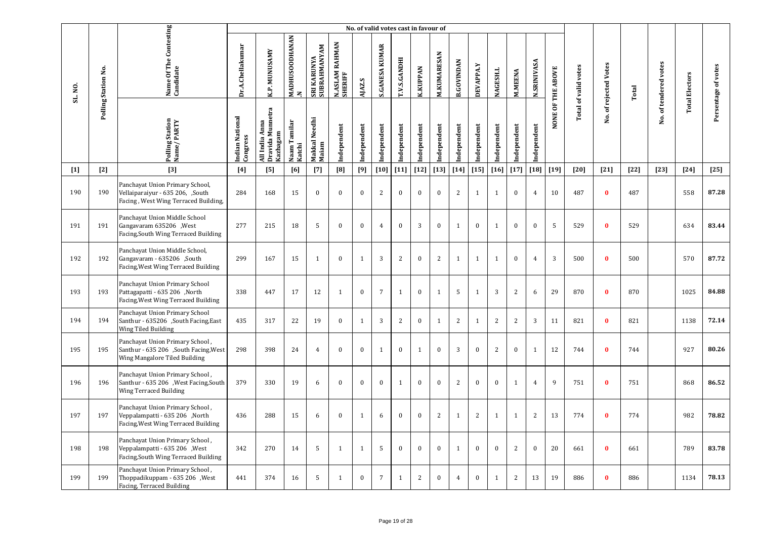|         |                     |                                                                                                             |                             |                                                |                                       |                                    |                           | No. of valid votes cast in favour of |                       |              |                 |                    |                   |                  |                 |                |                    |                   |                             |                       |        |                       |                       |                     |
|---------|---------------------|-------------------------------------------------------------------------------------------------------------|-----------------------------|------------------------------------------------|---------------------------------------|------------------------------------|---------------------------|--------------------------------------|-----------------------|--------------|-----------------|--------------------|-------------------|------------------|-----------------|----------------|--------------------|-------------------|-----------------------------|-----------------------|--------|-----------------------|-----------------------|---------------------|
| SL. NO. | Polling Station No. | Name Of The Contesting<br>Candidate                                                                         | Dr.A.Chellakumar            | K.P. MUNUSAMY                                  | <b>MADHUSOODHANAN</b><br>$\mathbf{z}$ | SUBRAHMANYAM<br><b>SRI KARUNYA</b> | N.ASLAM RAHMAN<br>SHERIFF | AJAZ.S                               | <b>S.GANESA KUMAR</b> | T.V.S.GANDHI | <b>K.KUPPAN</b> | <b>M.KUMARESAN</b> | <b>B.GOVINDAN</b> | <b>DEVAPPA.Y</b> | <b>NAGESH.L</b> | <b>M.MEENA</b> | <b>N.SRINIVASA</b> | NONE OF THE ABOVE | <b>Total of valid votes</b> | No. of rejected Votes | Total  | No. of tendered votes | <b>Total Electors</b> | Persentage of votes |
|         |                     | Polling Station<br>Name/PARTY                                                                               | Indian National<br>Congress | All India Anna<br>Dravida Munnetra<br>Kazhagam | Naam Tamilar<br>Katchi                | Makkal Needhi<br>Maiam             | Independent               | Independent                          | ndependent            | Independent  | Independent     | Independent        | Independent       | Independent      | Independent     | Independent    | Independent        |                   |                             |                       |        |                       |                       |                     |
| $[1]$   | $[2]$               | $[3]$                                                                                                       | [4]                         | [5]                                            | [6]                                   | $[7]$                              | [8]                       | [9]                                  | $[10]$                | $[11]$       | $[12]$          | $[13]$             | $[14]$            | $[15]$           | $[16]$          | $[17]$         | $[18]$             | $[19]$            | [20]                        | $[21]$                | $[22]$ | $[23]$                | $[24]$                | $[25]$              |
| 190     | 190                 | Panchayat Union Primary School,<br>Vellaiparaiyur - 635 206, ,South<br>Facing, West Wing Terraced Building, | 284                         | 168                                            | 15                                    | $\mathbf{0}$                       | $\Omega$                  | $\mathbf{0}$                         | 2                     | $\mathbf{0}$ | $\mathbf{0}$    | $\mathbf{0}$       | 2                 | $\mathbf{1}$     | 1               | $\mathbf{0}$   | $\overline{4}$     | 10                | 487                         | $\bf{0}$              | 487    |                       | 558                   | 87.28               |
| 191     | 191                 | Panchayat Union Middle School<br>Gangavaram 635206 , West<br>Facing, South Wing Terraced Building           | 277                         | 215                                            | 18                                    | 5                                  | $\bf{0}$                  | $\bf{0}$                             | $\overline{4}$        | $\bf{0}$     | $\sqrt{3}$      | $\bf{0}$           | $\,1\,$           | $\bf{0}$         | $\mathbf{1}$    | $\bf{0}$       | $\bf{0}$           | 5                 | 529                         | $\bf{0}$              | 529    |                       | 634                   | 83.44               |
| 192     | 192                 | Panchayat Union Middle School,<br>Gangavaram - 635206 ,South<br>Facing, West Wing Terraced Building         | 299                         | 167                                            | 15                                    | $\mathbf{1}$                       | $\bf{0}$                  | $\mathbf{1}$                         | 3                     | 2            | $\bf{0}$        | 2                  | $\mathbf{1}$      | 1                | $\mathbf{1}$    | $\bf{0}$       | $\overline{4}$     | $\overline{3}$    | 500                         | $\bf{0}$              | 500    |                       | 570                   | 87.72               |
| 193     | 193                 | Panchayat Union Primary School<br>Pattagapatti - 635 206 ,North<br>Facing, West Wing Terraced Building      | 338                         | 447                                            | 17                                    | 12                                 | $\overline{1}$            | $\mathbf{0}$                         | $\overline{7}$        | $\mathbf{1}$ | $\mathbf{0}$    | 1                  | 5                 | $\mathbf{1}$     | 3               | 2              | 6                  | 29                | 870                         | $\mathbf{0}$          | 870    |                       | 1025                  | 84.88               |
| 194     | 194                 | Panchayat Union Primary School<br>Santhur - 635206 ,South Facing,East<br>Wing Tiled Building                | 435                         | 317                                            | 22                                    | 19                                 | $\bf{0}$                  | $\mathbf{1}$                         | 3                     | 2            | $\bf{0}$        | $\mathbf{1}$       | 2                 | $\mathbf{1}$     | 2               | 2              | 3                  | 11                | 821                         | $\bf{0}$              | 821    |                       | 1138                  | 72.14               |
| 195     | 195                 | Panchayat Union Primary School,<br>Santhur - 635 206 ,South Facing, West<br>Wing Mangalore Tiled Building   | 298                         | 398                                            | 24                                    | $\overline{4}$                     | $\mathbf{0}$              | $\mathbf{0}$                         | $\mathbf{1}$          | $\mathbf{0}$ | $\mathbf{1}$    | $\mathbf{0}$       | 3                 | $\mathbf{0}$     | 2               | $\mathbf{0}$   | 1                  | 12                | 744                         | $\mathbf{0}$          | 744    |                       | 927                   | 80.26               |
| 196     | 196                 | Panchayat Union Primary School,<br>Santhur - 635 206 , West Facing, South<br><b>Wing Terraced Building</b>  | 379                         | 330                                            | 19                                    | 6                                  | $\bf{0}$                  | $\bf{0}$                             | $\bf{0}$              | $\mathbf{1}$ | $\bf{0}$        | $\bf{0}$           | $\overline{2}$    | $\bf{0}$         | $\bf{0}$        | $\mathbf{1}$   | $\overline{4}$     | 9                 | 751                         | $\bf{0}$              | 751    |                       | 868                   | 86.52               |
| 197     | 197                 | Panchayat Union Primary School,<br>Veppalampatti - 635 206 ,North<br>Facing, West Wing Terraced Building    | 436                         | 288                                            | 15                                    | 6                                  | $\mathbf{0}$              | $\mathbf{1}$                         | 6                     | $\bf{0}$     | $\bf{0}$        | 2                  | $\mathbf{1}$      | 2                | $\mathbf{1}$    | $\mathbf{1}$   | 2                  | 13                | 774                         | $\bf{0}$              | 774    |                       | 982                   | 78.82               |
| 198     | 198                 | Panchayat Union Primary School,<br>Veppalampatti - 635 206 , West<br>Facing, South Wing Terraced Building   | 342                         | 270                                            | 14                                    | 5                                  | $\mathbf{1}$              | $\mathbf{1}$                         | 5                     | $\mathbf{0}$ | $\mathbf{0}$    | $\mathbf{0}$       | 1                 | $\mathbf{0}$     | $\mathbf{0}$    | $\overline{2}$ | $\mathbf{0}$       | 20                | 661                         | $\bf{0}$              | 661    |                       | 789                   | 83.78               |
| 199     | 199                 | Panchayat Union Primary School,<br>Thoppadikuppam - 635 206 , West<br>Facing, Terraced Building             | 441                         | 374                                            | 16                                    | 5                                  | $\mathbf{1}$              | $\mathbf{0}$                         | $\overline{7}$        | 1            | $\overline{2}$  | $\mathbf{0}$       | $\overline{4}$    | $\bf{0}$         | $\mathbf{1}$    | 2              | 13                 | 19                | 886                         | $\mathbf{0}$          | 886    |                       | 1134                  | 78.13               |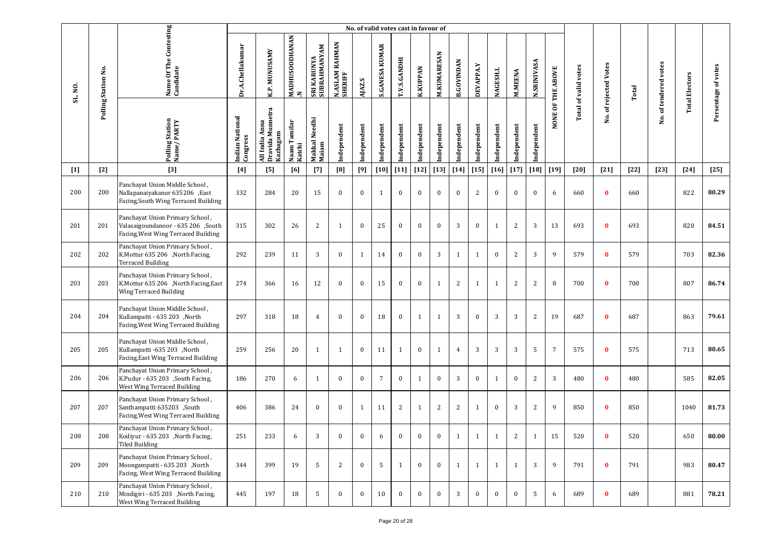|         |                     |                                                                                                              |                             |                                                   |                                |                             |                           |              | No. of valid votes cast in favour of |                     |                 |                    |                   |              |                 |                |                    |                   |                             |                       |        |                       |                       |                     |
|---------|---------------------|--------------------------------------------------------------------------------------------------------------|-----------------------------|---------------------------------------------------|--------------------------------|-----------------------------|---------------------------|--------------|--------------------------------------|---------------------|-----------------|--------------------|-------------------|--------------|-----------------|----------------|--------------------|-------------------|-----------------------------|-----------------------|--------|-----------------------|-----------------------|---------------------|
| SL. NO. | Polling Station No. | Name Of The Contesting<br>Candidate                                                                          | Dr.A.Chellakumar            | K.P. MUNUSAMY                                     | MADHUSOODHANAN<br>$\mathbf{z}$ | SRI KARUNYA<br>SUBRAHMANYAM | N.ASLAM RAHMAN<br>SHERIFF | AJAZ.S       | <b>S.GANESA KUMAR</b>                | <b>T.V.S.GANDHI</b> | <b>K.KUPPAN</b> | <b>M.KUMARESAN</b> | <b>B.GOVINDAN</b> | DEVAPPA.Y    | <b>NAGESH.L</b> | <b>M.MEENA</b> | <b>N.SRINIVASA</b> | NONE OF THE ABOVE | <b>Total of valid votes</b> | No. of rejected Votes | Total  | No. of tendered votes | <b>Total Electors</b> | Persentage of votes |
|         |                     | Polling Station<br>Name/PARTY                                                                                | Indian National<br>Congress | Dravida Munnetra<br>Anna<br>Kazhagam<br>All India | Naam Tamilar<br>Katchi         | Makkal Needhi<br>Maiam      | Independent               | Independent  | Independent                          | Independent         | Independent     | Independent        | Independent       | Independent  | Independent     | ndependent     | Independent        |                   |                             |                       |        |                       |                       |                     |
| $[1]$   | $[2]$               | $[3]$                                                                                                        | $[4]$                       | [5]                                               | [6]                            | $[7]$                       | [8]                       | [9]          | $[10]$                               | $[11]$              | $[12]$          | $[13]$             | $[14]$            | $[15]$       | $[16]$          | $[17]$         | $\left[18\right]$  | $[19]$            | [20]                        | $[21]$                | $[22]$ | $[23]$                | $[24]$                | $[25]$              |
| 200     | 200                 | Panchayat Union Middle School,<br>Nallapanaiyakanur 635206 ,East<br>Facing, South Wing Terraced Building     | 332                         | 284                                               | 20                             | 15                          | $\bf{0}$                  | $\bf{0}$     | $\mathbf{1}$                         | $\bf{0}$            | $\bf{0}$        | $\bf{0}$           | $\mathbf{0}$      | 2            | $\bf{0}$        | $\mathbf{0}$   | $\mathbf{0}$       | 6                 | 660                         | $\bf{0}$              | 660    |                       | 822                   | 80.29               |
| 201     | 201                 | Panchayat Union Primary School,<br>Valasaigoundanoor - 635 206 ,South<br>Facing, West Wing Terraced Building | 315                         | 302                                               | 26                             | 2                           | $\mathbf{1}$              | $\mathbf{0}$ | 25                                   | $\bf{0}$            | $\bf{0}$        | $\bf{0}$           | 3                 | $\bf{0}$     | 1               | 2              | 3                  | 13                | 693                         | $\bf{0}$              | 693    |                       | 820                   | 84.51               |
| 202     | 202                 | Panchayat Union Primary School,<br>K.Mottur 635 206 ,North Facing,<br><b>Terraced Building</b>               | 292                         | 239                                               | 11                             | 3                           | $\mathbf{0}$              | $\mathbf{1}$ | 14                                   | $\bf{0}$            | $\bf{0}$        | 3                  | 1                 | 1            | $\mathbf{0}$    | 2              | 3                  | 9                 | 579                         | $\bf{0}$              | 579    |                       | 703                   | 82.36               |
| 203     | 203                 | Panchayat Union Primary School,<br>K.Mottur 635 206 ,North Facing,East<br>Wing Terraced Building             | 274                         | 366                                               | 16                             | 12                          | $\bf{0}$                  | $\mathbf{0}$ | 15                                   | $\bf{0}$            | $\bf{0}$        | 1                  | 2                 | $\mathbf{1}$ | $\mathbf{1}$    | $\overline{2}$ | $\overline{c}$     | 8                 | 700                         | $\bf{0}$              | 700    |                       | 807                   | 86.74               |
| 204     | 204                 | Panchayat Union Middle School,<br>Kullampatti - 635 203 ,North<br>Facing, West Wing Terraced Building        | 297                         | 318                                               | 18                             | $\overline{4}$              | $\mathbf{0}$              | $\mathbf{0}$ | 18                                   | $\bf{0}$            | 1               | $\mathbf{1}$       | $\overline{3}$    | $\bf{0}$     | 3               | 3              | $\overline{c}$     | 19                | 687                         | $\mathbf{0}$          | 687    |                       | 863                   | 79.61               |
| 205     | 205                 | Panchayat Union Middle School,<br>Kullampatti -635 203 ,North<br>Facing, East Wing Terraced Building         | 259                         | 256                                               | 20                             | $\mathbf{1}$                | 1                         | $\bf{0}$     | 11                                   | 1                   | $\bf{0}$        | 1                  | $\overline{4}$    | 3            | 3               | 3              | 5                  | 7                 | 575                         | $\bf{0}$              | 575    |                       | 713                   | 80.65               |
| 206     | 206                 | Panchayat Union Primary School,<br>K.Pudur - 635 203 ,South Facing,<br>West Wing Terraced Building           | 186                         | 270                                               | 6                              | $\mathbf{1}$                | $\mathbf{0}$              | $\mathbf{0}$ | $7\overline{ }$                      | $\bf{0}$            | $\mathbf{1}$    | $\bf{0}$           | $\overline{3}$    | $\bf{0}$     | 1               | $\bf{0}$       | 2                  | $\overline{3}$    | 480                         | $\bf{0}$              | 480    |                       | 585                   | 82.05               |
| 207     | 207                 | Panchayat Union Primary School,<br>Santhampatti 635203 ,South<br>Facing, West Wing Terraced Building         | 406                         | 386                                               | 24                             | $\bf{0}$                    | $\bf{0}$                  | $\mathbf{1}$ | 11                                   | 2                   | 1               | 2                  | $\overline{c}$    | $\mathbf{1}$ | $\mathbf{0}$    | 3              | $\overline{2}$     | 9                 | 850                         | $\mathbf{0}$          | 850    |                       | 1040                  | 81.73               |
| 208     | 208                 | Panchayat Union Primary School,<br>Kodiyur - 635 203 , North Facing,<br><b>Tiled Building</b>                | 251                         | 233                                               | 6                              | 3                           | $\bf{0}$                  | $\bf{0}$     | 6                                    | $\bf{0}$            | $\bf{0}$        | $\bf{0}$           | $\mathbf{1}$      | 1            | $\mathbf{1}$    | 2              | 1                  | 15                | 520                         | $\bf{0}$              | 520    |                       | 650                   | 80.00               |
| 209     | 209                 | Panchayat Union Primary School,<br>Moongampatti - 635 203 ,North<br>Facing, West Wing Terraced Building      | 344                         | 399                                               | 19                             | 5                           | 2                         | $\mathbf{0}$ | -5                                   | $\mathbf{1}$        | $\mathbf{0}$    | $\bf{0}$           | 1                 | 1            | $\mathbf{1}$    | $\mathbf{1}$   | 3                  | 9                 | 791                         | $\bf{0}$              | 791    |                       | 983                   | 80.47               |
| 210     | 210                 | Panchayat Union Primary School,<br>Mindigiri - 635 203 , North Facing,<br>West Wing Terraced Building        | 445                         | 197                                               | 18                             | 5                           | $\bf{0}$                  | $\mathbf{0}$ | 10                                   | $\mathbf{0}$        | $\mathbf{0}$    | $\bf{0}$           | 3                 | $\bf{0}$     | $\bf{0}$        | $\bf{0}$       | 5                  | 6                 | 689                         | $\bf{0}$              | 689    |                       | 881                   | 78.21               |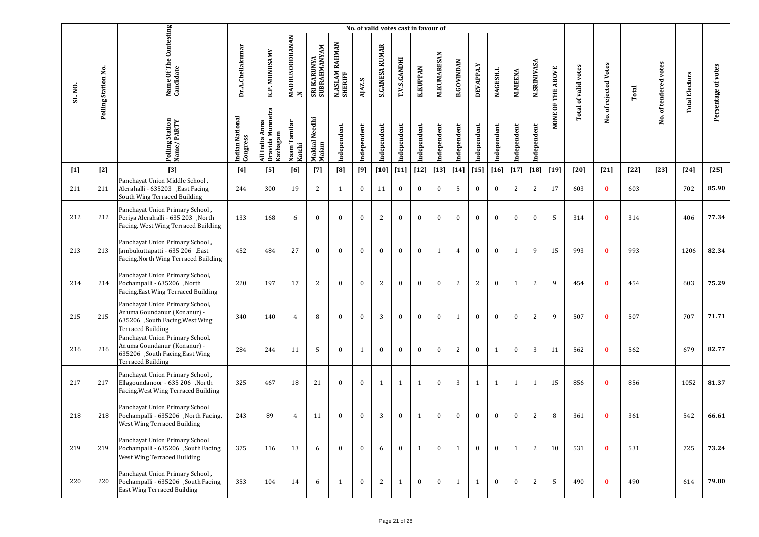|         |                     |                                                                                                                               |                             |                                                |                                       |                             |                                       | No. of valid votes cast in favour of |                       |              |                 |              |                   |                  |                 |                |                    |                   |                             |                   |        |                       |                       |                     |
|---------|---------------------|-------------------------------------------------------------------------------------------------------------------------------|-----------------------------|------------------------------------------------|---------------------------------------|-----------------------------|---------------------------------------|--------------------------------------|-----------------------|--------------|-----------------|--------------|-------------------|------------------|-----------------|----------------|--------------------|-------------------|-----------------------------|-------------------|--------|-----------------------|-----------------------|---------------------|
| SL. NO. | Polling Station No. | Name Of The Contesting<br>Candidate                                                                                           | Dr.A.Chellakumar            | K.P. MUNUSAMY                                  | <b>MADHUSOODHANAN</b><br>$\mathbf{z}$ | SRI KARUNYA<br>SUBRAHMANYAM | <b>RAHMAN</b><br>N.ASLAM I<br>SHERIFF | AJAZ.S                               | <b>S.GANESA KUMAR</b> | T.V.S.GANDHI | <b>K.KUPPAN</b> | M.KUMARESAN  | <b>B.GOVINDAN</b> | <b>DEVAPPA.Y</b> | <b>NAGESH.L</b> | <b>M.MEENA</b> | <b>N.SRINIVASA</b> | NONE OF THE ABOVE | <b>Total of valid votes</b> | of rejected Votes | Total  | No. of tendered votes | <b>Total Electors</b> | Persentage of votes |
|         |                     | Polling Station<br>Name/PARTY                                                                                                 | Indian National<br>Congress | Dravida Munnetra<br>All India Anna<br>Kazhagam | Naam Tamilar<br>Katchi                | Makkal Needhi<br>Maiam      | Independent                           | Independent                          | Independent           | Independent  | Independent     | Independent  | Independent       | Independent      | Independent     | Independent    | Independent        |                   |                             | χó.               |        |                       |                       |                     |
| $[1]$   | $[2]$               | $[3]$                                                                                                                         | $[4]$                       | [5]                                            | [6]                                   | $[7]$                       | $[8]$                                 | [9]                                  | $[10]$                | $[11]$       | $[12]$          | $[13]$       | $[14]$            | $[15]$           | $[16]$          | $[17]$         | $[18]$             | $[19]$            | $[20]$                      | $[21]$            | $[22]$ | $[23]$                | $[24]$                | $[25]$              |
| 211     | 211                 | Panchayat Union Middle School,<br>Alerahalli - 635203 , East Facing,<br>South Wing Terraced Building                          | 244                         | 300                                            | 19                                    | 2                           | $\mathbf{1}$                          | $\bf{0}$                             | 11                    | $\bf{0}$     | $\bf{0}$        | $\bf{0}$     | 5                 | $\bf{0}$         | $\mathbf{0}$    | 2              | 2                  | 17                | 603                         | $\bf{0}$          | 603    |                       | 702                   | 85.90               |
| 212     | 212                 | Panchayat Union Primary School,<br>Periya Alerahalli - 635 203 , North<br>Facing, West Wing Terraced Building                 | 133                         | 168                                            | 6                                     | $\bf{0}$                    | $\mathbf{0}$                          | $\bf{0}$                             | $\overline{c}$        | $\bf{0}$     | $\bf{0}$        | $\bf{0}$     | $\bf{0}$          | $\bf{0}$         | $\bf{0}$        | $\mathbf{0}$   | $\boldsymbol{0}$   | 5                 | 314                         | $\bf{0}$          | 314    |                       | 406                   | 77.34               |
| 213     | 213                 | Panchayat Union Primary School,<br>Jambukuttapatti - 635 206 ,East<br>Facing, North Wing Terraced Building                    | 452                         | 484                                            | 27                                    | $\bf{0}$                    | $\mathbf{0}$                          | $\mathbf{0}$                         | $\bf{0}$              | $\bf{0}$     | $\bf{0}$        | $\mathbf{1}$ | $\overline{4}$    | $\bf{0}$         | $\bf{0}$        | 1              | 9                  | 15                | 993                         | $\bf{0}$          | 993    |                       | 1206                  | 82.34               |
| 214     | 214                 | Panchayat Union Primary School,<br>Pochampalli - 635206 ,North<br>Facing, East Wing Terraced Building                         | 220                         | 197                                            | 17                                    | 2                           | $\mathbf{0}$                          | $\bf{0}$                             | $\overline{2}$        | $\bf{0}$     | $\bf{0}$        | $\bf{0}$     | 2                 | $\overline{c}$   | $\bf{0}$        | $\mathbf{1}$   | 2                  | 9                 | 454                         | $\bf{0}$          | 454    |                       | 603                   | 75.29               |
| 215     | 215                 | Panchayat Union Primary School,<br>Anuma Goundanur (Konanur) -<br>635206 ,South Facing, West Wing<br><b>Terraced Building</b> | 340                         | 140                                            | $\overline{4}$                        | 8                           | $\mathbf{0}$                          | $\mathbf{0}$                         | 3                     | $\bf{0}$     | $\bf{0}$        | $\bf{0}$     | 1                 | $\bf{0}$         | $\mathbf{0}$    | $\mathbf{0}$   | 2                  | 9                 | 507                         | $\bf{0}$          | 507    |                       | 707                   | 71.71               |
| 216     | 216                 | Panchayat Union Primary School,<br>Anuma Goundanur (Konanur) -<br>635206 ,South Facing, East Wing<br>Terraced Building        | 284                         | 244                                            | 11                                    | -5                          | $\mathbf{0}$                          | 1                                    | $\mathbf{0}$          | $\bf{0}$     | $\bf{0}$        | $\bf{0}$     | 2                 | $\bf{0}$         | 1               | $\mathbf{0}$   | 3                  | 11                | 562                         | $\mathbf{0}$      | 562    |                       | 679                   | 82.77               |
| 217     | 217                 | Panchayat Union Primary School,<br>Ellagoundanoor - 635 206 North<br>Facing, West Wing Terraced Building                      | 325                         | 467                                            | 18                                    | 21                          | $\mathbf{0}$                          | $\bf{0}$                             | $\mathbf{1}$          | 1            | $\mathbf{1}$    | $\mathbf{0}$ | 3                 | 1                | 1               | 1              | 1                  | 15                | 856                         | $\bf{0}$          | 856    |                       | 1052                  | 81.37               |
| 218     | 218                 | Panchayat Union Primary School<br>Pochampalli - 635206 ,North Facing,<br>West Wing Terraced Building                          | 243                         | 89                                             | $\overline{4}$                        | 11                          | $\mathbf{0}$                          | $\bf{0}$                             | 3                     | $\bf{0}$     | 1               | $\bf{0}$     | $\bf{0}$          | $\bf{0}$         | $\mathbf{0}$    | $\mathbf{0}$   | 2                  | 8                 | 361                         | $\bf{0}$          | 361    |                       | 542                   | 66.61               |
| 219     | 219                 | Panchayat Union Primary School<br>Pochampalli - 635206 ,South Facing,<br>West Wing Terraced Building                          | 375                         | 116                                            | 13                                    | 6                           | $\mathbf{0}$                          | $\mathbf{0}$                         | 6                     | $\bf{0}$     | $\mathbf{1}$    | $\bf{0}$     | $\mathbf{1}$      | $\bf{0}$         | $\mathbf{0}$    | $\mathbf{1}$   | 2                  | 10                | 531                         | $\bf{0}$          | 531    |                       | 725                   | 73.24               |
| 220     | 220                 | Panchayat Union Primary School,<br>Pochampalli - 635206 ,South Facing,<br><b>East Wing Terraced Building</b>                  | 353                         | 104                                            | 14                                    | 6                           | $\mathbf{1}$                          | $\bf{0}$                             | 2                     | $\mathbf{1}$ | $\bf{0}$        | $\bf{0}$     | $\mathbf{1}$      | 1                | $\bf{0}$        | $\mathbf{0}$   | $\overline{c}$     | 5                 | 490                         | $\bf{0}$          | 490    |                       | 614                   | 79.80               |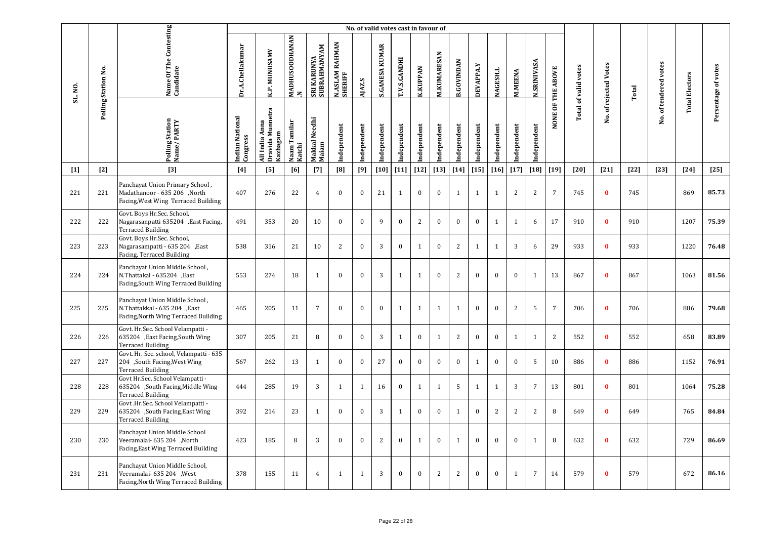|         |                     |                                                                                                         |                             |                                                |                                       |                             |                                       | No. of valid votes cast in favour of |                       |              |                 |                    |                   |              |              |                |                    |                   |                             |                       |        |                       |                       |                     |
|---------|---------------------|---------------------------------------------------------------------------------------------------------|-----------------------------|------------------------------------------------|---------------------------------------|-----------------------------|---------------------------------------|--------------------------------------|-----------------------|--------------|-----------------|--------------------|-------------------|--------------|--------------|----------------|--------------------|-------------------|-----------------------------|-----------------------|--------|-----------------------|-----------------------|---------------------|
| SL. NO. | Polling Station No. | Name Of The Contesting<br>Candidate                                                                     | Dr.A.Chellakumar            | K.P. MUNUSAMY                                  | <b>MADHUSOODHANAN</b><br>$\mathbf{z}$ | SRI KARUNYA<br>SUBRAHMANYAM | <b>RAHMAN</b><br>N.ASLAM I<br>SHERIFF | AJAZ.S                               | <b>S.GANESA KUMAR</b> | T.V.S.GANDHI | <b>K.KUPPAN</b> | <b>M.KUMARESAN</b> | <b>B.GOVINDAN</b> | DEVAPPA.Y    | NAGESH.L     | <b>M.MEENA</b> | <b>N.SRINIVASA</b> | NONE OF THE ABOVE | <b>Total of valid votes</b> | No. of rejected Votes | Total  | No. of tendered votes | <b>Total Electors</b> | Persentage of votes |
|         |                     | Polling Station<br>Name/PARTY                                                                           | Indian National<br>Congress | Dravida Munnetra<br>All India Anna<br>Kazhagam | Naam Tamilar<br>Katchi                | Makkal Needhi<br>Maiam      | Independent                           | Independent                          | ndependent            | Independent  | Independent     | Independent        | Independent       | Independent  | Independent  | ndependent     | Independent        |                   |                             |                       |        |                       |                       |                     |
| $[1]$   | $[2]$               | $[3]$                                                                                                   | [4]                         | [5]                                            | [6]                                   | $[7]$                       | [8]                                   | $[9]$                                | $[10]$                | $[11]$       | $[12]$          | $[13]$             | $[14]$            | $[15]$       | $[16]$       | $[17]$         | $[18]$             | $[19]$            | $[20]$                      | $[21]$                | $[22]$ | $[23]$                | $[24]$                | $[25]$              |
| 221     | 221                 | Panchayat Union Primary School,<br>Madathanoor - 635 206 , North<br>Facing, West Wing Terraced Building | 407                         | 276                                            | 22                                    | $\overline{4}$              | $\mathbf{0}$                          | $\mathbf{0}$                         | 21                    | 1            | $\bf{0}$        | $\mathbf{0}$       | 1                 | 1            | 1            | $\mathbf{2}$   | 2                  | $7\overline{ }$   | 745                         | $\bf{0}$              | 745    |                       | 869                   | 85.73               |
| 222     | 222                 | Govt. Boys Hr.Sec. School,<br>Nagarasanpatti 635204 , East Facing,<br><b>Terraced Building</b>          | 491                         | 353                                            | 20                                    | 10                          | $\mathbf{0}$                          | $\mathbf{0}$                         | 9                     | $\mathbf{0}$ | $\overline{2}$  | $\mathbf{0}$       | $\mathbf{0}$      | $\mathbf{0}$ | $\mathbf{1}$ | $\mathbf{1}$   | 6                  | 17                | 910                         | $\bf{0}$              | 910    |                       | 1207                  | 75.39               |
| 223     | 223                 | Govt. Boys Hr.Sec. School,<br>Nagarasampatti - 635 204 , East<br>Facing, Terraced Building              | 538                         | 316                                            | 21                                    | 10                          | $\overline{2}$                        | $\mathbf{0}$                         | 3                     | $\bf{0}$     | $\mathbf{1}$    | $\mathbf{0}$       | $\overline{2}$    | $\mathbf{1}$ | 1            | 3              | 6                  | 29                | 933                         | $\bf{0}$              | 933    |                       | 1220                  | 76.48               |
| 224     | 224                 | Panchayat Union Middle School,<br>N.Thattakal - 635204 ,East<br>Facing, South Wing Terraced Building    | 553                         | 274                                            | 18                                    | $\mathbf{1}$                | $\mathbf{0}$                          | $\bf{0}$                             | 3                     | $\mathbf{1}$ | $\mathbf{1}$    | $\bf{0}$           | 2                 | $\bf{0}$     | $\bf{0}$     | $\mathbf{0}$   | 1                  | 13                | 867                         | $\bf{0}$              | 867    |                       | 1063                  | 81.56               |
| 225     | 225                 | Panchayat Union Middle School,<br>N.Thattakkal - 635 204 , East<br>Facing, North Wing Terraced Building | 465                         | 205                                            | 11                                    | $7\overline{ }$             | $\mathbf{0}$                          | $\mathbf{0}$                         | $\mathbf{0}$          | 1            | $\mathbf{1}$    | 1                  | $\mathbf{1}$      | $\mathbf{0}$ | $\mathbf{0}$ | 2              | 5                  | $\overline{7}$    | 706                         | $\bf{0}$              | 706    |                       | 886                   | 79.68               |
| 226     | 226                 | Govt. Hr.Sec. School Velampatti -<br>635204 , East Facing, South Wing<br><b>Terraced Building</b>       | 307                         | 205                                            | 21                                    | 8                           | $\bf{0}$                              | $\bf{0}$                             | 3                     | 1            | $\bf{0}$        | 1                  | 2                 | $\bf{0}$     | $\bf{0}$     | $\mathbf{1}$   | $\mathbf{1}$       | 2                 | 552                         | $\bf{0}$              | 552    |                       | 658                   | 83.89               |
| 227     | 227                 | Govt. Hr. Sec. school, Velampatti - 635<br>204 ,South Facing, West Wing<br><b>Terraced Building</b>     | 567                         | 262                                            | 13                                    | 1                           | $\bf{0}$                              | $\mathbf{0}$                         | 27                    | $\bf{0}$     | $\bf{0}$        | $\bf{0}$           | $\bf{0}$          | $\mathbf{1}$ | $\mathbf{0}$ | $\mathbf{0}$   | 5                  | 10                | 886                         | $\bf{0}$              | 886    |                       | 1152                  | 76.91               |
| 228     | 228                 | Govt Hr.Sec. School Velampatti -<br>635204 ,South Facing, Middle Wing<br><b>Terraced Building</b>       | 444                         | 285                                            | 19                                    | 3                           | $\mathbf{1}$                          | 1                                    | 16                    | $\bf{0}$     | 1               | $\mathbf{1}$       | 5                 | 1            | 1            | 3              | $\overline{7}$     | 13                | 801                         | $\mathbf{0}$          | 801    |                       | 1064                  | 75.28               |
| 229     | 229                 | Govt .Hr.Sec. School Velampatti -<br>635204 ,South Facing, East Wing<br><b>Terraced Building</b>        | 392                         | 214                                            | 23                                    | 1                           | $\bf{0}$                              | $\bf{0}$                             | $\overline{3}$        | 1            | $\bf{0}$        | $\bf{0}$           | 1                 | $\bf{0}$     | 2            | $\overline{2}$ | $\overline{2}$     | 8                 | 649                         | $\mathbf{0}$          | 649    |                       | 765                   | 84.84               |
| 230     | 230                 | Panchayat Union Middle School<br>Veeramalai- 635 204 , North<br>Facing, East Wing Terraced Building     | 423                         | 185                                            | 8                                     | 3                           | $\mathbf{0}$                          | $\mathbf{0}$                         | 2                     | $\bf{0}$     | $\mathbf{1}$    | $\mathbf{0}$       | $\mathbf{1}$      | $\bf{0}$     | $\mathbf{0}$ | $\mathbf{0}$   | $\mathbf{1}$       | 8                 | 632                         | $\bf{0}$              | 632    |                       | 729                   | 86.69               |
| 231     | 231                 | Panchayat Union Middle School,<br>Veeramalai- 635 204 , West<br>Facing, North Wing Terraced Building    | 378                         | 155                                            | 11                                    | $\overline{4}$              | $\mathbf{1}$                          | 1                                    | 3                     | $\mathbf{0}$ | $\mathbf{0}$    | $\overline{c}$     | 2                 | $\mathbf{0}$ | $\mathbf{0}$ | $\mathbf{1}$   | $7\overline{ }$    | 14                | 579                         | $\bf{0}$              | 579    |                       | 672                   | 86.16               |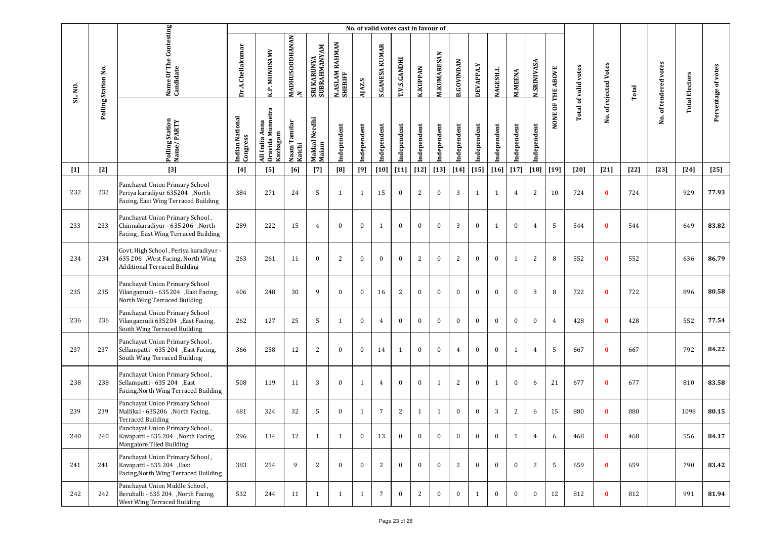|         |                     |                                                                                                                   |                             |                                                   |                        |                             |                                       |              | No. of valid votes cast in favour of |                     |                 |                    |                   |                  |                 |                |                    |                   |                      |                   |        |                       |                       |                     |
|---------|---------------------|-------------------------------------------------------------------------------------------------------------------|-----------------------------|---------------------------------------------------|------------------------|-----------------------------|---------------------------------------|--------------|--------------------------------------|---------------------|-----------------|--------------------|-------------------|------------------|-----------------|----------------|--------------------|-------------------|----------------------|-------------------|--------|-----------------------|-----------------------|---------------------|
| SL. NO. | Polling Station No. | Name Of The Contesting<br>Candidate                                                                               | Dr.A.Chellakumar            | K.P. MUNUSAMY                                     | MADHUSOODHANAN<br>z    | SRI KARUNYA<br>SUBRAHMANYAM | <b>RAHMAN</b><br>N.ASLAM I<br>SHERIFF | AJAZ.S       | <b>S.GANESA KUMAR</b>                | <b>T.V.S.GANDHI</b> | <b>K.KUPPAN</b> | <b>M.KUMARESAN</b> | <b>B.GOVINDAN</b> | <b>DEVAPPA.Y</b> | <b>NAGESH.L</b> | <b>M.MEENA</b> | <b>N.SRINIVASA</b> | NONE OF THE ABOVE | Total of valid votes | of rejected Votes | Total  | No. of tendered votes | <b>Total Electors</b> | Persentage of votes |
|         |                     | Polling Station<br>Name/PARTY                                                                                     | Indian National<br>Congress | Dravida Munnetra<br>Anna<br>Kazhagam<br>All India | Naam Tamilar<br>Katchi | Makkal Needhi<br>Maiam      | Independent                           | Independent  | Independent                          | Independent         | Independent     | Independent        | Independent       | Independent      | Independent     | Independent    | Independent        |                   |                      | Νo.               |        |                       |                       |                     |
| $[1]$   | $[2]$               | $[3]$                                                                                                             | $[4]$                       | [5]                                               | [6]                    | $[7]$                       | [8]                                   | [9]          | $[10]$                               | $[11]$              | $[12]$          | $[13]$             | $[14]$            | $[15]$           | $[16]$          | $[17]$         | [18]               | $[19]$            | $[20]$               | $[21]$            | $[22]$ | $[23]$                | $[24]$                | $[25]$              |
| 232     | 232                 | Panchayat Union Primary School<br>Periya karadiyur 635204 ,North<br>Facing, East Wing Terraced Building           | 384                         | 271                                               | 24                     | 5                           | $\mathbf{1}$                          | 1            | 15                                   | $\bf{0}$            | $\sqrt{2}$      | $\bf{0}$           | 3                 | 1                | 1               | 4              | 2                  | 10                | 724                  | $\bf{0}$          | 724    |                       | 929                   | 77.93               |
| 233     | 233                 | Panchayat Union Primary School,<br>Chinnakaradiyur - 635 206 ,North<br>Facing, East Wing Terraced Building        | 289                         | 222                                               | 15                     | $\overline{4}$              | $\bf{0}$                              | $\mathbf{0}$ | 1                                    | $\bf{0}$            | $\bf{0}$        | $\bf{0}$           | 3                 | $\bf{0}$         | 1               | $\bf{0}$       | $\overline{4}$     | 5                 | 544                  | $\bf{0}$          | 544    |                       | 649                   | 83.82               |
| 234     | 234                 | Govt. High School, Periya karadiyur -<br>635 206 , West Facing, North Wing<br><b>Additional Terraced Building</b> | 263                         | 261                                               | 11                     | $\bf{0}$                    | 2                                     | $\mathbf{0}$ | $\mathbf{0}$                         | $\bf{0}$            | $\overline{c}$  | $\bf{0}$           | 2                 | $\bf{0}$         | $\bf{0}$        | $\mathbf{1}$   | 2                  | 8                 | 552                  | $\bf{0}$          | 552    |                       | 636                   | 86.79               |
| 235     | 235                 | Panchayat Union Primary School<br>Vilangamudi - 635204 , East Facing,<br>North Wing Terraced Building             | 406                         | 248                                               | 30                     | 9                           | $\bf{0}$                              | $\bf{0}$     | 16                                   | 2                   | $\bf{0}$        | $\bf{0}$           | $\bf{0}$          | $\bf{0}$         | $\bf{0}$        | $\bf{0}$       | 3                  | 8                 | 722                  | $\bf{0}$          | 722    |                       | 896                   | 80.58               |
| 236     | 236                 | Panchayat Union Primary School<br>Vilangamudi 635204 , East Facing,<br>South Wing Terraced Building               | 262                         | 127                                               | 25                     | 5                           | $\mathbf{1}$                          | $\mathbf{0}$ | $\overline{4}$                       | $\bf{0}$            | $\bf{0}$        | $\bf{0}$           | $\mathbf{0}$      | $\mathbf{0}$     | $\mathbf{0}$    | $\mathbf{0}$   | $\mathbf{0}$       | $\overline{4}$    | 428                  | $\bf{0}$          | 428    |                       | 552                   | 77.54               |
| 237     | 237                 | Panchayat Union Primary School,<br>Sellampatti - 635 204 , East Facing,<br>South Wing Terraced Building           | 366                         | 258                                               | 12                     | 2                           | $\bf{0}$                              | $\bf{0}$     | 14                                   | 1                   | $\bf{0}$        | $\bf{0}$           | 4                 | $\bf{0}$         | $\bf{0}$        | $\mathbf{1}$   | 4                  | 5                 | 667                  | $\bf{0}$          | 667    |                       | 792                   | 84.22               |
| 238     | 238                 | Panchayat Union Primary School,<br>Sellampatti - 635 204 , East<br>Facing, North Wing Terraced Building           | 508                         | 119                                               | 11                     | 3                           | $\mathbf{0}$                          | 1            | $\overline{4}$                       | $\bf{0}$            | $\bf{0}$        | 1                  | 2                 | $\bf{0}$         | 1               | $\mathbf{0}$   | 6                  | 21                | 677                  | $\bf{0}$          | 677    |                       | 810                   | 83.58               |
| 239     | 239                 | Panchayat Union Primary School<br>Mallikal - 635206 ,North Facing,<br><b>Terraced Building</b>                    | 481                         | 324                                               | 32                     | -5                          | $\bf{0}$                              | 1            | $\overline{7}$                       | 2                   | $\mathbf{1}$    | 1                  | $\mathbf{0}$      | $\bf{0}$         | 3               | 2              | 6                  | 15                | 880                  | $\bf{0}$          | 880    |                       | 1098                  | 80.15               |
| 240     | 240                 | Panchayat Union Primary School,<br>Kavapatti - 635 204 ,North Facing,<br>Mangalore Tiled Building                 | 296                         | 134                                               | 12                     | 1                           | $\mathbf{1}$                          | $\bf{0}$     | 13                                   | $\bf{0}$            | $\bf{0}$        | $\bf{0}$           | $\bf{0}$          | $\bf{0}$         | $\bf{0}$        | $\mathbf{1}$   | $\overline{4}$     | 6                 | 468                  | $\bf{0}$          | 468    |                       | 556                   | 84.17               |
| 241     | 241                 | Panchayat Union Primary School,<br>Kavapatti - 635 204 , East<br>Facing, North Wing Terraced Building             | 383                         | 254                                               | 9                      | 2                           | $\mathbf{0}$                          | $\mathbf{0}$ | 2                                    | $\bf{0}$            | $\mathbf{0}$    | $\bf{0}$           | 2                 | $\mathbf{0}$     | $\mathbf{0}$    | $\mathbf{0}$   | 2                  | 5                 | 659                  | $\bf{0}$          | 659    |                       | 790                   | 83.42               |
| 242     | 242                 | Panchayat Union Middle School,<br>Beruhalli - 635 204 ,North Facing,<br>West Wing Terraced Building               | 532                         | 244                                               | 11                     | 1                           | 1                                     | -1           | $\overline{7}$                       | $\mathbf{0}$        | $\overline{2}$  | $\bf{0}$           | $\mathbf{0}$      | 1                | $\bf{0}$        | $\mathbf{0}$   | $\mathbf{0}$       | 12                | 812                  | $\mathbf{0}$      | 812    |                       | 991                   | 81.94               |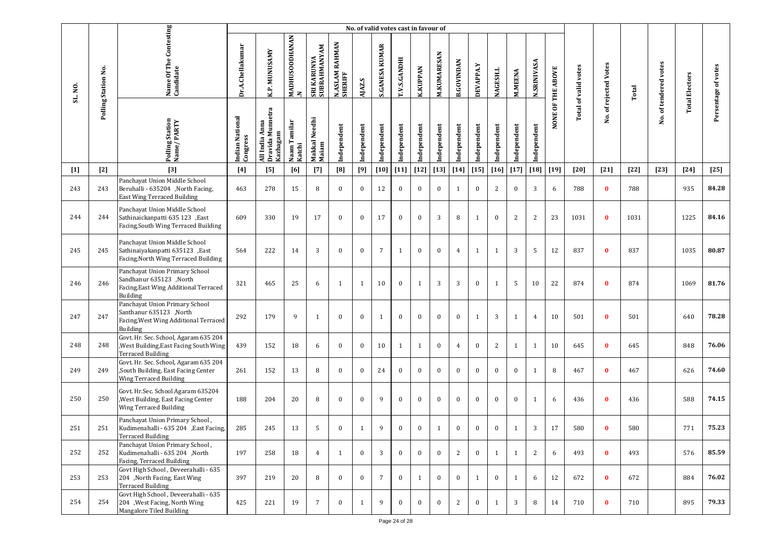|         |                     |                                                                                                                       |                             |                                                   |                                |                             |                           |              | No. of valid votes cast in favour of |                     |                 |                    |                   |              |                 |                |                    |                   |                      |                       |        |                       |                       |                     |
|---------|---------------------|-----------------------------------------------------------------------------------------------------------------------|-----------------------------|---------------------------------------------------|--------------------------------|-----------------------------|---------------------------|--------------|--------------------------------------|---------------------|-----------------|--------------------|-------------------|--------------|-----------------|----------------|--------------------|-------------------|----------------------|-----------------------|--------|-----------------------|-----------------------|---------------------|
| SL. NO. | Polling Station No. | Name Of The Contesting<br>Candidate                                                                                   | Dr.A.Chellakumar            | <b>K.P. MUNUSAMY</b>                              | MADHUSOODHANAN<br>$\mathbf{z}$ | SRI KARUNYA<br>SUBRAHMANYAM | N.ASLAM RAHMAN<br>SHERIFF | AJAZ.S       | <b>S.GANESA KUMAR</b>                | <b>T.V.S.GANDHI</b> | <b>K.KUPPAN</b> | <b>M.KUMARESAN</b> | <b>B.GOVINDAN</b> | DEVAPPA.Y    | <b>NAGESH.L</b> | <b>M.MEENA</b> | <b>N.SRINIVASA</b> | NONE OF THE ABOVE | Total of valid votes | No. of rejected Votes | Total  | No. of tendered votes | <b>Total Electors</b> | Persentage of votes |
|         |                     | Polling Station<br>Name/PARTY                                                                                         | Indian National<br>Congress | Dravida Munnetra<br>Kazhagam<br>Anna<br>All India | Naam Tamilar<br>Katchi         | Makkal Needhi<br>Maiam      | Independent               | Independent  | ndependent                           | Independent         | Independent     | Independent        | Independent       | Independent  | Independent     | Independent    | Independent        |                   |                      |                       |        |                       |                       |                     |
| $[1]$   | $[2]$               | $[3]$                                                                                                                 | $[4]$                       | [5]                                               | [6]                            | $[7]$                       | [8]                       | [9]          | $[10]$                               | $[11]$              | $[12]$          | $[13]$             | $[14]$            | $[15]$       | $[16]$          | $[17]$         | $[18]$             | $[19]$            | $[20]$               | $[21]$                | $[22]$ | $[23]$                | $[24]$                | $[25]$              |
| 243     | 243                 | Panchayat Union Middle School<br>Beruhalli - 635204 , North Facing,<br>East Wing Terraced Building                    | 463                         | 278                                               | 15                             | 8                           | $\mathbf{0}$              | $\mathbf{0}$ | 12                                   | $\bf{0}$            | $\bf{0}$        | $\bf{0}$           | $\mathbf{1}$      | $\mathbf{0}$ | 2               | $\mathbf{0}$   | 3                  | 6                 | 788                  | $\bf{0}$              | 788    |                       | 935                   | 84.28               |
| 244     | 244                 | Panchayat Union Middle School<br>Sathinaickanpatti 635 123 , East<br>Facing, South Wing Terraced Building             | 609                         | 330                                               | 19                             | 17                          | $\mathbf{0}$              | $\bf{0}$     | 17                                   | $\bf{0}$            | $\bf{0}$        | 3                  | 8                 | 1            | $\bf{0}$        | 2              | $\overline{c}$     | 23                | 1031                 | $\bf{0}$              | 1031   |                       | 1225                  | 84.16               |
| 245     | 245                 | Panchayat Union Middle School<br>Sathinaiyakanpatti 635123, East<br>Facing, North Wing Terraced Building              | 564                         | 222                                               | 14                             | 3                           | $\mathbf{0}$              | $\bf{0}$     | $\overline{7}$                       | 1                   | $\bf{0}$        | $\bf{0}$           | $\overline{4}$    | 1            | 1               | 3              | 5                  | 12                | 837                  | $\bf{0}$              | 837    |                       | 1035                  | 80.87               |
| 246     | 246                 | Panchayat Union Primary School<br>Sandhanur 635123 ,North<br>Facing, East Wing Additional Terraced<br>Building        | 321                         | 465                                               | 25                             | 6                           | $\mathbf{1}$              | $\mathbf{1}$ | 10                                   | $\bf{0}$            | $\mathbf{1}$    | 3                  | 3                 | $\mathbf{0}$ | 1               | 5              | 10                 | 22                | 874                  | $\bf{0}$              | 874    |                       | 1069                  | 81.76               |
| 247     | 247                 | Panchayat Union Primary School<br>Santhanur 635123 ,North<br>Facing, West Wing Additional Terraced<br><b>Building</b> | 292                         | 179                                               | 9                              | $\mathbf{1}$                | $\mathbf{0}$              | $\mathbf{0}$ | $\mathbf{1}$                         | $\bf{0}$            | $\bf{0}$        | $\bf{0}$           | $\bf{0}$          | $\mathbf{1}$ | 3               | 1              | 4                  | 10                | 501                  | $\mathbf{0}$          | 501    |                       | 640                   | 78.28               |
| 248     | 248                 | Govt. Hr. Sec. School, Agaram 635 204<br>, West Building, East Facing South Wing<br><b>Terraced Building</b>          | 439                         | 152                                               | 18                             | 6                           | $\bf{0}$                  | $\bf{0}$     | 10                                   | 1                   | $\mathbf{1}$    | $\bf{0}$           | $\overline{4}$    | $\bf{0}$     | 2               | $\mathbf{1}$   | 1                  | 10                | 645                  | $\bf{0}$              | 645    |                       | 848                   | 76.06               |
| 249     | 249                 | Govt. Hr. Sec. School, Agaram 635 204<br>,South Building, East Facing Center<br>Wing Terraced Building                | 261                         | 152                                               | 13                             | 8                           | $\mathbf{0}$              | $\mathbf{0}$ | 24                                   | $\bf{0}$            | $\bf{0}$        | $\bf{0}$           | $\bf{0}$          | $\mathbf{0}$ | $\mathbf{0}$    | $\mathbf{0}$   | 1                  | 8                 | 467                  | $\bf{0}$              | 467    |                       | 626                   | 74.60               |
| 250     | 250                 | Govt. Hr.Sec. School Agaram 635204<br>, West Building, East Facing Center<br>Wing Terraced Building                   | 188                         | 204                                               | 20                             | 8                           | $\bf{0}$                  | $\bf{0}$     | 9                                    | $\bf{0}$            | $\bf{0}$        | $\bf{0}$           | $\bf{0}$          | $\bf{0}$     | $\mathbf{0}$    | $\mathbf{0}$   | 1                  | 6                 | 436                  | $\bf{0}$              | 436    |                       | 588                   | 74.15               |
| 251     | 251                 | Panchayat Union Primary School,<br>Kudimenahalli - 635 204 , East Facing,<br><b>Terraced Building</b>                 | 285                         | 245                                               | 13                             |                             |                           |              |                                      |                     |                 |                    |                   |              |                 |                |                    | 17                | 580                  |                       | 580    |                       | 771                   | 75.23               |
| 252     | 252                 | Panchayat Union Primary School,<br>Kudimenahalli - 635 204 ,North<br>Facing, Terraced Building                        | 197                         | 258                                               | 18                             | 4                           | $\mathbf{1}$              | $\mathbf{0}$ | 3                                    | $\mathbf{0}$        | $\mathbf{0}$    | $\bf{0}$           | 2                 | $\mathbf{0}$ | 1               | $\mathbf{1}$   | 2                  | 6                 | 493                  | $\mathbf{0}$          | 493    |                       | 576                   | 85.59               |
| 253     | 253                 | Govt High School, Deveerahalli - 635<br>204 ,North Facing, East Wing<br><b>Terraced Building</b>                      | 397                         | 219                                               | 20                             | 8                           | $\mathbf{0}$              | $\mathbf{0}$ | 7                                    | $\bf{0}$            | $\mathbf{1}$    | $\bf{0}$           | $\bf{0}$          | 1            | $\Omega$        | 1              | 6                  | 12                | 672                  | $\bf{0}$              | 672    |                       | 884                   | 76.02               |
| 254     | 254                 | Govt High School, Deveerahalli - 635<br>204 , West Facing, North Wing<br>Mangalore Tiled Building                     | 425                         | 221                                               | 19                             | $\overline{7}$              | $\bf{0}$                  | 1            | 9                                    | $\mathbf{0}$        | $\mathbf{0}$    | $\bf{0}$           | 2                 | $\bf{0}$     | 1               | $\mathbf{3}$   | 8                  | 14                | 710                  | $\bf{0}$              | 710    |                       | 895                   | 79.33               |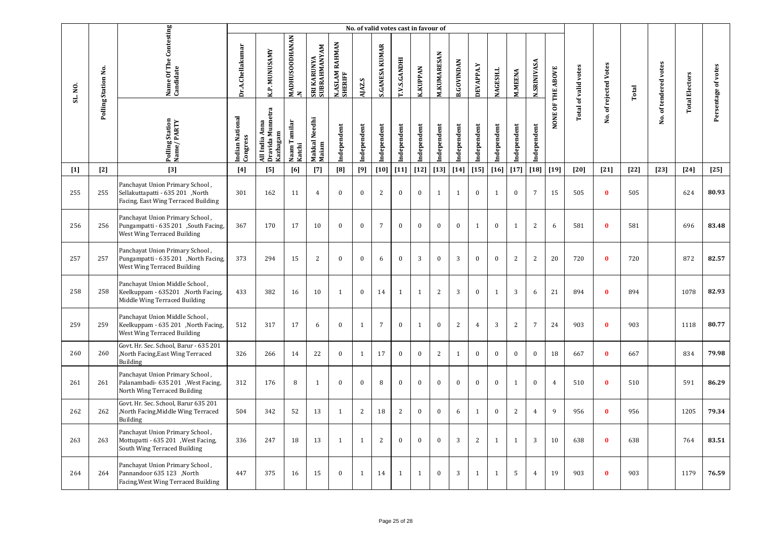|         |                     |                                                                                                            | No. of valid votes cast in favour of |                                                |                          |                             |                           |              |                       |                     |                 |                    |                   |              |              |                |                    |                   |                             |                       |        |                       |                       |                     |
|---------|---------------------|------------------------------------------------------------------------------------------------------------|--------------------------------------|------------------------------------------------|--------------------------|-----------------------------|---------------------------|--------------|-----------------------|---------------------|-----------------|--------------------|-------------------|--------------|--------------|----------------|--------------------|-------------------|-----------------------------|-----------------------|--------|-----------------------|-----------------------|---------------------|
| SL. NO. | Polling Station No. | Name Of The Contesting<br>Candidate                                                                        | Dr.A.Chellakumar                     | K.P. MUNUSAMY                                  | MADHUSOODHANAN<br>$\geq$ | SRI KARUNYA<br>SUBRAHMANYAM | N.ASLAM RAHMAN<br>SHERIFF | AJAZ.S       | <b>S.GANESA KUMAR</b> | <b>T.V.S.GANDHI</b> | <b>K.KUPPAN</b> | <b>M.KUMARESAN</b> | <b>B.GOVINDAN</b> | DEVAPPA.Y    | NAGESH.L     | <b>M.MEENA</b> | <b>N.SRINIVASA</b> | NONE OF THE ABOVE | <b>Total of valid votes</b> | No. of rejected Votes | Total  | No. of tendered votes | <b>Total Electors</b> | Persentage of votes |
|         |                     | Polling Station<br>Name/PARTY                                                                              | Indian National<br>Congress          | Dravida Munnetra<br>All India Anna<br>Kazhagam | Naam Tamilar<br>Katchi   | Makkal Needhi<br>Maiam      | Independent               | ndependent   | ndependent            | Independent         | Independent     | Independent        | Independent       | Independent  | Independent  | ndependent     | Independent        |                   |                             |                       |        |                       |                       |                     |
| $[1]$   | $[2]$               | [3]                                                                                                        | $[4]$                                | [5]                                            | [6]                      | $[7]$                       | [8]                       | [9]          | $[10]$                | $[11]$              | $[12]$          | $[13]$             | $[14]$            | $[15]$       | $[16]$       | $[17]$         | $[18]$             | $[19]$            | $[20]$                      | $[21]$                | $[22]$ | $[23]$                | $[24]$                | $[25]$              |
| 255     | 255                 | Panchayat Union Primary School,<br>Sellakuttapatti - 635 201, North<br>Facing, East Wing Terraced Building | 301                                  | 162                                            | 11                       | $\overline{4}$              | $\mathbf{0}$              | $\mathbf{0}$ | 2                     | $\mathbf{0}$        | $\mathbf{0}$    | $\mathbf{1}$       | 1                 | $\mathbf{0}$ | 1            | $\mathbf{0}$   | $7\overline{ }$    | 15                | 505                         | $\bf{0}$              | 505    |                       | 624                   | 80.93               |
| 256     | 256                 | Panchayat Union Primary School,<br>Pungampatti - 635 201 ,South Facing,<br>West Wing Terraced Building     | 367                                  | 170                                            | 17                       | 10                          | $\mathbf{0}$              | $\bf{0}$     | $\overline{7}$        | $\bf{0}$            | $\bf{0}$        | $\bf{0}$           | $\boldsymbol{0}$  | $\mathbf{1}$ | $\bf{0}$     | $\mathbf{1}$   | $\overline{c}$     | 6                 | 581                         | $\mathbf{0}$          | 581    |                       | 696                   | 83.48               |
| 257     | 257                 | Panchayat Union Primary School,<br>Pungampatti - 635 201 ,North Facing,<br>West Wing Terraced Building     | 373                                  | 294                                            | 15                       | 2                           | $\bf{0}$                  | $\bf{0}$     | 6                     | $\bf{0}$            | $\mathbf{3}$    | $\bf{0}$           | 3                 | $\bf{0}$     | $\mathbf{0}$ | $\overline{2}$ | $\overline{2}$     | 20                | 720                         | $\bf{0}$              | 720    |                       | 872                   | 82.57               |
| 258     | 258                 | Panchayat Union Middle School,<br>Keelkuppam - 635201 ,North Facing,<br>Middle Wing Terraced Building      | 433                                  | 382                                            | 16                       | 10                          | $\mathbf{1}$              | $\mathbf{0}$ | 14                    | 1                   | $\mathbf{1}$    | 2                  | 3                 | $\mathbf{0}$ | $\mathbf{1}$ | 3              | 6                  | 21                | 894                         | $\mathbf{0}$          | 894    |                       | 1078                  | 82.93               |
| 259     | 259                 | Panchayat Union Middle School,<br>Keelkuppam - 635 201 , North Facing,<br>West Wing Terraced Building      | 512                                  | 317                                            | 17                       | 6                           | $\mathbf{0}$              | 1            | $\overline{7}$        | $\mathbf{0}$        | $\mathbf{1}$    | $\bf{0}$           | 2                 | $\pmb{4}$    | 3            | $\mathbf{2}$   | $\overline{7}$     | 24                | 903                         | $\mathbf{0}$          | 903    |                       | 1118                  | 80.77               |
| 260     | 260                 | Govt. Hr. Sec. School, Barur - 635 201<br>North Facing, East Wing Terraced<br>Building                     | 326                                  | 266                                            | 14                       | 22                          | $\mathbf{0}$              | $\mathbf{1}$ | 17                    | $\bf{0}$            | $\bf{0}$        | 2                  | $\mathbf{1}$      | $\bf{0}$     | $\mathbf{0}$ | $\mathbf{0}$   | $\bf{0}$           | 18                | 667                         | $\bf{0}$              | 667    |                       | 834                   | 79.98               |
| 261     | 261                 | Panchayat Union Primary School,<br>Palanambadi- 635 201 , West Facing,<br>North Wing Terraced Building     | 312                                  | 176                                            | $\, 8$                   | $\mathbf{1}$                | $\mathbf{0}$              | $\bf{0}$     | 8                     | $\bf{0}$            | $\mathbf{0}$    | $\bf{0}$           | $\boldsymbol{0}$  | $\bf{0}$     | $\mathbf{0}$ | $\mathbf{1}$   | $\bf{0}$           | $\overline{4}$    | 510                         | $\bf{0}$              | 510    |                       | 591                   | 86.29               |
| 262     | 262                 | Govt. Hr. Sec. School, Barur 635 201<br>North Facing, Middle Wing Terraced<br>Building                     | 504                                  | 342                                            | 52                       | 13                          | $\mathbf{1}$              | 2            | 18                    | 2                   | $\bf{0}$        | $\mathbf{0}$       | 6                 | 1            | $\mathbf{0}$ | $\mathbf{2}$   | $\overline{4}$     | 9                 | 956                         | $\bf{0}$              | 956    |                       | 1205                  | 79.34               |
| 263     | 263                 | Panchayat Union Primary School,<br>Mottupatti - 635 201 , West Facing,<br>South Wing Terraced Building     | 336                                  | 247                                            | 18                       | 13                          | $\mathbf{1}$              | $\mathbf{1}$ | $\overline{2}$        | $\bf{0}$            | $\bf{0}$        | $\mathbf{0}$       | 3                 | 2            | $\mathbf{1}$ | $\mathbf{1}$   | 3                  | 10                | 638                         | $\bf{0}$              | 638    |                       | 764                   | 83.51               |
| 264     | 264                 | Panchayat Union Primary School,<br>North, Pannandoor 635 123<br>Facing, West Wing Terraced Building        | 447                                  | 375                                            | 16                       | 15                          | $\mathbf{0}$              | $\mathbf{1}$ | 14                    | $\mathbf{1}$        | $\mathbf{1}$    | $\bf{0}$           | 3                 | 1            | $\mathbf{1}$ | 5              | $\overline{4}$     | 19                | 903                         | $\bf{0}$              | 903    |                       | 1179                  | 76.59               |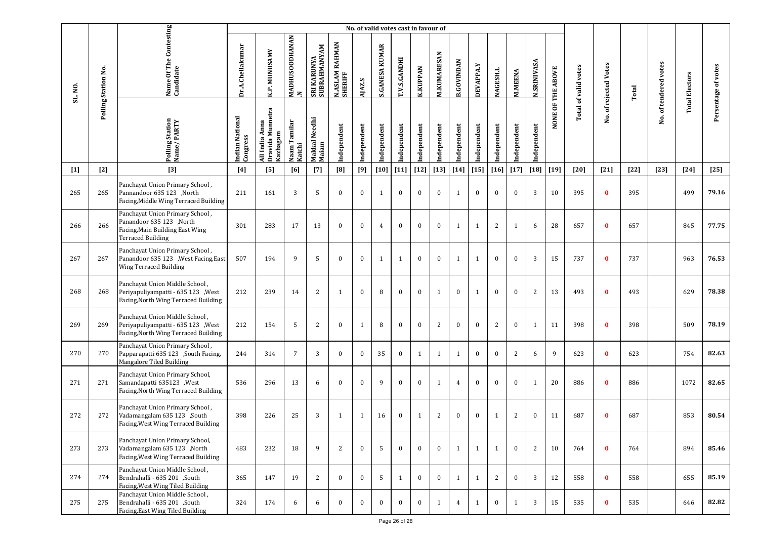|         |                     |                                                                                                                            |                             |                                                         |                                |                             |                           | No. of valid votes cast in favour of |                       |                     |                 |                    |                   |                  |                 |                |                    |                   |                             |                   |        |                       |                       |                     |
|---------|---------------------|----------------------------------------------------------------------------------------------------------------------------|-----------------------------|---------------------------------------------------------|--------------------------------|-----------------------------|---------------------------|--------------------------------------|-----------------------|---------------------|-----------------|--------------------|-------------------|------------------|-----------------|----------------|--------------------|-------------------|-----------------------------|-------------------|--------|-----------------------|-----------------------|---------------------|
| SL. NO. | Polling Station No. | Name Of The Contesting<br>Candidate                                                                                        | Dr.A.Chellakumar            | K.P. MUNUSAMY                                           | MADHUSOODHANAN<br>$\mathbf{z}$ | SRI KARUNYA<br>SUBRAHMANYAM | N.ASLAM RAHMAN<br>SHERIFF | AJAZ.S                               | <b>S.GANESA KUMAR</b> | <b>T.V.S.GANDHI</b> | <b>K.KUPPAN</b> | <b>M.KUMARESAN</b> | <b>B.GOVINDAN</b> | <b>DEVAPPA.Y</b> | <b>NAGESH.L</b> | <b>M.MEENA</b> | <b>N.SRINIVASA</b> | NONE OF THE ABOVE | <b>Total of valid votes</b> | of rejected Votes | Total  | No. of tendered votes | <b>Total Electors</b> | Persentage of votes |
|         |                     | Polling Station<br>Name / PARTY                                                                                            | Indian National<br>Congress | Munnetra<br>Anna<br>Dravida Mu<br>Kazhagam<br>All India | Naam Tamilar<br>Katchi         | Makkal Needhi<br>Maiam      | Independent               | Independent                          | Independent           | Independent         | Independent     | Independent        | Independent       | Independent      | Independent     | Independent    | Independent        |                   |                             | ρġ.               |        |                       |                       |                     |
| $[1]$   | $[2]$               | $[3]$                                                                                                                      | [4]                         | [5]                                                     | [6]                            | $[7]$                       | [8]                       | [9]                                  | [10]                  | $[11]$              | $[12]$          | $[13]$             | $[14]$            | $[15]$           | $[16]$          | $[17]$         | $[18]$             | $[19]$            | [20]                        | $[21]$            | $[22]$ | $[23]$                | $[24]$                | $[25]$              |
| 265     | 265                 | Panchayat Union Primary School,<br>North, Pannandoor 635 123<br>Facing, Middle Wing Terraced Building                      | 211                         | 161                                                     | 3                              | 5                           | $\mathbf{0}$              | $\bf{0}$                             | $\mathbf{1}$          | $\mathbf{0}$        | $\bf{0}$        | $\bf{0}$           | $\mathbf{1}$      | $\bf{0}$         | $\bf{0}$        | $\mathbf{0}$   | 3                  | 10                | 395                         | $\bf{0}$          | 395    |                       | 499                   | 79.16               |
| 266     | 266                 | Panchayat Union Primary School,<br>Panandoor 635 123 ,North<br>Facing, Main Building East Wing<br><b>Terraced Building</b> | 301                         | 283                                                     | 17                             | 13                          | $\mathbf{0}$              | $\mathbf{0}$                         | $\overline{4}$        | $\mathbf{0}$        | $\bf{0}$        | $\bf{0}$           | 1                 | 1                | 2               | $\mathbf{1}$   | 6                  | 28                | 657                         | $\bf{0}$          | 657    |                       | 845                   | 77.75               |
| 267     | 267                 | Panchayat Union Primary School,<br>Panandoor 635 123 , West Facing, East<br>Wing Terraced Building                         | 507                         | 194                                                     | 9                              | 5                           | $\mathbf{0}$              | $\mathbf{0}$                         | 1                     | 1                   | $\bf{0}$        | $\bf{0}$           | 1                 | 1                | $\bf{0}$        | $\mathbf{0}$   | 3                  | 15                | 737                         | $\bf{0}$          | 737    |                       | 963                   | 76.53               |
| 268     | 268                 | Panchayat Union Middle School,<br>Periyapuliyampatti - 635 123 , West<br>Facing, North Wing Terraced Building              | 212                         | 239                                                     | 14                             | 2                           | $\mathbf{1}$              | $\bf{0}$                             | 8                     | $\mathbf{0}$        | $\bf{0}$        | $\mathbf{1}$       | $\mathbf{0}$      | 1                | $\bf{0}$        | $\mathbf{0}$   | 2                  | 13                | 493                         | $\bf{0}$          | 493    |                       | 629                   | 78.38               |
| 269     | 269                 | Panchayat Union Middle School,<br>Periyapuliyampatti - 635 123 , West<br>Facing, North Wing Terraced Building              | 212                         | 154                                                     | 5                              | 2                           | $\mathbf{0}$              | 1                                    | 8                     | $\mathbf{0}$        | $\bf{0}$        | 2                  | $\mathbf{0}$      | $\bf{0}$         | 2               | $\bf{0}$       | 1                  | 11                | 398                         | $\bf{0}$          | 398    |                       | 509                   | 78.19               |
| 270     | 270                 | Panchayat Union Primary School,<br>Papparapatti 635 123 , South Facing,<br>Mangalore Tiled Building                        | 244                         | 314                                                     | $7\phantom{.0}$                | 3                           | $\mathbf{0}$              | $\mathbf{0}$                         | 35                    | $\bf{0}$            | $\mathbf{1}$    | 1                  | 1                 | $\mathbf{0}$     | $\mathbf{0}$    | 2              | 6                  | 9                 | 623                         | $\bf{0}$          | 623    |                       | 754                   | 82.63               |
| 271     | 271                 | Panchayat Union Primary School,<br>Samandapatti 635123 , West<br>Facing, North Wing Terraced Building                      | 536                         | 296                                                     | 13                             | 6                           | $\mathbf{0}$              | $\theta$                             | 9                     | $\mathbf{0}$        | $\mathbf{0}$    | 1                  | $\overline{4}$    | $\mathbf{0}$     | $\mathbf{0}$    | $\mathbf{0}$   | 1                  | 20                | 886                         | $\bf{0}$          | 886    |                       | 1072                  | 82.65               |
| 272     | 272                 | Panchayat Union Primary School,<br>Vadamangalam 635 123 ,South<br>Facing, West Wing Terraced Building                      | 398                         | 226                                                     | 25                             | 3                           | 1                         | 1                                    | 16                    | $\bf{0}$            | $\mathbf{1}$    | 2                  | $\mathbf{0}$      | $\mathbf{0}$     | 1               | 2              | $\bf{0}$           | 11                | 687                         | $\bf{0}$          | 687    |                       | 853                   | 80.54               |
| 273     | 273                 | Panchayat Union Primary School,<br>Vadamangalam 635 123 ,North<br>Facing, West Wing Terraced Building                      | 483                         | 232                                                     | 18                             | 9                           | 2                         | $\mathbf{0}$                         | 5                     | $\mathbf{0}$        | $\mathbf{0}$    | $\mathbf{0}$       | $\mathbf{1}$      | 1                | 1               | $\mathbf{0}$   | 2                  | 10                | 764                         | $\bf{0}$          | 764    |                       | 894                   | 85.46               |
| 274     | 274                 | Panchayat Union Middle School,<br>Bendrahalli - 635 201 ,South<br>Facing, West Wing Tiled Building                         | 365                         | 147                                                     | 19                             | 2                           | $\mathbf{0}$              | $\Omega$                             | 5                     | 1                   | $\mathbf{0}$    | $\bf{0}$           | 1                 | 1                | 2               | $\mathbf{0}$   | $\overline{3}$     | 12                | 558                         | $\bf{0}$          | 558    |                       | 655                   | 85.19               |
| 275     | 275                 | Panchayat Union Middle School,<br>Bendrahalli - 635 201, South<br>Facing, East Wing Tiled Building                         | 324                         | 174                                                     | 6                              | 6                           | $\mathbf{0}$              | $\mathbf{0}$                         | $\bf{0}$              | $\bf{0}$            | $\mathbf{0}$    | 1                  | $\overline{4}$    | 1                | $\bf{0}$        | 1              | 3                  | 15                | 535                         | $\bf{0}$          | 535    |                       | 646                   | 82.82               |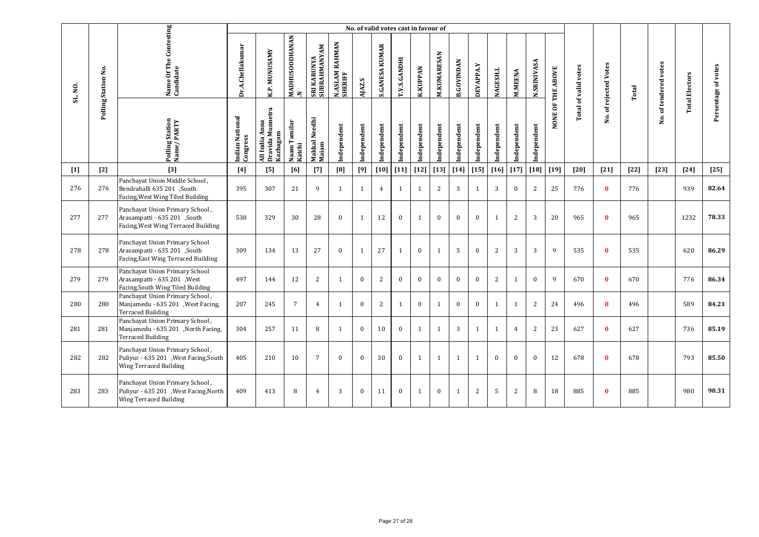|         |                     |                                                                                                            |                             |                                                   |                                       |                             |                           | No. of valid votes cast in favour of |                                 |                     |                 |              |                   |                  |                 |                |                    |                   |                      |                   |        |                       |                       |                     |
|---------|---------------------|------------------------------------------------------------------------------------------------------------|-----------------------------|---------------------------------------------------|---------------------------------------|-----------------------------|---------------------------|--------------------------------------|---------------------------------|---------------------|-----------------|--------------|-------------------|------------------|-----------------|----------------|--------------------|-------------------|----------------------|-------------------|--------|-----------------------|-----------------------|---------------------|
| SL. NO. | Polling Station No. | Name Of The Contesting<br>Candidate                                                                        | Dr.A.Chellakumar            | K.P. MUNUSAMY                                     | <b>MADHUSOODHANAN</b><br>$\mathbf{z}$ | SRI KARUNYA<br>SUBRAHMANYAM | N.ASLAM RAHMAN<br>SHERIFF | AJAZ.S                               | <b>KUMAR</b><br><b>S.GANESA</b> | <b>T.V.S.GANDHI</b> | <b>K.KUPPAN</b> | M.KUMARESAN  | <b>B.GOVINDAN</b> | <b>DEVAPPA.Y</b> | <b>NAGESH.L</b> | <b>M.MEENA</b> | <b>N.SRINIVASA</b> | NONE OF THE ABOVE | Total of valid votes | of rejected Votes | Total  | No. of tendered votes | <b>Total Electors</b> | Persentage of votes |
|         |                     | Polling Station<br>Name / PARTY                                                                            | Indian National<br>Congress | Dravida Munnetra<br>Kazhagam<br>Anna<br>All India | Naam Tamilar<br>Katchi                | Makkal Needhi<br>Maiam      | Independent               | Independent                          | Independent                     | Independent         | Independent     | Independent  | Independent       | Independent      | Independent     | Independent    | Independent        |                   |                      | غ.                |        |                       |                       |                     |
| $[1]$   | $[2]$               | $[3]$                                                                                                      | [4]                         | [5]                                               | [6]                                   | $[7]$                       | [8]                       | [9]                                  | $[10]$                          | $[11]$              | $[12]$          | $[13]$       | $[14]$            | $[15]$           | $[16]$          | $[17]$         | $[18]$             | $[19]$            | $[20]$               | $[21]$            | $[22]$ | $[23]$                | $[24]$                | $[25]$              |
| 276     | 276                 | Panchayat Union Middle School,<br>Bendrahalli 635 201 ,South<br>Facing, West Wing Tiled Building           | 395                         | 307                                               | 21                                    | 9                           | $\mathbf{1}$              | $\mathbf{1}$                         | $\overline{4}$                  | 1                   | $\mathbf{1}$    | 2            | 3                 | 1                | 3               | $\theta$       | 2                  | 25                | 776                  | $\mathbf{0}$      | 776    |                       | 939                   | 82.64               |
| 277     | 277                 | Panchayat Union Primary School,<br>Arasampatti - 635 201 ,South<br>Facing, West Wing Terraced Building     | 538                         | 329                                               | 30                                    | 28                          | $\mathbf{0}$              | $\mathbf{1}$                         | 12                              | $\mathbf{0}$        | 1               | $\bf{0}$     | $\mathbf{0}$      | $\mathbf{0}$     | $\mathbf{1}$    | 2              | 3                  | 20                | 965                  | $\Omega$          | 965    |                       | 1232                  | 78.33               |
| 278     | 278                 | Panchayat Union Primary School<br>Arasampatti - 635 201 ,South<br>Facing, East Wing Terraced Building      | 309                         | 134                                               | 13                                    | 27                          | $\theta$                  | $\mathbf{1}$                         | 27                              | 1                   | $\mathbf{0}$    | 1            | 5                 | $\mathbf{0}$     | 2               | 3              | 3                  | 9                 | 535                  | $\Omega$          | 535    |                       | 620                   | 86.29               |
| 279     | 279                 | Panchayat Union Primary School<br>Arasampatti - 635 201 , West<br>Facing, South Wing Tiled Building        | 497                         | 144                                               | 12                                    | 2                           | $\mathbf{1}$              | $\mathbf{0}$                         | 2                               | $\mathbf{0}$        | $\bf{0}$        | $\bf{0}$     | $\mathbf{0}$      | $\mathbf{0}$     | $\overline{2}$  | 1              | $\mathbf{0}$       | 9                 | 670                  | $\bf{0}$          | 670    |                       | 776                   | 86.34               |
| 280     | 280                 | Panchayat Union Primary School,<br>Manjamedu - 635 201 , West Facing,<br><b>Terraced Building</b>          | 207                         | 245                                               | $\overline{7}$                        | $\overline{4}$              | $\mathbf{1}$              | $\mathbf{0}$                         | 2                               | 1                   | $\mathbf{0}$    | 1            | $\Omega$          | $\theta$         | $\mathbf{1}$    | 1              | 2                  | 24                | 496                  | $\mathbf{0}$      | 496    |                       | 589                   | 84.21               |
| 281     | 281                 | Panchayat Union Primary School,<br>Manjamedu - 635 201 , North Facing,<br><b>Terraced Building</b>         | 304                         | 257                                               | 11                                    | 8                           | $\mathbf{1}$              | $\mathbf{0}$                         | 10                              | $\bf{0}$            | $\mathbf{1}$    | $\mathbf{1}$ | 3                 | 1                | 1               | $\overline{4}$ | 2                  | 23                | 627                  | $\bf{0}$          | 627    |                       | 736                   | 85.19               |
| 282     | 282                 | Panchayat Union Primary School,<br>Puliyur - 635 201 , West Facing, South<br><b>Wing Terraced Building</b> | 405                         | 210                                               | 10                                    | $\overline{7}$              | $\mathbf{0}$              | $\mathbf{0}$                         | 30                              | $\mathbf{0}$        | 1               | 1            | $\mathbf{1}$      | 1                | $\Omega$        | $\overline{0}$ | $\mathbf{0}$       | 12                | 678                  | $\bf{0}$          | 678    |                       | 793                   | 85.50               |
| 283     | 283                 | Panchayat Union Primary School,<br>Puliyur - 635 201 , West Facing, North<br><b>Wing Terraced Building</b> | 409                         | 413                                               | 8                                     | $\overline{4}$              | 3                         | $\Omega$                             | 11                              | $\mathbf{0}$        | $\mathbf{1}$    | $\mathbf{0}$ | $\mathbf{1}$      | $\overline{2}$   | .5              | $\overline{2}$ | 8                  | 18                | 885                  | $\bf{0}$          | 885    |                       | 980                   | 90.31               |